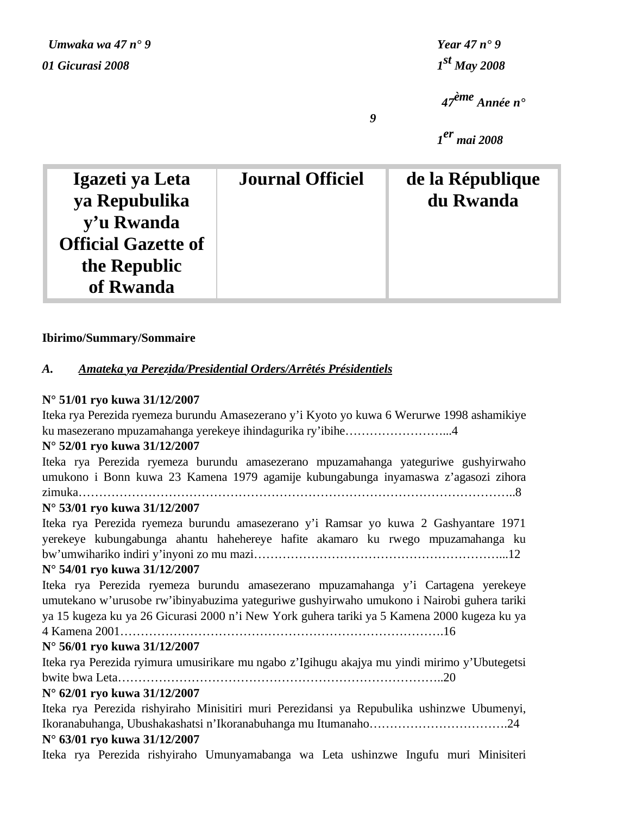*Umwaka wa 47 n° 9 Year 47 n° 9 01 Gicurasi 2008 1st May 2008*

 *47ème Année n°* 

 *1er mai 2008*

| Igazeti ya Leta            | <b>Journal Officiel</b> | de la République |
|----------------------------|-------------------------|------------------|
| ya Repubulika              |                         | du Rwanda        |
| y'u Rwanda                 |                         |                  |
| <b>Official Gazette of</b> |                         |                  |
| the Republic               |                         |                  |
| of Rwanda                  |                         |                  |

*9*

# **Ibirimo/Summary/Sommaire**

# *A. Amateka ya Perezida/Presidential Orders/Arrêtés Présidentiels*

# **N° 51/01 ryo kuwa 31/12/2007**

Iteka rya Perezida ryemeza burundu Amasezerano y'i Kyoto yo kuwa 6 Werurwe 1998 ashamikiye ku masezerano mpuzamahanga yerekeye ihindagurika ry'ibihe……………………...4

# **N° 52/01 ryo kuwa 31/12/2007**

Iteka rya Perezida ryemeza burundu amasezerano mpuzamahanga yateguriwe gushyirwaho umukono i Bonn kuwa 23 Kamena 1979 agamije kubungabunga inyamaswa z'agasozi zihora zimuka……………………………………………………………………………………………..8

# **N° 53/01 ryo kuwa 31/12/2007**

Iteka rya Perezida ryemeza burundu amasezerano y'i Ramsar yo kuwa 2 Gashyantare 1971 yerekeye kubungabunga ahantu hahehereye hafite akamaro ku rwego mpuzamahanga ku bw'umwihariko indiri y'inyoni zo mu mazi……………………………………………………...12

# **N° 54/01 ryo kuwa 31/12/2007**

Iteka rya Perezida ryemeza burundu amasezerano mpuzamahanga y'i Cartagena yerekeye umutekano w'urusobe rw'ibinyabuzima yateguriwe gushyirwaho umukono i Nairobi guhera tariki ya 15 kugeza ku ya 26 Gicurasi 2000 n'i New York guhera tariki ya 5 Kamena 2000 kugeza ku ya 4 Kamena 2001…………………………………………………………………….16

# **N° 56/01 ryo kuwa 31/12/2007**

Iteka rya Perezida ryimura umusirikare mu ngabo z'Igihugu akajya mu yindi mirimo y'Ubutegetsi bwite bwa Leta……………………………………………………………………..20

# **N° 62/01 ryo kuwa 31/12/2007**

Iteka rya Perezida rishyiraho Minisitiri muri Perezidansi ya Repubulika ushinzwe Ubumenyi, Ikoranabuhanga, Ubushakashatsi n'Ikoranabuhanga mu Itumanaho…………………………….24

# **N° 63/01 ryo kuwa 31/12/2007**

Iteka rya Perezida rishyiraho Umunyamabanga wa Leta ushinzwe Ingufu muri Minisiteri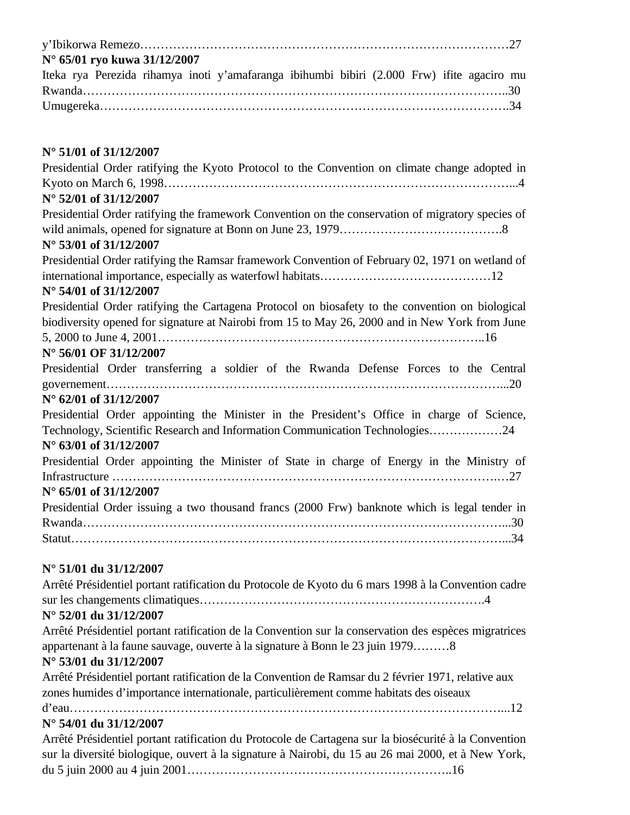| N° 65/01 ryo kuwa 31/12/2007                                                               |  |
|--------------------------------------------------------------------------------------------|--|
| Iteka rya Perezida rihamya inoti y'amafaranga ibihumbi bibiri (2.000 Frw) ifite agaciro mu |  |
|                                                                                            |  |
|                                                                                            |  |

# **N° 51/01 of 31/12/2007**

| Presidential Order ratifying the Kyoto Protocol to the Convention on climate change adopted in<br>N° 52/01 of 31/12/2007                                                                             |
|------------------------------------------------------------------------------------------------------------------------------------------------------------------------------------------------------|
| Presidential Order ratifying the framework Convention on the conservation of migratory species of<br>N° 53/01 of 31/12/2007                                                                          |
| Presidential Order ratifying the Ramsar framework Convention of February 02, 1971 on wetland of<br>N° 54/01 of 31/12/2007                                                                            |
| Presidential Order ratifying the Cartagena Protocol on biosafety to the convention on biological<br>biodiversity opened for signature at Nairobi from 15 to May 26, 2000 and in New York from June   |
| N° 56/01 OF 31/12/2007<br>Presidential Order transferring a soldier of the Rwanda Defense Forces to the Central<br>$N^{\circ}$ 62/01 of 31/12/2007                                                   |
| Presidential Order appointing the Minister in the President's Office in charge of Science,<br>Technology, Scientific Research and Information Communication Technologies24<br>N° 63/01 of 31/12/2007 |
| Presidential Order appointing the Minister of State in charge of Energy in the Ministry of<br>$N^{\circ}$ 65/01 of 31/12/2007                                                                        |
| Presidential Order issuing a two thousand francs (2000 Frw) banknote which is legal tender in                                                                                                        |
| $N^{\circ}$ 51/01 du 31/12/2007<br>Arrêté Présidentiel portant ratification du Protocole de Kyoto du 6 mars 1998 à la Convention cadre<br>N° 52/01 du 31/12/2007                                     |

Arrêté Présidentiel portant ratification de la Convention sur la conservation des espèces migratrices appartenant à la faune sauvage, ouverte à la signature à Bonn le 23 juin 1979………8

# **N° 53/01 du 31/12/2007**

Arrêté Présidentiel portant ratification de la Convention de Ramsar du 2 février 1971, relative aux zones humides d'importance internationale, particulièrement comme habitats des oiseaux d'eau……………………………………………………………………………………………...12

# **N° 54/01 du 31/12/2007**

Arrêté Présidentiel portant ratification du Protocole de Cartagena sur la biosécurité à la Convention sur la diversité biologique, ouvert à la signature à Nairobi, du 15 au 26 mai 2000, et à New York, du 5 juin 2000 au 4 juin 2001………………………………………………………..16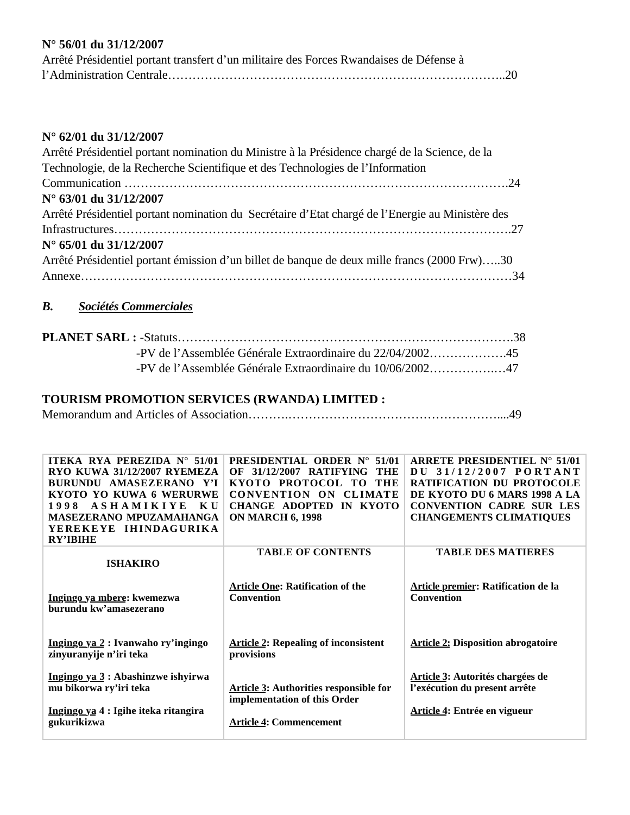# **N° 56/01 du 31/12/2007**

| Arrêté Présidentiel portant transfert d'un militaire des Forces Rwandaises de Défense à |
|-----------------------------------------------------------------------------------------|
|                                                                                         |

# **N° 62/01 du 31/12/2007**

| Arrêté Présidentiel portant nomination du Ministre à la Présidence chargé de la Science, de la   |
|--------------------------------------------------------------------------------------------------|
| Technologie, de la Recherche Scientifique et des Technologies de l'Information                   |
|                                                                                                  |
| N° 63/01 du 31/12/2007                                                                           |
| Arrêté Présidentiel portant nomination du Secrétaire d'Etat chargé de l'Energie au Ministère des |
|                                                                                                  |
| $N^{\circ}$ 65/01 du 31/12/2007                                                                  |
| Arrêté Présidentiel portant émission d'un billet de banque de deux mille francs (2000 Frw)30     |
|                                                                                                  |
|                                                                                                  |

# *B. Sociétés Commerciales*

| -PV de l'Assemblée Générale Extraordinaire du $10/06/2002$ 47 |  |
|---------------------------------------------------------------|--|

# **TOURISM PROMOTION SERVICES (RWANDA) LIMITED :**

Memorandum and Articles of Association……….……………………………………………....49

| ITEKA RYA PEREZIDA N° 51/01<br>RYO KUWA 31/12/2007 RYEMEZA<br>BURUNDU AMASEZERANO Y'I<br>KYOTO YO KUWA 6 WERURWE<br><b>ASHAMIKIYE</b><br>K U<br>1998<br><b>MASEZERANO MPUZAMAHANGA</b><br>YEREKEYE IHINDAGURIKA<br><b>RY'IBIHE</b> | <b>PRESIDENTIAL ORDER N°</b><br>51/01<br><b>THE</b><br>OF<br>31/12/2007<br><b>RATIFYING</b><br>KYOTO PROTOCOL<br>THE<br>TO-<br><b>CLIMATE</b><br>CONVENTION ON<br>IN KYOTO<br><b>CHANGE ADOPTED</b><br><b>ON MARCH 6, 1998</b> | ARRETE PRESIDENTIEL $N^{\circ}$ 51/01<br>DU 31/12/2007 PORTANT<br><b>RATIFICATION DU PROTOCOLE</b><br>DE KYOTO DU 6 MARS 1998 A LA<br><b>CONVENTION CADRE SUR LES</b><br><b>CHANGEMENTS CLIMATIQUES</b> |
|------------------------------------------------------------------------------------------------------------------------------------------------------------------------------------------------------------------------------------|--------------------------------------------------------------------------------------------------------------------------------------------------------------------------------------------------------------------------------|---------------------------------------------------------------------------------------------------------------------------------------------------------------------------------------------------------|
| <b>ISHAKIRO</b>                                                                                                                                                                                                                    | <b>TABLE OF CONTENTS</b>                                                                                                                                                                                                       | <b>TABLE DES MATIERES</b>                                                                                                                                                                               |
| Ingingo ya mbere: kwemezwa<br>burundu kw'amasezerano                                                                                                                                                                               | <b>Article One: Ratification of the</b><br>Convention                                                                                                                                                                          | Article premier: Ratification de la<br><b>Convention</b>                                                                                                                                                |
| Ingingo ya 2 : Ivanwaho ry'ingingo<br>zinyuranyije n'iri teka                                                                                                                                                                      | <b>Article 2: Repealing of inconsistent</b><br>provisions                                                                                                                                                                      | <b>Article 2: Disposition abrogatoire</b>                                                                                                                                                               |
| Ingingo ya 3 : Abashinzwe ishyirwa<br>mu bikorwa ry'iri teka<br>Ingingo ya 4 : Igihe iteka ritangira<br>gukurikizwa                                                                                                                | <b>Article 3: Authorities responsible for</b><br>implementation of this Order<br><b>Article 4: Commencement</b>                                                                                                                | Article 3: Autorités chargées de<br>l'exécution du present arrête<br>Article 4: Entrée en vigueur                                                                                                       |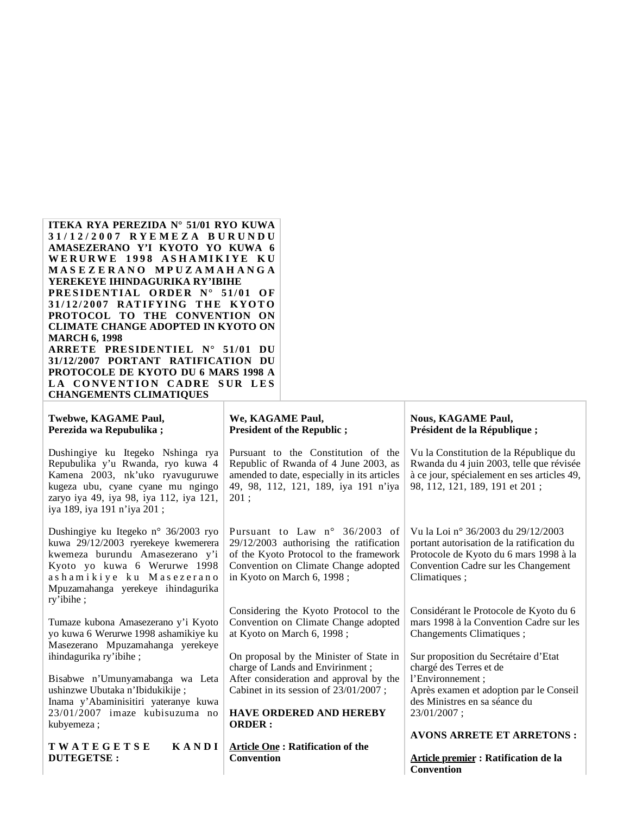#### **ITEKA RYA PEREZIDA N° 51/01 RYO KUWA 3 1 / 1 2 / 2 0 0 7 R Y E M E Z A B U R U N D U AMASEZERANO Y'I KYOTO YO KUWA 6 W E R U R W E 1 9 9 8 A S H A M I K I Y E K U M A S E Z E R A N O M P U Z A M A H A N G A YEREKEYE IHINDAGURIKA RY'IBIHE PRESIDENTIAL ORDER N° 51/01 OF 31/ 12/ 2007 RAT IFYING T H E K YO T O PROTOCOL TO THE CONVENTION ON CLIMATE CHANGE ADOPTED IN KYOTO ON MARCH 6, 1998 ARRETE PRESIDENTIEL N° 51/01 DU 31/12/2007 PORTANT RATIFICATION DU PROTOCOLE DE KYOTO DU 6 MARS 1998 A LA CONVENTION CADRE SUR LES CHANGEMENTS CLIMATIQUES**

| Twebwe, KAGAME Paul,<br>Perezida wa Repubulika;                                                                                                                                                                               | We, KAGAME Paul,<br><b>President of the Republic;</b>                                                                                                                                               | <b>Nous, KAGAME Paul,</b><br>Président de la République;                                                                                                                          |
|-------------------------------------------------------------------------------------------------------------------------------------------------------------------------------------------------------------------------------|-----------------------------------------------------------------------------------------------------------------------------------------------------------------------------------------------------|-----------------------------------------------------------------------------------------------------------------------------------------------------------------------------------|
| Dushingiye ku Itegeko Nshinga rya<br>Repubulika y'u Rwanda, ryo kuwa 4<br>Kamena 2003, nk'uko ryavuguruwe<br>kugeza ubu, cyane cyane mu ngingo<br>zaryo iya 49, iya 98, iya 112, iya 121,<br>iya 189, iya 191 n'iya 201;      | Pursuant to the Constitution of the<br>Republic of Rwanda of 4 June 2003, as<br>amended to date, especially in its articles<br>49, 98, 112, 121, 189, iya 191 n'iya<br>201:                         | Vu la Constitution de la République du<br>Rwanda du 4 juin 2003, telle que révisée<br>à ce jour, spécialement en ses articles 49,<br>98, 112, 121, 189, 191 et 201;               |
| Dushingiye ku Itegeko n° 36/2003 ryo<br>kuwa 29/12/2003 ryerekeye kwemerera<br>kwemeza burundu Amasezerano y'i<br>Kyoto yo kuwa 6 Werurwe 1998<br>ashamikiye ku Masezerano<br>Mpuzamahanga yerekeye ihindagurika<br>ry'ibihe; | Pursuant to Law $n^{\circ}$ 36/2003 of<br>$29/12/2003$ authorising the ratification<br>of the Kyoto Protocol to the framework<br>Convention on Climate Change adopted<br>in Kyoto on March 6, 1998; | Vu la Loi nº 36/2003 du 29/12/2003<br>portant autorisation de la ratification du<br>Protocole de Kyoto du 6 mars 1998 à la<br>Convention Cadre sur les Changement<br>Climatiques; |
| Tumaze kubona Amasezerano y'i Kyoto<br>yo kuwa 6 Werurwe 1998 ashamikiye ku<br>Masezerano Mpuzamahanga yerekeye                                                                                                               | Considering the Kyoto Protocol to the<br>Convention on Climate Change adopted<br>at Kyoto on March 6, 1998;                                                                                         | Considérant le Protocole de Kyoto du 6<br>mars 1998 à la Convention Cadre sur les<br>Changements Climatiques;                                                                     |
| ihindagurika ry'ibihe;                                                                                                                                                                                                        | On proposal by the Minister of State in<br>charge of Lands and Envirinment;                                                                                                                         | Sur proposition du Secrétaire d'Etat<br>chargé des Terres et de                                                                                                                   |
| Bisabwe n'Umunyamabanga wa Leta<br>ushinzwe Ubutaka n'Ibidukikije;<br>Inama y'Abaminisitiri yateranye kuwa                                                                                                                    | After consideration and approval by the<br>Cabinet in its session of 23/01/2007;                                                                                                                    | l'Environnement;<br>Après examen et adoption par le Conseil<br>des Ministres en sa séance du                                                                                      |
| $23/01/2007$ imaze kubisuzuma no<br>kubyemeza:                                                                                                                                                                                | <b>HAVE ORDERED AND HEREBY</b><br><b>ORDER:</b>                                                                                                                                                     | 23/01/2007;                                                                                                                                                                       |

**T W A T E G E T S E K A N D I DUTEGETSE :**

**Article One : Ratification of the Convention**

#### **AVONS ARRETE ET ARRETONS :**

**Article premier : Ratification de la Convention**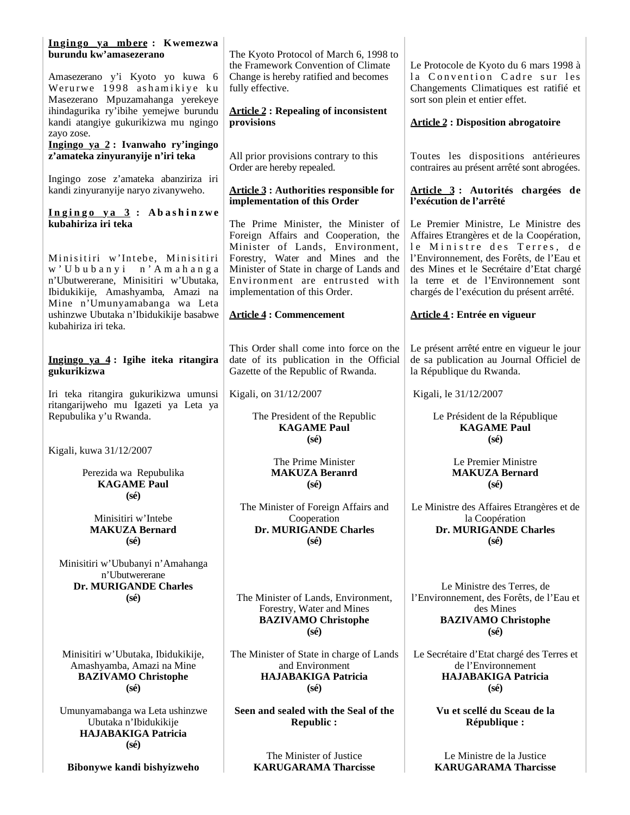| Ingingo ya mbere: Kwemezwa<br>burundu kw'amasezerano                                                                                   | The Kyoto Protocol of March 6, 1998 to<br>the Framework Convention of Climate                                                                                                                                               | Le Protocole de Kyoto du 6 mars 1998 à                                                                                                                                                                                                              |
|----------------------------------------------------------------------------------------------------------------------------------------|-----------------------------------------------------------------------------------------------------------------------------------------------------------------------------------------------------------------------------|-----------------------------------------------------------------------------------------------------------------------------------------------------------------------------------------------------------------------------------------------------|
| Amasezerano y'i Kyoto yo kuwa 6<br>Werurwe 1998 ashamikiye ku<br>Masezerano Mpuzamahanga yerekeye                                      | Change is hereby ratified and becomes<br>fully effective.                                                                                                                                                                   | la Convention Cadre sur les<br>Changements Climatiques est ratifié et<br>sort son plein et entier effet.                                                                                                                                            |
| ihindagurika ry'ibihe yemejwe burundu<br>kandi atangiye gukurikizwa mu ngingo<br>zayo zose.                                            | <b>Article 2: Repealing of inconsistent</b><br>provisions                                                                                                                                                                   | <b>Article 2 : Disposition abrogatoire</b>                                                                                                                                                                                                          |
| Ingingo ya 2: Ivanwaho ry'ingingo<br>z'amateka zinyuranyije n'iri teka                                                                 | All prior provisions contrary to this<br>Order are hereby repealed.                                                                                                                                                         | Toutes les dispositions antérieures<br>contraires au présent arrêté sont abrogées.                                                                                                                                                                  |
| Ingingo zose z'amateka abanziriza iri<br>kandi zinyuranyije naryo zivanyweho.                                                          | <b>Article 3: Authorities responsible for</b><br>implementation of this Order                                                                                                                                               | Article 3: Autorités chargées de<br>l'exécution de l'arrêté                                                                                                                                                                                         |
| Ingingo ya 3: Abashinzwe<br>kubahiriza iri teka                                                                                        | The Prime Minister, the Minister of                                                                                                                                                                                         | Le Premier Ministre, Le Ministre des                                                                                                                                                                                                                |
| Minisitiri w'Intebe, Minisitiri<br>w'Ububanyi n'Amahanga<br>n'Ubutwererane, Minisitiri w'Ubutaka,<br>Ibidukikije, Amashyamba, Amazi na | Foreign Affairs and Cooperation, the<br>Minister of Lands, Environment,<br>Forestry, Water and Mines and the<br>Minister of State in charge of Lands and<br>Environment are entrusted with<br>implementation of this Order. | Affaires Etrangères et de la Coopération,<br>le Ministre des Terres, de<br>l'Environnement, des Forêts, de l'Eau et<br>des Mines et le Secrétaire d'Etat chargé<br>la terre et de l'Environnement sont<br>chargés de l'exécution du présent arrêté. |
| Mine n'Umunyamabanga wa Leta<br>ushinzwe Ubutaka n'Ibidukikije basabwe<br>kubahiriza iri teka.                                         | <b>Article 4: Commencement</b>                                                                                                                                                                                              | Article 4 : Entrée en vigueur                                                                                                                                                                                                                       |
| Ingingo ya 4: Igihe iteka ritangira<br>gukurikizwa                                                                                     | This Order shall come into force on the<br>date of its publication in the Official<br>Gazette of the Republic of Rwanda.                                                                                                    | Le présent arrêté entre en vigueur le jour<br>de sa publication au Journal Officiel de<br>la République du Rwanda.                                                                                                                                  |
| Iri teka ritangira gukurikizwa umunsi<br>ritangarijweho mu Igazeti ya Leta ya                                                          | Kigali, on 31/12/2007                                                                                                                                                                                                       | Kigali, le 31/12/2007                                                                                                                                                                                                                               |
| Repubulika y'u Rwanda.                                                                                                                 | The President of the Republic<br><b>KAGAME Paul</b><br>$(s\acute{e})$                                                                                                                                                       | Le Président de la République<br><b>KAGAME Paul</b><br>$(s\acute{e})$                                                                                                                                                                               |
| Kigali, kuwa 31/12/2007                                                                                                                |                                                                                                                                                                                                                             |                                                                                                                                                                                                                                                     |
| Perezida wa Repubulika<br><b>KAGAME Paul</b>                                                                                           | The Prime Minister<br><b>MAKUZA Beranrd</b><br>$(s\acute{e})$                                                                                                                                                               | Le Premier Ministre<br><b>MAKUZA Bernard</b><br>$(s\acute{e})$                                                                                                                                                                                      |
| $(s\acute{e})$                                                                                                                         | The Minister of Foreign Affairs and                                                                                                                                                                                         | Le Ministre des Affaires Etrangères et de                                                                                                                                                                                                           |
| Minisitiri w'Intebe<br><b>MAKUZA Bernard</b><br>$(s\acute{e})$                                                                         | Cooperation<br>Dr. MURIGANDE Charles<br>$(s\acute{e})$                                                                                                                                                                      | la Coopération<br>Dr. MURIGANDE Charles<br>$(s\acute{e})$                                                                                                                                                                                           |
| Minisitiri w'Ububanyi n'Amahanga<br>n'Ubutwererane                                                                                     |                                                                                                                                                                                                                             |                                                                                                                                                                                                                                                     |
| Dr. MURIGANDE Charles<br>$(s\acute{e})$                                                                                                | The Minister of Lands, Environment,<br>Forestry, Water and Mines<br><b>BAZIVAMO Christophe</b><br>$(s\acute{e})$                                                                                                            | Le Ministre des Terres, de<br>l'Environnement, des Forêts, de l'Eau et<br>des Mines<br><b>BAZIVAMO Christophe</b><br>$(s\acute{e})$                                                                                                                 |
| Minisitiri w'Ubutaka, Ibidukikije,<br>Amashyamba, Amazi na Mine<br><b>BAZIVAMO Christophe</b><br>$(s\acute{e})$                        | The Minister of State in charge of Lands<br>and Environment<br><b>HAJABAKIGA Patricia</b><br>$(s\acute{e})$                                                                                                                 | Le Secrétaire d'Etat chargé des Terres et<br>de l'Environnement<br><b>HAJABAKIGA Patricia</b><br>$(s\acute{e})$                                                                                                                                     |
| Umunyamabanga wa Leta ushinzwe<br>Ubutaka n'Ibidukikije<br><b>HAJABAKIGA Patricia</b><br>$(s\acute{e})$                                | Seen and sealed with the Seal of the<br><b>Republic:</b>                                                                                                                                                                    | Vu et scellé du Sceau de la<br>République :                                                                                                                                                                                                         |

**Bibonywe kandi bishyizweho**

The Minister of Justice **KARUGARAMA Tharcisse**

Le Ministre de la Justice **KARUGARAMA Tharcisse**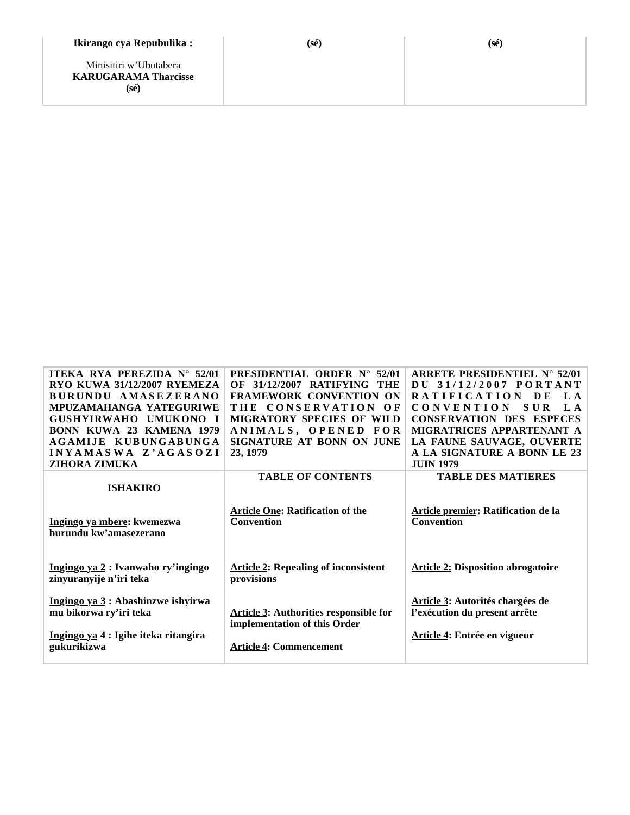#### **Ikirango cya Repubulika :**

Minisitiri w'Ubutabera **KARUGARAMA Tharcisse (sé)**

| <b>ITEKA RYA PEREZIDA N° 52/01</b>      | <b>PRESIDENTIAL ORDER N° 52/01</b>            | ARRETE PRESIDENTIEL $N^{\circ}$ 52/01     |
|-----------------------------------------|-----------------------------------------------|-------------------------------------------|
| RYO KUWA 31/12/2007 RYEMEZA             | <b>OF 31/12/2007 RATIFYING</b><br>THE         | DU 31/12/2007 PORTANT                     |
| BURUNDU AMASEZERANO                     | <b>FRAMEWORK CONVENTION ON</b>                | RATIFICATION DE<br>L A                    |
| MPUZAMAHANGA YATEGURIWE                 | THE CONSERVATION OF                           | L A<br><b>CONVENTION</b><br><b>SUR</b>    |
| <b>GUSHYIRWAHO</b><br><b>IIMUKONO I</b> | <b>MIGRATORY SPECIES OF WILD</b>              | <b>CONSERVATION DES ESPECES</b>           |
| <b>BONN KUWA 23 KAMENA 1979</b>         | ANIMALS, OPENED FOR                           | MIGRATRICES APPARTENANT A                 |
| AGAMLIE KUBUNGABUNGA                    | SIGNATURE AT BONN ON JUNE                     | LA FAUNE SAUVAGE, OUVERTE                 |
| INYAMASWA Z'AGASOZI                     | 23, 1979                                      | A LA SIGNATURE A BONN LE 23               |
| <b>ZIHORA ZIMUKA</b>                    |                                               | <b>JUIN 1979</b>                          |
|                                         | <b>TABLE OF CONTENTS</b>                      | <b>TABLE DES MATIERES</b>                 |
| <b>ISHAKIRO</b>                         |                                               |                                           |
|                                         |                                               |                                           |
|                                         | <b>Article One: Ratification of the</b>       | Article premier: Ratification de la       |
| Ingingo ya mbere: kwemezwa              | <b>Convention</b>                             | <b>Convention</b>                         |
| burundu kw'amasezerano                  |                                               |                                           |
|                                         |                                               |                                           |
|                                         |                                               |                                           |
| Ingingo ya 2 : Ivanwaho ry'ingingo      | <b>Article 2: Repealing of inconsistent</b>   | <b>Article 2: Disposition abrogatoire</b> |
| zinyuranyije n'iri teka                 | provisions                                    |                                           |
|                                         |                                               |                                           |
| Ingingo ya 3 : Abashinzwe ishyirwa      |                                               | Article 3: Autorités chargées de          |
| mu bikorwa ry'iri teka                  | <b>Article 3: Authorities responsible for</b> | l'exécution du present arrête             |
|                                         | implementation of this Order                  |                                           |
| Ingingo ya 4 : Igihe iteka ritangira    |                                               | Article 4: Entrée en vigueur              |
| gukurikizwa                             | <b>Article 4: Commencement</b>                |                                           |
|                                         |                                               |                                           |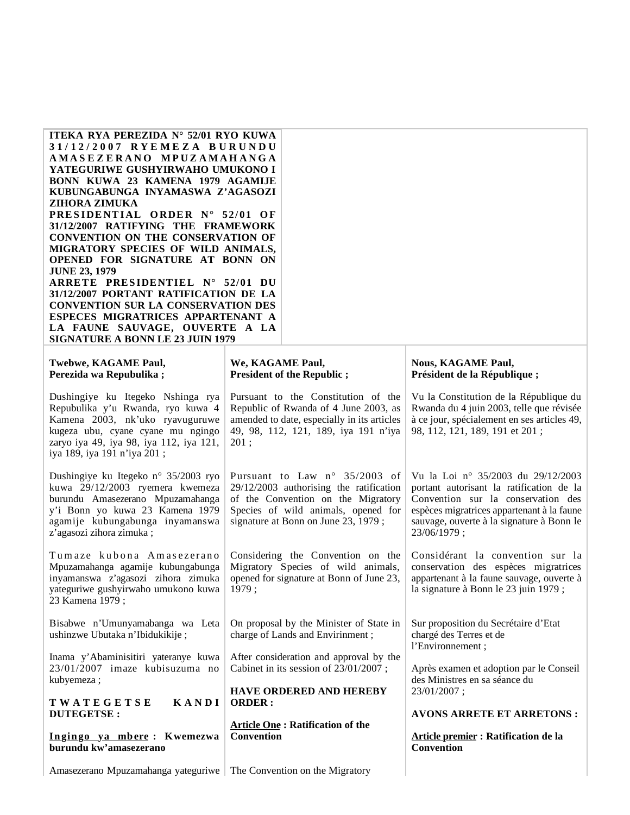| ITEKA RYA PEREZIDA N° 52/01 RYO KUWA<br>31/12/2007 RYEMEZA BURUNDU<br>AMASEZERANO MPUZAMAHANGA<br>YATEGURIWE GUSHYIRWAHO UMUKONO I<br>BONN KUWA 23 KAMENA 1979 AGAMIJE<br>KUBUNGABUNGA INYAMASWA Z'AGASOZI<br>ZIHORA ZIMUKA<br>PRESIDENTIAL ORDER N° 52/01 OF<br>31/12/2007 RATIFYING THE FRAMEWORK<br><b>CONVENTION ON THE CONSERVATION OF</b><br>MIGRATORY SPECIES OF WILD ANIMALS,<br>OPENED FOR SIGNATURE AT BONN ON<br><b>JUNE 23, 1979</b><br>ARRETE PRESIDENTIEL N° 52/01 DU<br>31/12/2007 PORTANT RATIFICATION DE LA<br><b>CONVENTION SUR LA CONSERVATION DES</b><br>ESPECES MIGRATRICES APPARTENANT A<br>LA FAUNE SAUVAGE, OUVERTE A LA<br><b>SIGNATURE A BONN LE 23 JUIN 1979</b> |                                                                                                                                                                                                |                                                                                                                                                                                                                                |
|---------------------------------------------------------------------------------------------------------------------------------------------------------------------------------------------------------------------------------------------------------------------------------------------------------------------------------------------------------------------------------------------------------------------------------------------------------------------------------------------------------------------------------------------------------------------------------------------------------------------------------------------------------------------------------------------|------------------------------------------------------------------------------------------------------------------------------------------------------------------------------------------------|--------------------------------------------------------------------------------------------------------------------------------------------------------------------------------------------------------------------------------|
| Twebwe, KAGAME Paul,<br>Perezida wa Repubulika;                                                                                                                                                                                                                                                                                                                                                                                                                                                                                                                                                                                                                                             | We, KAGAME Paul,<br><b>President of the Republic;</b>                                                                                                                                          | <b>Nous, KAGAME Paul,</b><br>Président de la République;                                                                                                                                                                       |
| Dushingiye ku Itegeko Nshinga rya<br>Repubulika y'u Rwanda, ryo kuwa 4<br>Kamena 2003, nk'uko ryavuguruwe<br>kugeza ubu, cyane cyane mu ngingo<br>zaryo iya 49, iya 98, iya 112, iya 121,<br>iya 189, iya 191 n'iya 201;                                                                                                                                                                                                                                                                                                                                                                                                                                                                    | Pursuant to the Constitution of the<br>Republic of Rwanda of 4 June 2003, as<br>amended to date, especially in its articles<br>49, 98, 112, 121, 189, iya 191 n'iya<br>201;                    | Vu la Constitution de la République du<br>Rwanda du 4 juin 2003, telle que révisée<br>à ce jour, spécialement en ses articles 49,<br>98, 112, 121, 189, 191 et 201;                                                            |
| Dushingiye ku Itegeko n° 35/2003 ryo<br>kuwa 29/12/2003 ryemera kwemeza<br>burundu Amasezerano Mpuzamahanga<br>y'i Bonn yo kuwa 23 Kamena 1979<br>agamije kubungabunga inyamanswa<br>z'agasozi zihora zimuka;                                                                                                                                                                                                                                                                                                                                                                                                                                                                               | Pursuant to Law n° 35/2003 of<br>$29/12/2003$ authorising the ratification<br>of the Convention on the Migratory<br>Species of wild animals, opened for<br>signature at Bonn on June 23, 1979; | Vu la Loi nº 35/2003 du 29/12/2003<br>portant autorisant la ratification de la<br>Convention sur la conservation des<br>espèces migratrices appartenant à la faune<br>sauvage, ouverte à la signature à Bonn le<br>23/06/1979; |
| Tumaze kubona Amasezerano<br>Mpuzamahanga agamije kubungabunga<br>inyamanswa z'agasozi zihora zimuka<br>yateguriwe gushyirwaho umukono kuwa<br>23 Kamena 1979;                                                                                                                                                                                                                                                                                                                                                                                                                                                                                                                              | Considering the Convention on the<br>Migratory Species of wild animals,<br>opened for signature at Bonn of June 23,<br>1979;                                                                   | Considérant la convention sur la<br>conservation des espèces migratrices<br>appartenant à la faune sauvage, ouverte à<br>la signature à Bonn le 23 juin 1979 ;                                                                 |
| Bisabwe n'Umunyamabanga wa Leta<br>ushinzwe Ubutaka n'Ibidukikije;                                                                                                                                                                                                                                                                                                                                                                                                                                                                                                                                                                                                                          | On proposal by the Minister of State in<br>charge of Lands and Envirinment;                                                                                                                    | Sur proposition du Secrétaire d'Etat<br>chargé des Terres et de<br>l'Environnement;                                                                                                                                            |
| Inama y'Abaminisitiri yateranye kuwa<br>23/01/2007 imaze kubisuzuma no<br>kubyemeza;                                                                                                                                                                                                                                                                                                                                                                                                                                                                                                                                                                                                        | After consideration and approval by the<br>Cabinet in its session of 23/01/2007;<br><b>HAVE ORDERED AND HEREBY</b>                                                                             | Après examen et adoption par le Conseil<br>des Ministres en sa séance du<br>23/01/2007;                                                                                                                                        |
| KANDI<br>TWATEGETSE<br><b>DUTEGETSE:</b>                                                                                                                                                                                                                                                                                                                                                                                                                                                                                                                                                                                                                                                    | <b>ORDER:</b>                                                                                                                                                                                  | <b>AVONS ARRETE ET ARRETONS:</b>                                                                                                                                                                                               |
| Ingingo ya mbere: Kwemezwa<br>burundu kw'amasezerano                                                                                                                                                                                                                                                                                                                                                                                                                                                                                                                                                                                                                                        | <b>Article One: Ratification of the</b><br><b>Convention</b>                                                                                                                                   | Article premier : Ratification de la<br>Convention                                                                                                                                                                             |
| Amasezerano Mpuzamahanga yateguriwe                                                                                                                                                                                                                                                                                                                                                                                                                                                                                                                                                                                                                                                         | The Convention on the Migratory                                                                                                                                                                |                                                                                                                                                                                                                                |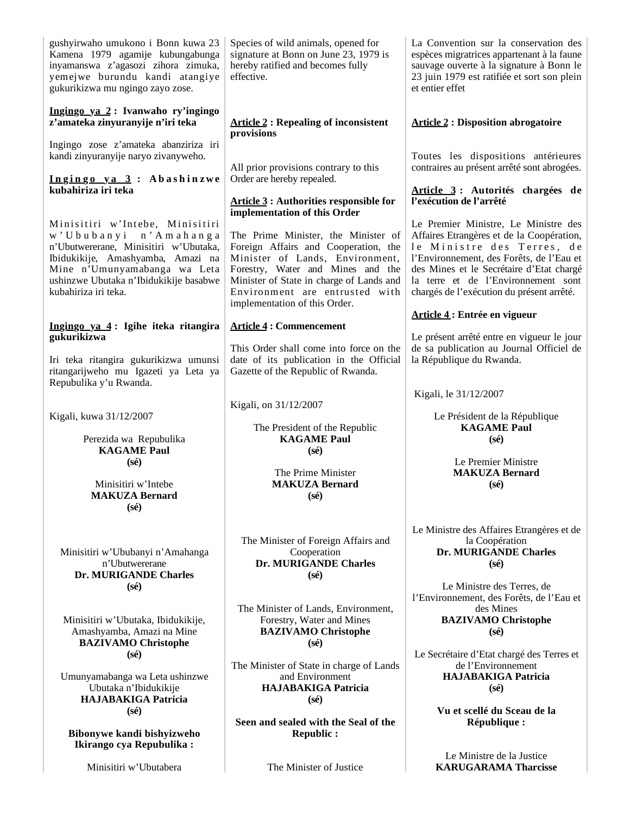| gushyirwaho umukono i Bonn kuwa 23<br>Kamena 1979 agamije kubungabunga<br>inyamanswa z'agasozi zihora zimuka,<br>yemejwe burundu kandi atangiye<br>gukurikizwa mu ngingo zayo zose.                   | Species of wild animals, opened for<br>signature at Bonn on June 23, 1979 is<br>hereby ratified and becomes fully<br>effective.                                                                                                                                    | La Convention sur la conservation des<br>espèces migratrices appartenant à la faune<br>sauvage ouverte à la signature à Bonn le<br>23 juin 1979 est ratifiée et sort son plein<br>et entier effet                                                                                   |
|-------------------------------------------------------------------------------------------------------------------------------------------------------------------------------------------------------|--------------------------------------------------------------------------------------------------------------------------------------------------------------------------------------------------------------------------------------------------------------------|-------------------------------------------------------------------------------------------------------------------------------------------------------------------------------------------------------------------------------------------------------------------------------------|
| Ingingo ya 2: Ivanwaho ry'ingingo<br>z'amateka zinyuranyije n'iri teka                                                                                                                                | <b>Article 2: Repealing of inconsistent</b><br>provisions                                                                                                                                                                                                          | <b>Article 2: Disposition abrogatoire</b>                                                                                                                                                                                                                                           |
| Ingingo zose z'amateka abanziriza iri<br>kandi zinyuranyije naryo zivanyweho.                                                                                                                         | All prior provisions contrary to this                                                                                                                                                                                                                              | Toutes les dispositions antérieures<br>contraires au présent arrêté sont abrogées.                                                                                                                                                                                                  |
| Ingingo ya 3: Abashinzwe<br>kubahiriza iri teka                                                                                                                                                       | Order are hereby repealed.<br><b>Article 3: Authorities responsible for</b>                                                                                                                                                                                        | Article 3: Autorités chargées de<br>l'exécution de l'arrêté                                                                                                                                                                                                                         |
| Minisitiri w'Intebe, Minisitiri                                                                                                                                                                       | implementation of this Order                                                                                                                                                                                                                                       | Le Premier Ministre, Le Ministre des                                                                                                                                                                                                                                                |
| w'Ububanyi n'Amahanga<br>n'Ubutwererane, Minisitiri w'Ubutaka,<br>Ibidukikije, Amashyamba, Amazi na<br>Mine n'Umunyamabanga wa Leta<br>ushinzwe Ubutaka n'Ibidukikije basabwe<br>kubahiriza iri teka. | The Prime Minister, the Minister of<br>Foreign Affairs and Cooperation, the<br>Minister of Lands, Environment,<br>Forestry, Water and Mines and the<br>Minister of State in charge of Lands and<br>Environment are entrusted with<br>implementation of this Order. | Affaires Etrangères et de la Coopération,<br>le Ministre des Terres, de<br>l'Environnement, des Forêts, de l'Eau et<br>des Mines et le Secrétaire d'Etat chargé<br>la terre et de l'Environnement sont<br>chargés de l'exécution du présent arrêté.<br>Article 4: Entrée en vigueur |
| Ingingo ya 4: Igihe iteka ritangira                                                                                                                                                                   | <b>Article 4 : Commencement</b>                                                                                                                                                                                                                                    |                                                                                                                                                                                                                                                                                     |
| gukurikizwa<br>Iri teka ritangira gukurikizwa umunsi<br>ritangarijweho mu Igazeti ya Leta ya<br>Repubulika y'u Rwanda.                                                                                | This Order shall come into force on the<br>date of its publication in the Official<br>Gazette of the Republic of Rwanda.                                                                                                                                           | Le présent arrêté entre en vigueur le jour<br>de sa publication au Journal Officiel de<br>la République du Rwanda.                                                                                                                                                                  |
|                                                                                                                                                                                                       |                                                                                                                                                                                                                                                                    | Kigali, le 31/12/2007                                                                                                                                                                                                                                                               |
| Kigali, kuwa 31/12/2007                                                                                                                                                                               | Kigali, on 31/12/2007                                                                                                                                                                                                                                              | Le Président de la République<br><b>KAGAME Paul</b>                                                                                                                                                                                                                                 |
| Perezida wa Repubulika<br><b>KAGAME Paul</b>                                                                                                                                                          | The President of the Republic<br><b>KAGAME Paul</b><br>$(s\acute{e})$                                                                                                                                                                                              | $(s\acute{e})$                                                                                                                                                                                                                                                                      |
| $(s\acute{e})$<br>Minisitiri w'Intebe<br><b>MAKUZA Bernard</b><br>$(s\acute{e})$                                                                                                                      | The Prime Minister<br><b>MAKUZA Bernard</b><br>$(s\acute{e})$                                                                                                                                                                                                      | Le Premier Ministre<br><b>MAKUZA Bernard</b><br>$(s\acute{e})$                                                                                                                                                                                                                      |
| Minisitiri w'Ububanyi n'Amahanga<br>n'Ubutwererane<br>Dr. MURIGANDE Charles                                                                                                                           | The Minister of Foreign Affairs and<br>Cooperation<br><b>Dr. MURIGANDE Charles</b><br>$(s\acute{e})$                                                                                                                                                               | Le Ministre des Affaires Etrangères et de<br>la Coopération<br>Dr. MURIGANDE Charles<br>$(s\acute{e})$                                                                                                                                                                              |
| $(s\acute{e})$<br>Minisitiri w'Ubutaka, Ibidukikije,<br>Amashyamba, Amazi na Mine<br><b>BAZIVAMO Christophe</b>                                                                                       | The Minister of Lands, Environment,<br>Forestry, Water and Mines<br><b>BAZIVAMO Christophe</b><br>$(s\acute{e})$                                                                                                                                                   | Le Ministre des Terres, de<br>l'Environnement, des Forêts, de l'Eau et<br>des Mines<br><b>BAZIVAMO Christophe</b><br>$(s\acute{e})$                                                                                                                                                 |
| $(s\acute{e})$<br>Umunyamabanga wa Leta ushinzwe<br>Ubutaka n'Ibidukikije<br><b>HAJABAKIGA Patricia</b>                                                                                               | The Minister of State in charge of Lands<br>and Environment<br><b>HAJABAKIGA Patricia</b><br>$(s\acute{e})$                                                                                                                                                        | Le Secrétaire d'Etat chargé des Terres et<br>de l'Environnement<br><b>HAJABAKIGA Patricia</b><br>$(s\acute{e})$                                                                                                                                                                     |
| $(s\acute{e})$                                                                                                                                                                                        | Seen and sealed with the Seal of the                                                                                                                                                                                                                               | Vu et scellé du Sceau de la<br>République :                                                                                                                                                                                                                                         |
| Bibonywe kandi bishyizweho<br>Ikirango cya Repubulika:                                                                                                                                                | <b>Republic:</b>                                                                                                                                                                                                                                                   |                                                                                                                                                                                                                                                                                     |
| Minisitiri w'Ubutabera                                                                                                                                                                                | The Minister of Justice                                                                                                                                                                                                                                            | Le Ministre de la Justice<br><b>KARUGARAMA Tharcisse</b>                                                                                                                                                                                                                            |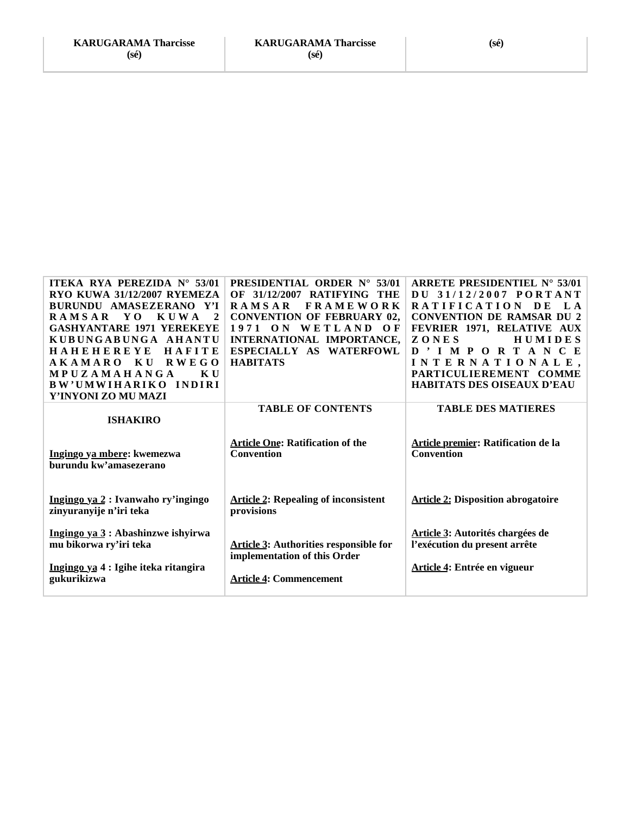| <b>ITEKA RYA PEREZIDA N° 53/01</b><br>RYO KUWA 31/12/2007 RYEMEZA<br>BURUNDU AMASEZERANO Y'I<br><b>RAMSAR</b><br>Y O<br><b>KUWA</b><br>$\mathbf{2}$<br><b>GASHYANTARE 1971 YEREKEYE</b><br>KUBUNGABUNGA AHANTU<br><b>HAHEHEREYE</b><br>HAFITE | <b>PRESIDENTIAL ORDER N° 53/01</b><br>OF 31/12/2007 RATIFYING THE<br><b>RAMSAR</b><br><b>FRAMEWORK</b><br><b>CONVENTION OF FEBRUARY 02,</b><br>1971 ON WETLAND OF<br>INTERNATIONAL IMPORTANCE,<br>ESPECIALLY AS WATERFOWL | ARRETE PRESIDENTIEL $N^{\circ}$ 53/01<br>DU 31/12/2007 PORTANT<br><b>RATIFICATION</b><br>$\mathbf{L}$ A<br>DE<br><b>CONVENTION DE RAMSAR DU 2</b><br>FEVRIER 1971, RELATIVE AUX<br>ZONES<br><b>HUMIDES</b><br>D'IMPORTANCE |
|-----------------------------------------------------------------------------------------------------------------------------------------------------------------------------------------------------------------------------------------------|---------------------------------------------------------------------------------------------------------------------------------------------------------------------------------------------------------------------------|----------------------------------------------------------------------------------------------------------------------------------------------------------------------------------------------------------------------------|
| AKAMARO KU<br>RWEGO<br>MPUZAMAHANGA<br>K U<br><b>BW'UMWIHARIKO</b><br>INDIRI<br>Y'INYONI ZO MU MAZI                                                                                                                                           | <b>HABITATS</b>                                                                                                                                                                                                           | INTERNATIONALE,<br>PARTICULIEREMENT COMME<br>HABITATS DES OISEAUX D'EAU                                                                                                                                                    |
| <b>ISHAKIRO</b>                                                                                                                                                                                                                               | <b>TABLE OF CONTENTS</b><br><b>Article One: Ratification of the</b>                                                                                                                                                       | <b>TABLE DES MATIERES</b><br>Article premier: Ratification de la                                                                                                                                                           |
| Ingingo ya mbere: kwemezwa<br>burundu kw'amasezerano                                                                                                                                                                                          | <b>Convention</b>                                                                                                                                                                                                         | <b>Convention</b>                                                                                                                                                                                                          |
| Ingingo ya 2 : Ivanwaho ry'ingingo<br>zinyuranyije n'iri teka                                                                                                                                                                                 | <b>Article 2: Repealing of inconsistent</b><br>provisions                                                                                                                                                                 | <b>Article 2: Disposition abrogatoire</b>                                                                                                                                                                                  |
| Ingingo ya 3 : Abashinzwe ishyirwa<br>mu bikorwa ry'iri teka<br>Ingingo ya 4 : Igihe iteka ritangira<br>gukurikizwa                                                                                                                           | <b>Article 3: Authorities responsible for</b><br>implementation of this Order<br><b>Article 4: Commencement</b>                                                                                                           | Article 3: Autorités chargées de<br>l'exécution du present arrête<br>Article 4: Entrée en vigueur                                                                                                                          |
|                                                                                                                                                                                                                                               |                                                                                                                                                                                                                           |                                                                                                                                                                                                                            |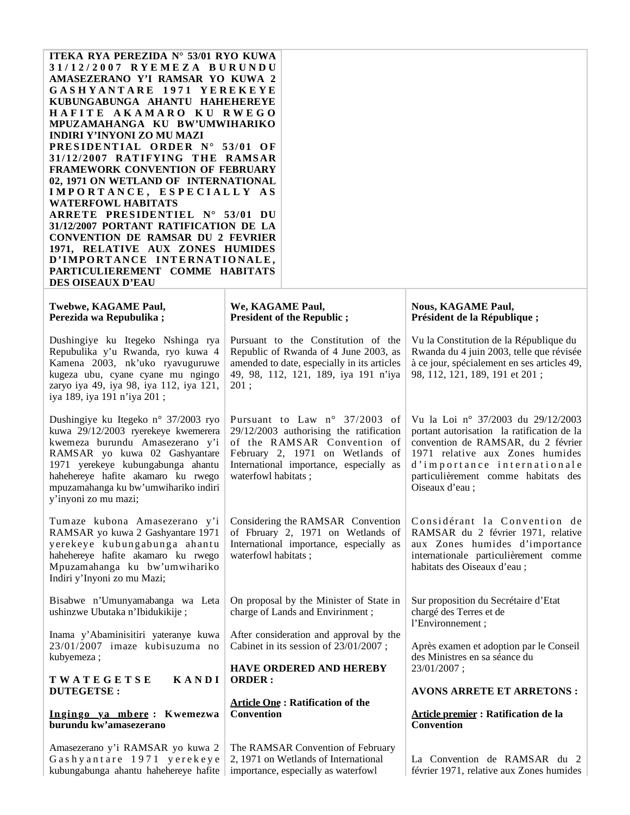| ITEKA RYA PEREZIDA N° 53/01 RYO KUWA<br>31/12/2007 RYEMEZA BURUNDU<br>AMASEZERANO Y'I RAMSAR YO KUWA 2<br>GASHYANTARE 1971 YEREKEYE<br>KUBUNGABUNGA AHANTU HAHEHEREYE<br>HAFITE AKAMARO KU RWEGO<br>MPUZAMAHANGA KU BW'UMWIHARIKO<br><b>INDIRI Y'INYONI ZO MU MAZI</b><br>PRESIDENTIAL ORDER N° 53/01 OF<br>31/12/2007 RATIFYING THE RAMSAR<br>FRAMEWORK CONVENTION OF FEBRUARY<br>02, 1971 ON WETLAND OF INTERNATIONAL<br>IMPORTANCE, ESPECIALLY AS<br><b>WATERFOWL HABITATS</b><br>ARRETE PRESIDENTIEL N° 53/01 DU<br>31/12/2007 PORTANT RATIFICATION DE LA<br><b>CONVENTION DE RAMSAR DU 2 FEVRIER</b><br>1971, RELATIVE AUX ZONES HUMIDES<br>D'IMPORTANCE INTERNATIONALE,<br>PARTICULIEREMENT COMME HABITATS |                                                                                                                                                                                                              |                                                                                                                                                                                                                                                    |
|------------------------------------------------------------------------------------------------------------------------------------------------------------------------------------------------------------------------------------------------------------------------------------------------------------------------------------------------------------------------------------------------------------------------------------------------------------------------------------------------------------------------------------------------------------------------------------------------------------------------------------------------------------------------------------------------------------------|--------------------------------------------------------------------------------------------------------------------------------------------------------------------------------------------------------------|----------------------------------------------------------------------------------------------------------------------------------------------------------------------------------------------------------------------------------------------------|
| DES OISEAUX D'EAU<br>Twebwe, KAGAME Paul,<br>Perezida wa Repubulika;                                                                                                                                                                                                                                                                                                                                                                                                                                                                                                                                                                                                                                             | We, KAGAME Paul,<br><b>President of the Republic ;</b>                                                                                                                                                       | <b>Nous, KAGAME Paul,</b><br>Président de la République;                                                                                                                                                                                           |
| Dushingiye ku Itegeko Nshinga rya<br>Repubulika y'u Rwanda, ryo kuwa 4<br>Kamena 2003, nk'uko ryavuguruwe<br>kugeza ubu, cyane cyane mu ngingo<br>zaryo iya 49, iya 98, iya 112, iya 121,<br>iya 189, iya 191 n'iya 201;                                                                                                                                                                                                                                                                                                                                                                                                                                                                                         | Pursuant to the Constitution of the<br>Republic of Rwanda of 4 June 2003, as<br>amended to date, especially in its articles<br>49, 98, 112, 121, 189, iya 191 n'iya<br>201;                                  | Vu la Constitution de la République du<br>Rwanda du 4 juin 2003, telle que révisée<br>à ce jour, spécialement en ses articles 49,<br>98, 112, 121, 189, 191 et 201;                                                                                |
| Dushingiye ku Itegeko n° 37/2003 ryo<br>kuwa 29/12/2003 ryerekeye kwemerera<br>kwemeza burundu Amasezerano y'i<br>RAMSAR yo kuwa 02 Gashyantare<br>1971 yerekeye kubungabunga ahantu<br>hahehereye hafite akamaro ku rwego<br>mpuzamahanga ku bw'umwihariko indiri<br>y'inyoni zo mu mazi;                                                                                                                                                                                                                                                                                                                                                                                                                       | Pursuant to Law n° 37/2003 of<br>29/12/2003 authorising the ratification<br>of the RAMSAR Convention of<br>February 2, 1971 on Wetlands of<br>International importance, especially as<br>waterfowl habitats; | Vu la Loi nº 37/2003 du 29/12/2003<br>portant autorisation la ratification de la<br>convention de RAMSAR, du 2 février<br>1971 relative aux Zones humides<br>d'importance internationale<br>particulièrement comme habitats des<br>Oiseaux d'eau : |
| Tumaze kubona Amasezerano y'i<br>RAMSAR yo kuwa 2 Gashyantare 1971<br>yerekeye kubungabunga ahantu<br>hahehereye hafite akamaro ku rwego<br>Mpuzamahanga ku bw'umwihariko<br>Indiri y'Inyoni zo mu Mazi;                                                                                                                                                                                                                                                                                                                                                                                                                                                                                                         | Considering the RAMSAR Convention<br>of Fbruary 2, 1971 on Wetlands of<br>International importance, especially as<br>waterfowl habitats;                                                                     | Considérant la Convention de<br>RAMSAR du 2 février 1971, relative<br>aux Zones humides d'importance<br>internationale particulièrement comme<br>habitats des Oiseaux d'eau ;                                                                      |
| Bisabwe n'Umunyamabanga wa Leta<br>ushinzwe Ubutaka n'Ibidukikije;                                                                                                                                                                                                                                                                                                                                                                                                                                                                                                                                                                                                                                               | On proposal by the Minister of State in<br>charge of Lands and Envirinment;                                                                                                                                  | Sur proposition du Secrétaire d'Etat<br>chargé des Terres et de<br>l'Environnement;                                                                                                                                                                |
| Inama y'Abaminisitiri yateranye kuwa<br>23/01/2007 imaze kubisuzuma no<br>kubyemeza;                                                                                                                                                                                                                                                                                                                                                                                                                                                                                                                                                                                                                             | After consideration and approval by the<br>Cabinet in its session of 23/01/2007;<br><b>HAVE ORDERED AND HEREBY</b>                                                                                           | Après examen et adoption par le Conseil<br>des Ministres en sa séance du<br>23/01/2007;                                                                                                                                                            |
| KANDI<br>TWATEGETSE<br><b>DUTEGETSE:</b>                                                                                                                                                                                                                                                                                                                                                                                                                                                                                                                                                                                                                                                                         | <b>ORDER:</b><br><b>Article One: Ratification of the</b>                                                                                                                                                     | <b>AVONS ARRETE ET ARRETONS:</b>                                                                                                                                                                                                                   |
| Ingingo ya mbere: Kwemezwa<br>burundu kw'amasezerano                                                                                                                                                                                                                                                                                                                                                                                                                                                                                                                                                                                                                                                             | <b>Convention</b>                                                                                                                                                                                            | <b>Article premier: Ratification de la</b><br>Convention                                                                                                                                                                                           |
| Amasezerano y'i RAMSAR yo kuwa 2<br>Gashyantare 1971 yerekeye<br>kubungabunga ahantu hahehereye hafite                                                                                                                                                                                                                                                                                                                                                                                                                                                                                                                                                                                                           | The RAMSAR Convention of February<br>2, 1971 on Wetlands of International<br>importance, especially as waterfowl                                                                                             | La Convention de RAMSAR du 2<br>février 1971, relative aux Zones humides                                                                                                                                                                           |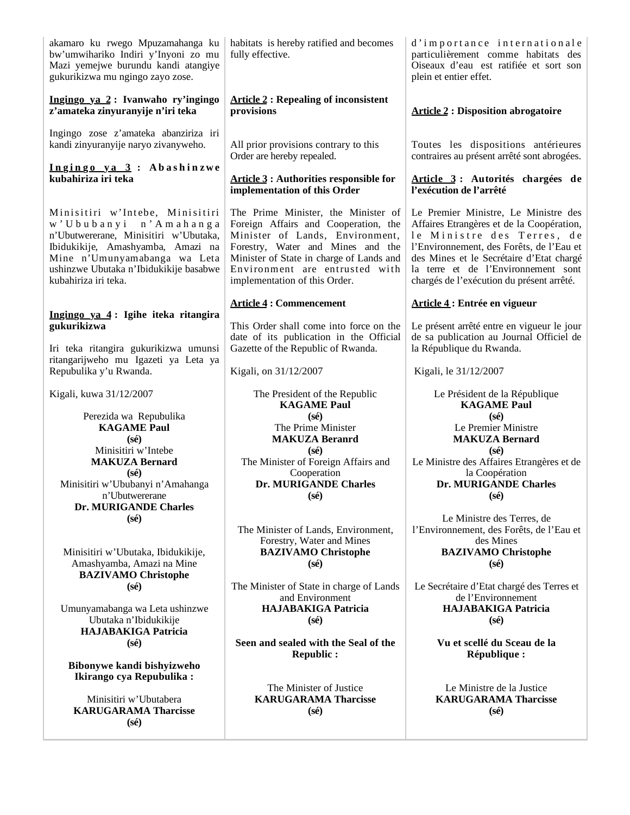| akamaro ku rwego Mpuzamahanga ku<br>bw'umwihariko Indiri y'Inyoni zo mu<br>Mazi yemejwe burundu kandi atangiye<br>gukurikizwa mu ngingo zayo zose.                                                                                       | habitats is hereby ratified and becomes<br>fully effective.                                                                                                                                                                                                        | d'importance internationale<br>particulièrement comme habitats des<br>Oiseaux d'eau est ratifiée et sort son<br>plein et entier effet.                                                                                                                                                      |
|------------------------------------------------------------------------------------------------------------------------------------------------------------------------------------------------------------------------------------------|--------------------------------------------------------------------------------------------------------------------------------------------------------------------------------------------------------------------------------------------------------------------|---------------------------------------------------------------------------------------------------------------------------------------------------------------------------------------------------------------------------------------------------------------------------------------------|
| Ingingo ya 2: Ivanwaho ry'ingingo<br>z'amateka zinyuranyije n'iri teka                                                                                                                                                                   | <b>Article 2: Repealing of inconsistent</b><br>provisions                                                                                                                                                                                                          | <b>Article 2: Disposition abrogatoire</b>                                                                                                                                                                                                                                                   |
| Ingingo zose z'amateka abanziriza iri<br>kandi zinyuranyije naryo zivanyweho.<br>Ingingo ya 3: Abashinzwe                                                                                                                                | All prior provisions contrary to this<br>Order are hereby repealed.                                                                                                                                                                                                | Toutes les dispositions antérieures<br>contraires au présent arrêté sont abrogées.                                                                                                                                                                                                          |
| kubahiriza iri teka                                                                                                                                                                                                                      | <b>Article 3: Authorities responsible for</b><br>implementation of this Order                                                                                                                                                                                      | Article 3 : Autorités chargées de<br>l'exécution de l'arrêté                                                                                                                                                                                                                                |
| Minisitiri w'Intebe, Minisitiri<br>w'Ububanyi n'Amahanga<br>n'Ubutwererane, Minisitiri w'Ubutaka,<br>Ibidukikije, Amashyamba, Amazi na<br>Mine n'Umunyamabanga wa Leta<br>ushinzwe Ubutaka n'Ibidukikije basabwe<br>kubahiriza iri teka. | The Prime Minister, the Minister of<br>Foreign Affairs and Cooperation, the<br>Minister of Lands, Environment,<br>Forestry, Water and Mines and the<br>Minister of State in charge of Lands and<br>Environment are entrusted with<br>implementation of this Order. | Le Premier Ministre, Le Ministre des<br>Affaires Etrangères et de la Coopération,<br>le Ministre des Terres, de<br>l'Environnement, des Forêts, de l'Eau et<br>des Mines et le Secrétaire d'Etat chargé<br>la terre et de l'Environnement sont<br>chargés de l'exécution du présent arrêté. |
|                                                                                                                                                                                                                                          | <b>Article 4: Commencement</b>                                                                                                                                                                                                                                     | <b>Article 4: Entrée en vigueur</b>                                                                                                                                                                                                                                                         |
| Ingingo ya 4: Igihe iteka ritangira<br>gukurikizwa<br>Iri teka ritangira gukurikizwa umunsi                                                                                                                                              | This Order shall come into force on the<br>date of its publication in the Official<br>Gazette of the Republic of Rwanda.                                                                                                                                           | Le présent arrêté entre en vigueur le jour<br>de sa publication au Journal Officiel de<br>la République du Rwanda.                                                                                                                                                                          |
| ritangarijweho mu Igazeti ya Leta ya<br>Repubulika y'u Rwanda.                                                                                                                                                                           | Kigali, on 31/12/2007                                                                                                                                                                                                                                              | Kigali, le 31/12/2007                                                                                                                                                                                                                                                                       |
| Kigali, kuwa 31/12/2007                                                                                                                                                                                                                  | The President of the Republic<br><b>KAGAME Paul</b>                                                                                                                                                                                                                | Le Président de la République<br><b>KAGAME Paul</b>                                                                                                                                                                                                                                         |
| Perezida wa Repubulika<br><b>KAGAME Paul</b><br>$(s\acute{e})$                                                                                                                                                                           | $(s\acute{e})$<br>The Prime Minister<br><b>MAKUZA Beranrd</b>                                                                                                                                                                                                      | $(s\acute{e})$<br>Le Premier Ministre<br><b>MAKUZA Bernard</b>                                                                                                                                                                                                                              |
| Minisitiri w'Intebe<br><b>MAKUZA Bernard</b><br>$(s\acute{e})$<br>Minisitiri w'Ububanyi n'Amahanga<br>n'Ubutwererane                                                                                                                     | $(s\acute{e})$<br>The Minister of Foreign Affairs and<br>Cooperation<br>Dr. MURIGANDE Charles<br>$(s\acute{e})$                                                                                                                                                    | $(s\acute{e})$<br>Le Ministre des Affaires Etrangères et de<br>la Coopération<br>Dr. MURIGANDE Charles<br>$(s\acute{e})$                                                                                                                                                                    |
| Dr. MURIGANDE Charles<br>$(s\acute{e})$<br>Minisitiri w'Ubutaka, Ibidukikije,                                                                                                                                                            | The Minister of Lands, Environment,<br>Forestry, Water and Mines<br><b>BAZIVAMO Christophe</b>                                                                                                                                                                     | Le Ministre des Terres, de<br>l'Environnement, des Forêts, de l'Eau et<br>des Mines<br><b>BAZIVAMO Christophe</b>                                                                                                                                                                           |
| Amashyamba, Amazi na Mine<br><b>BAZIVAMO Christophe</b>                                                                                                                                                                                  | $(s\acute{e})$                                                                                                                                                                                                                                                     | $(s\acute{e})$                                                                                                                                                                                                                                                                              |
| $(s\acute{e})$                                                                                                                                                                                                                           | The Minister of State in charge of Lands<br>and Environment                                                                                                                                                                                                        | Le Secrétaire d'Etat chargé des Terres et<br>de l'Environnement                                                                                                                                                                                                                             |
| Umunyamabanga wa Leta ushinzwe<br>Ubutaka n'Ibidukikije<br><b>HAJABAKIGA Patricia</b>                                                                                                                                                    | <b>HAJABAKIGA Patricia</b><br>$(s\acute{e})$                                                                                                                                                                                                                       | <b>HAJABAKIGA Patricia</b><br>$(s\acute{e})$                                                                                                                                                                                                                                                |
| $(s\acute{e})$                                                                                                                                                                                                                           | Seen and sealed with the Seal of the<br><b>Republic:</b>                                                                                                                                                                                                           | Vu et scellé du Sceau de la<br>République :                                                                                                                                                                                                                                                 |
| Bibonywe kandi bishyizweho<br>Ikirango cya Repubulika:                                                                                                                                                                                   |                                                                                                                                                                                                                                                                    |                                                                                                                                                                                                                                                                                             |
| Minisitiri w'Ubutabera<br><b>KARUGARAMA Tharcisse</b><br>$(s\acute{e})$                                                                                                                                                                  | The Minister of Justice<br><b>KARUGARAMA Tharcisse</b><br>$(s\acute{e})$                                                                                                                                                                                           | Le Ministre de la Justice<br><b>KARUGARAMA Tharcisse</b><br>$(s\acute{e})$                                                                                                                                                                                                                  |
|                                                                                                                                                                                                                                          |                                                                                                                                                                                                                                                                    |                                                                                                                                                                                                                                                                                             |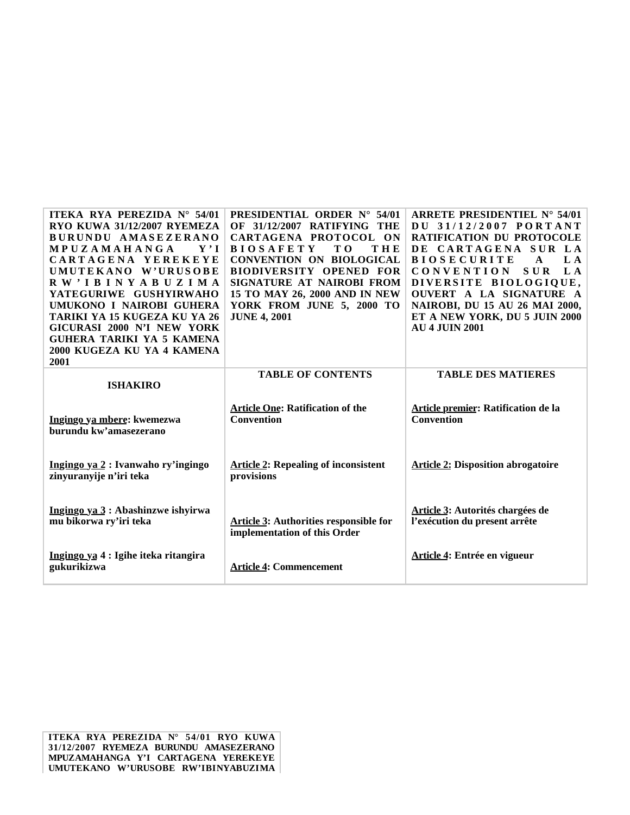| ITEKA RYA PEREZIDA N° 54/01<br>RYO KUWA 31/12/2007 RYEMEZA<br>BURUNDU AMASEZERANO<br>MPUZAMAHANGA<br>${\bf Y}$ , ${\bf I}$<br>CARTAGENA YEREKEYE<br>UMUTEKANO W'URUSOBE<br>RW'IBINYABUZIMA<br>YATEGURIWE GUSHYIRWAHO<br>UMUKONO I NAIROBI GUHERA<br>TARIKI YA 15 KUGEZA KU YA 26<br>GICURASI 2000 N'I NEW YORK<br><b>GUHERA TARIKI YA 5 KAMENA</b><br>2000 KUGEZA KU YA 4 KAMENA<br>2001 | <b>PRESIDENTIAL ORDER N° 54/01</b><br>OF 31/12/2007 RATIFYING THE<br>CARTAGENA PROTOCOL ON<br>THE<br><b>BIOSAFETY</b><br>T O<br><b>CONVENTION ON BIOLOGICAL</b><br><b>BIODIVERSITY OPENED FOR</b><br>SIGNATURE AT NAIROBI FROM<br>15 TO MAY 26, 2000 AND IN NEW<br>YORK FROM JUNE 5, 2000 TO<br><b>JUNE 4, 2001</b> | ARRETE PRESIDENTIEL $N^{\circ}$ 54/01<br>DU 31/12/2007 PORTANT<br><b>RATIFICATION DU PROTOCOLE</b><br>DE CARTAGENA SUR LA<br>L A<br><b>BIOSECURITE</b><br>A<br><b>CONVENTION</b><br><b>SUR</b><br>L A<br>DIVERSITE BIOLOGIQUE,<br>OUVERT A LA SIGNATURE A<br>NAIROBI, DU 15 AU 26 MAI 2000,<br>ET A NEW YORK, DU 5 JUIN 2000<br><b>AU 4 JUIN 2001</b> |
|------------------------------------------------------------------------------------------------------------------------------------------------------------------------------------------------------------------------------------------------------------------------------------------------------------------------------------------------------------------------------------------|---------------------------------------------------------------------------------------------------------------------------------------------------------------------------------------------------------------------------------------------------------------------------------------------------------------------|-------------------------------------------------------------------------------------------------------------------------------------------------------------------------------------------------------------------------------------------------------------------------------------------------------------------------------------------------------|
| <b>ISHAKIRO</b>                                                                                                                                                                                                                                                                                                                                                                          | <b>TABLE OF CONTENTS</b>                                                                                                                                                                                                                                                                                            | <b>TABLE DES MATIERES</b>                                                                                                                                                                                                                                                                                                                             |
| Ingingo ya mbere: kwemezwa<br>burundu kw'amasezerano                                                                                                                                                                                                                                                                                                                                     | <b>Article One: Ratification of the</b><br><b>Convention</b>                                                                                                                                                                                                                                                        | Article premier: Ratification de la<br><b>Convention</b>                                                                                                                                                                                                                                                                                              |
| Ingingo ya 2 : Ivanwaho ry'ingingo<br>zinyuranyije n'iri teka                                                                                                                                                                                                                                                                                                                            | <b>Article 2: Repealing of inconsistent</b><br>provisions                                                                                                                                                                                                                                                           | <b>Article 2: Disposition abrogatoire</b>                                                                                                                                                                                                                                                                                                             |
| Ingingo ya 3 : Abashinzwe ishyirwa<br>mu bikorwa ry'iri teka                                                                                                                                                                                                                                                                                                                             | <b>Article 3: Authorities responsible for</b><br>implementation of this Order                                                                                                                                                                                                                                       | Article 3: Autorités chargées de<br>l'exécution du present arrête                                                                                                                                                                                                                                                                                     |
| Ingingo ya 4 : Igihe iteka ritangira<br>gukurikizwa                                                                                                                                                                                                                                                                                                                                      | <b>Article 4: Commencement</b>                                                                                                                                                                                                                                                                                      | Article 4: Entrée en vigueur                                                                                                                                                                                                                                                                                                                          |

**ITEKA RYA PEREZIDA N° 54/01 RYO KUWA 31/12/2007 RYEMEZA BURUNDU AMASEZERANO MPUZAMAHANGA Y'I CARTAGENA YEREKEYE UMUTEKANO W'URUSOBE RW'IBINYABUZIMA**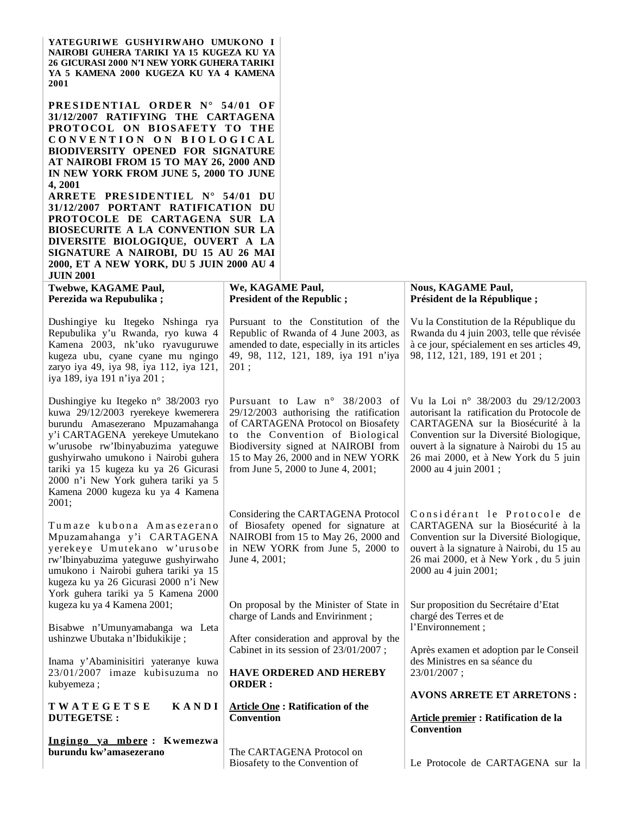| YATEGURIWE GUSHYIRWAHO UMUKONO I<br>NAIROBI GUHERA TARIKI YA 15 KUGEZA KU YA<br><b>26 GICURASI 2000 N'I NEW YORK GUHERA TARIKI</b><br>YA 5 KAMENA 2000 KUGEZA KU YA 4 KAMENA<br><b>2001</b>                                                                                                                                                                                                                                                                                                                                                                                                     |                                                                                                                                                                                                                                                                      |                                                                                                                                                                                                                                                                              |  |  |
|-------------------------------------------------------------------------------------------------------------------------------------------------------------------------------------------------------------------------------------------------------------------------------------------------------------------------------------------------------------------------------------------------------------------------------------------------------------------------------------------------------------------------------------------------------------------------------------------------|----------------------------------------------------------------------------------------------------------------------------------------------------------------------------------------------------------------------------------------------------------------------|------------------------------------------------------------------------------------------------------------------------------------------------------------------------------------------------------------------------------------------------------------------------------|--|--|
| PRESIDENTIAL ORDER N° 54/01 OF<br>31/12/2007 RATIFYING THE CARTAGENA<br>PROTOCOL ON BIOSAFETY TO THE<br>CONVENTION ON BIOLOGICAL<br><b>BIODIVERSITY OPENED FOR SIGNATURE</b><br>AT NAIROBI FROM 15 TO MAY 26, 2000 AND<br>IN NEW YORK FROM JUNE 5, 2000 TO JUNE<br>4, 2001<br>ARRETE PRESIDENTIEL N° 54/01 DU<br>31/12/2007 PORTANT RATIFICATION DU<br>PROTOCOLE DE CARTAGENA SUR LA<br>BIOSECURITE A LA CONVENTION SUR LA<br>DIVERSITE BIOLOGIQUE, OUVERT A LA<br>SIGNATURE A NAIROBI, DU 15 AU 26 MAI<br>2000, ET A NEW YORK, DU 5 JUIN 2000 AU 4<br><b>JUIN 2001</b><br>Twebwe, KAGAME Paul, | We, KAGAME Paul,                                                                                                                                                                                                                                                     | <b>Nous, KAGAME Paul,</b>                                                                                                                                                                                                                                                    |  |  |
| Perezida wa Repubulika;                                                                                                                                                                                                                                                                                                                                                                                                                                                                                                                                                                         | <b>President of the Republic;</b>                                                                                                                                                                                                                                    | Président de la République;                                                                                                                                                                                                                                                  |  |  |
| Dushingiye ku Itegeko Nshinga rya<br>Repubulika y'u Rwanda, ryo kuwa 4<br>Kamena 2003, nk'uko ryavuguruwe<br>kugeza ubu, cyane cyane mu ngingo<br>zaryo iya 49, iya 98, iya 112, iya 121,<br>iya 189, iya 191 n'iya 201;                                                                                                                                                                                                                                                                                                                                                                        | Pursuant to the Constitution of the<br>Republic of Rwanda of 4 June 2003, as<br>amended to date, especially in its articles<br>49, 98, 112, 121, 189, iya 191 n'iya<br>201;                                                                                          | Vu la Constitution de la République du<br>Rwanda du 4 juin 2003, telle que révisée<br>à ce jour, spécialement en ses articles 49,<br>98, 112, 121, 189, 191 et 201;                                                                                                          |  |  |
| Dushingiye ku Itegeko n° 38/2003 ryo<br>kuwa 29/12/2003 ryerekeye kwemerera<br>burundu Amasezerano Mpuzamahanga<br>y'i CARTAGENA yerekeye Umutekano<br>w'urusobe rw'Ibinyabuzima yateguwe<br>gushyirwaho umukono i Nairobi guhera<br>tariki ya 15 kugeza ku ya 26 Gicurasi<br>2000 n'i New York guhera tariki ya 5<br>Kamena 2000 kugeza ku ya 4 Kamena<br>2001;                                                                                                                                                                                                                                | Pursuant to Law n° 38/2003 of<br>29/12/2003 authorising the ratification<br>of CARTAGENA Protocol on Biosafety<br>to the Convention of Biological<br>Biodiversity signed at NAIROBI from<br>15 to May 26, 2000 and in NEW YORK<br>from June 5, 2000 to June 4, 2001; | Vu la Loi nº 38/2003 du 29/12/2003<br>autorisant la ratification du Protocole de<br>CARTAGENA sur la Biosécurité à la<br>Convention sur la Diversité Biologique,<br>ouvert à la signature à Nairobi du 15 au<br>26 mai 2000, et à New York du 5 juin<br>2000 au 4 juin 2001; |  |  |
| Tumaze kubona Amasezerano<br>Mpuzamahanga y'i CARTAGENA<br>yerekeye Umutekano w'urusobe<br>rw'Ibinyabuzima yateguwe gushyirwaho<br>umukono i Nairobi guhera tariki ya 15<br>kugeza ku ya 26 Gicurasi 2000 n'i New<br>York guhera tariki ya 5 Kamena 2000                                                                                                                                                                                                                                                                                                                                        | Considering the CARTAGENA Protocol<br>of Biosafety opened for signature at<br>NAIROBI from 15 to May 26, 2000 and<br>in NEW YORK from June 5, 2000 to<br>June 4, 2001;                                                                                               | Considérant le Protocole de<br>CARTAGENA sur la Biosécurité à la<br>Convention sur la Diversité Biologique,<br>ouvert à la signature à Nairobi, du 15 au<br>26 mai 2000, et à New York, du 5 juin<br>2000 au 4 juin 2001;                                                    |  |  |
| kugeza ku ya 4 Kamena 2001;                                                                                                                                                                                                                                                                                                                                                                                                                                                                                                                                                                     | On proposal by the Minister of State in<br>charge of Lands and Envirinment;                                                                                                                                                                                          | Sur proposition du Secrétaire d'Etat<br>chargé des Terres et de                                                                                                                                                                                                              |  |  |
| Bisabwe n'Umunyamabanga wa Leta<br>ushinzwe Ubutaka n'Ibidukikije;                                                                                                                                                                                                                                                                                                                                                                                                                                                                                                                              | After consideration and approval by the<br>Cabinet in its session of 23/01/2007;                                                                                                                                                                                     | l'Environnement;<br>Après examen et adoption par le Conseil                                                                                                                                                                                                                  |  |  |
| Inama y'Abaminisitiri yateranye kuwa<br>23/01/2007 imaze kubisuzuma no<br>kubyemeza;                                                                                                                                                                                                                                                                                                                                                                                                                                                                                                            | HAVE ORDERED AND HEREBY<br><b>ORDER:</b>                                                                                                                                                                                                                             | des Ministres en sa séance du<br>23/01/2007;                                                                                                                                                                                                                                 |  |  |
| TWATEGETSE<br>KANDI<br><b>DUTEGETSE:</b>                                                                                                                                                                                                                                                                                                                                                                                                                                                                                                                                                        | <b>Article One: Ratification of the</b><br>Convention                                                                                                                                                                                                                | <b>AVONS ARRETE ET ARRETONS:</b><br>Article premier : Ratification de la                                                                                                                                                                                                     |  |  |
| Ingingo ya mbere: Kwemezwa<br>burundu kw'amasezerano                                                                                                                                                                                                                                                                                                                                                                                                                                                                                                                                            | The CARTAGENA Protocol on<br>Biosafety to the Convention of                                                                                                                                                                                                          | <b>Convention</b><br>Le Protocole de CARTAGENA sur la                                                                                                                                                                                                                        |  |  |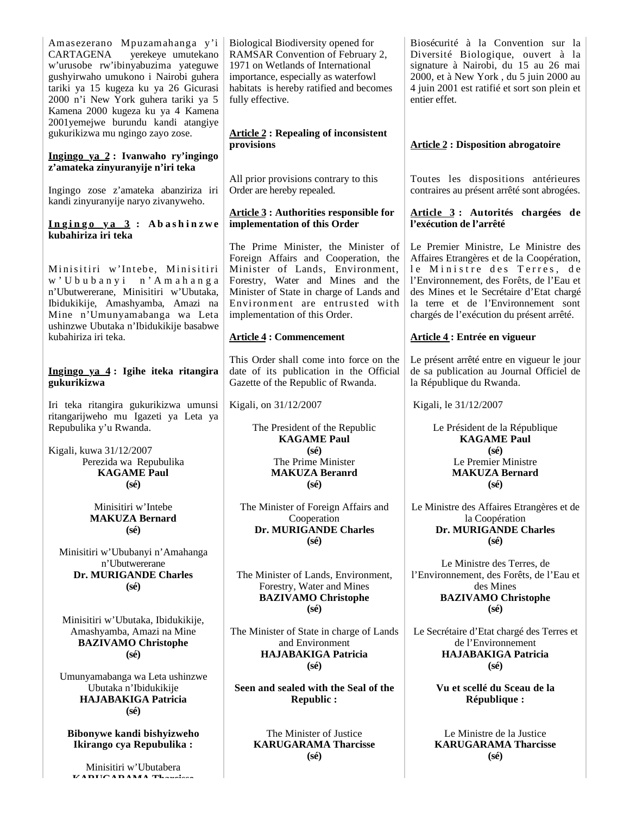Amasezerano Mpuzamahanga y'i CARTAGENA yerekeye umutekano w'urusobe rw'ibinyabuzima yateguwe gushyirwaho umukono i Nairobi guhera tariki ya 15 kugeza ku ya 26 Gicurasi 2000 n'i New York guhera tariki ya 5 Kamena 2000 kugeza ku ya 4 Kamena 2001yemejwe burundu kandi atangiye gukurikizwa mu ngingo zayo zose.

#### **Ingingo ya 2 : Ivanwaho ry'ingingo z'amateka zinyuranyije n'iri teka**

Ingingo zose z'amateka abanziriza iri kandi zinyuranyije naryo zivanyweho.

#### **I n g i n g o y a 3 : A b a s h i n z w e kubahiriza iri teka**

Minisitiri w'Intebe, Minisitiri w ' U b u b a n y i n ' A m a h a n g a n'Ubutwererane, Minisitiri w'Ubutaka, Ibidukikije, Amashyamba, Amazi na Mine n'Umunyamabanga wa Leta ushinzwe Ubutaka n'Ibidukikije basabwe kubahiriza iri teka.

#### **Ingingo ya 4 : Igihe iteka ritangira gukurikizwa**

Iri teka ritangira gukurikizwa umunsi ritangarijweho mu Igazeti ya Leta ya Repubulika y'u Rwanda.

Kigali, kuwa 31/12/2007 Perezida wa Repubulika **KAGAME Paul (sé)**

> Minisitiri w'Intebe **MAKUZA Bernard (sé)**

Minisitiri w'Ububanyi n'Amahanga n'Ubutwererane **Dr. MURIGANDE Charles (sé)**

Minisitiri w'Ubutaka, Ibidukikije, Amashyamba, Amazi na Mine **BAZIVAMO Christophe (sé)**

Umunyamabanga wa Leta ushinzwe Ubutaka n'Ibidukikije **HAJABAKIGA Patricia (sé)**

**Bibonywe kandi bishyizweho Ikirango cya Repubulika :**

Minisitiri w'Ubutabera **KARUGARAMA Tharcisse** Biological Biodiversity opened for RAMSAR Convention of February 2, 1971 on Wetlands of International importance, especially as waterfowl habitats is hereby ratified and becomes fully effective.

**Article 2 : Repealing of inconsistent provisions**

All prior provisions contrary to this Order are hereby repealed.

## **Article 3 : Authorities responsible for implementation of this Order**

The Prime Minister, the Minister of Foreign Affairs and Cooperation, the Minister of Lands, Environment, Forestry, Water and Mines and the Minister of State in charge of Lands and Environment are entrusted with implementation of this Order.

# **Article 4 : Commencement**

This Order shall come into force on the date of its publication in the Official Gazette of the Republic of Rwanda.

Kigali, on 31/12/2007

The President of the Republic **KAGAME Paul (sé)** The Prime Minister **MAKUZA Beranrd (sé)**

The Minister of Foreign Affairs and **Cooperation Dr. MURIGANDE Charles (sé)**

The Minister of Lands, Environment, Forestry, Water and Mines **BAZIVAMO Christophe (sé)**

The Minister of State in charge of Lands and Environment **HAJABAKIGA Patricia (sé)**

**Seen and sealed with the Seal of the Republic :**

> The Minister of Justice **KARUGARAMA Tharcisse (sé)**

Biosécurité à la Convention sur la Diversité Biologique, ouvert à la signature à Nairobi, du 15 au 26 mai 2000, et à New York , du 5 juin 2000 au 4 juin 2001 est ratifié et sort son plein et entier effet.

# **Article 2 : Disposition abrogatoire**

Toutes les dispositions antérieures contraires au présent arrêté sont abrogées.

## **Article 3 : Autorités chargées de l'exécution de l'arrêté**

Le Premier Ministre, Le Ministre des Affaires Etrangères et de la Coopération, le Ministre des Terres, de l'Environnement, des Forêts, de l'Eau et des Mines et le Secrétaire d'Etat chargé la terre et de l'Environnement sont chargés de l'exécution du présent arrêté.

# **Article 4 : Entrée en vigueur**

Le présent arrêté entre en vigueur le jour de sa publication au Journal Officiel de la République du Rwanda.

Kigali, le 31/12/2007

Le Président de la République **KAGAME Paul (sé)** Le Premier Ministre **MAKUZA Bernard (sé)**

Le Ministre des Affaires Etrangères et de la Coopération **Dr. MURIGANDE Charles (sé)**

Le Ministre des Terres, de l'Environnement, des Forêts, de l'Eau et des Mines **BAZIVAMO Christophe (sé)**

Le Secrétaire d'Etat chargé des Terres et de l'Environnement **HAJABAKIGA Patricia (sé)**

> **Vu et scellé du Sceau de la République :**

Le Ministre de la Justice **KARUGARAMA Tharcisse (sé)**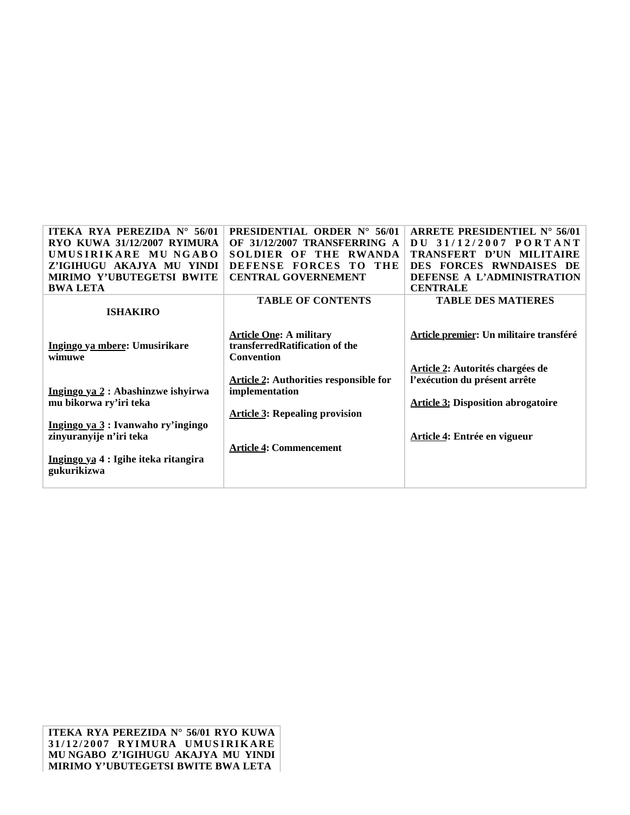| <b>ITEKA RYA PEREZIDA N° 56/01</b>   | <b>PRESIDENTIAL ORDER N° 56/01</b>            | ARRETE PRESIDENTIEL $N^{\circ}$ 56/01     |
|--------------------------------------|-----------------------------------------------|-------------------------------------------|
| RYO KUWA 31/12/2007 RYIMURA          | OF 31/12/2007 TRANSFERRING A                  | DU 31/12/2007 PORTANT                     |
| UMUSIRIKARE MU NGABO                 | <b>RWANDA</b><br>SOLDIER OF THE               | TRANSFERT D'UN MILITAIRE                  |
| Z'IGIHUGU AKAJYA MU YINDI            | <b>DEFENSE</b><br><b>FORCES</b><br>THE<br>TΟ  | DES FORCES RWNDAISES DE                   |
| <b>MIRIMO Y'UBUTEGETSI BWITE</b>     | <b>CENTRAL GOVERNEMENT</b>                    | DEFENSE A L'ADMINISTRATION                |
| <b>BWA LETA</b>                      |                                               | <b>CENTRALE</b>                           |
|                                      | <b>TABLE OF CONTENTS</b>                      | <b>TABLE DES MATIERES</b>                 |
| <b>ISHAKIRO</b>                      |                                               |                                           |
|                                      |                                               |                                           |
|                                      | <b>Article One: A military</b>                | Article premier: Un militaire transféré   |
| Ingingo ya mbere: Umusirikare        | transferred Ratification of the               |                                           |
| wimuwe                               | Convention                                    |                                           |
|                                      |                                               | <b>Article 2: Autorités chargées de</b>   |
|                                      | <b>Article 2: Authorities responsible for</b> | l'exécution du présent arrête             |
| Ingingo ya 2 : Abashinzwe ishyirwa   | implementation                                |                                           |
| mu bikorwa ry'iri teka               |                                               | <b>Article 3: Disposition abrogatoire</b> |
|                                      | <b>Article 3: Repealing provision</b>         |                                           |
| Ingingo ya 3 : Ivanwaho ry'ingingo   |                                               |                                           |
| zinyuranyije n'iri teka              |                                               | Article 4: Entrée en vigueur              |
|                                      | <b>Article 4: Commencement</b>                |                                           |
| Ingingo ya 4 : Igihe iteka ritangira |                                               |                                           |
| gukurikizwa                          |                                               |                                           |
|                                      |                                               |                                           |

**ITEKA RYA PEREZIDA N° 56/01 RYO KUWA 3 1 / 1 2 / 2 0 0 7 RYI MURA UMUS I RI K ARE MU NGABO Z'IGIHUGU AKAJYA MU YINDI MIRIMO Y'UBUTEGETSI BWITE BWA LETA**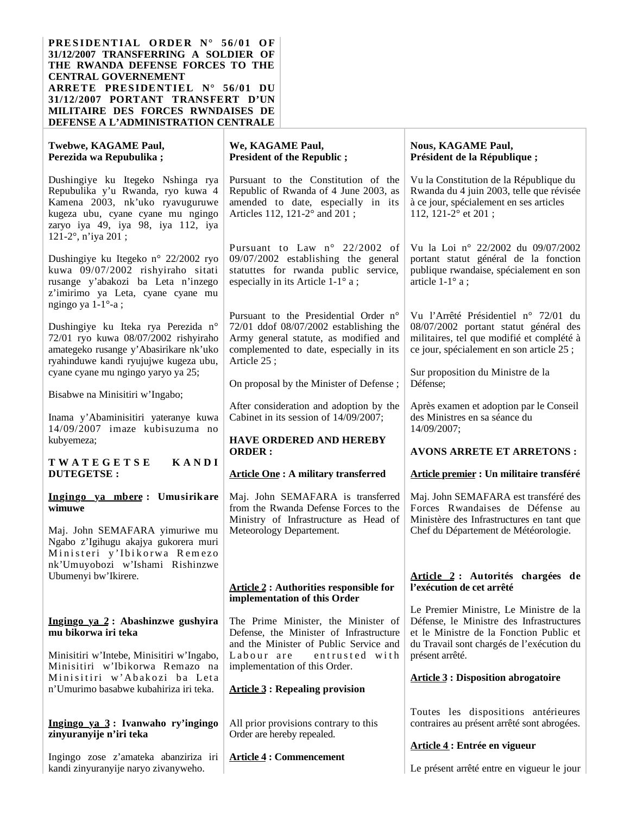**PRESIDENTIAL ORDER N° 56/01 OF 31/12/2007 TRANSFERRING A SOLDIER OF THE RWANDA DEFENSE FORCES TO THE CENTRAL GOVERNEMENT ARRETE PRESIDENTIEL N° 56/01 DU 31/12/2007 PORTANT TRANSFERT D'UN MILITAIRE DES FORCES RWNDAISES DE DEFENSE A L'ADMINISTRATION CENTRALE**

| Twebwe, KAGAME Paul,<br>Perezida wa Repubulika;                                                                                                                                                            | We, KAGAME Paul,<br><b>President of the Republic ;</b>                                                                                                                                 | <b>Nous, KAGAME Paul,</b><br>Président de la République;                                                                                                                   |
|------------------------------------------------------------------------------------------------------------------------------------------------------------------------------------------------------------|----------------------------------------------------------------------------------------------------------------------------------------------------------------------------------------|----------------------------------------------------------------------------------------------------------------------------------------------------------------------------|
| Dushingiye ku Itegeko Nshinga rya<br>Repubulika y'u Rwanda, ryo kuwa 4<br>Kamena 2003, nk'uko ryavuguruwe<br>kugeza ubu, cyane cyane mu ngingo<br>zaryo iya 49, iya 98, iya 112, iya<br>121-2°, n'iya 201; | Pursuant to the Constitution of the<br>Republic of Rwanda of 4 June 2003, as<br>amended to date, especially in its<br>Articles 112, 121-2° and 201;                                    | Vu la Constitution de la République du<br>Rwanda du 4 juin 2003, telle que révisée<br>à ce jour, spécialement en ses articles<br>112, 121-2° et 201;                       |
| Dushingiye ku Itegeko n° 22/2002 ryo<br>kuwa 09/07/2002 rishyiraho sitati<br>rusange y'abakozi ba Leta n'inzego<br>z'imirimo ya Leta, cyane cyane mu<br>ngingo ya 1-1°-a;                                  | Pursuant to Law n° 22/2002 of<br>09/07/2002 establishing the general<br>statuttes for rwanda public service,<br>especially in its Article 1-1° a;                                      | Vu la Loi nº 22/2002 du 09/07/2002<br>portant statut général de la fonction<br>publique rwandaise, spécialement en son<br>article $1-1^\circ$ a;                           |
| Dushingiye ku Iteka rya Perezida n°<br>72/01 ryo kuwa 08/07/2002 rishyiraho<br>amategeko rusange y'Abasirikare nk'uko<br>ryahinduwe kandi ryujujwe kugeza ubu,                                             | Pursuant to the Presidential Order n°<br>$72/01$ ddof $08/07/2002$ establishing the<br>Army general statute, as modified and<br>complemented to date, especially in its<br>Article 25; | Vu l'Arrêté Présidentiel n° 72/01 du<br>08/07/2002 portant statut général des<br>militaires, tel que modifié et complété à<br>ce jour, spécialement en son article 25 ;    |
| cyane cyane mu ngingo yaryo ya 25;<br>Bisabwe na Minisitiri w'Ingabo;                                                                                                                                      | On proposal by the Minister of Defense;                                                                                                                                                | Sur proposition du Ministre de la<br>Défense;                                                                                                                              |
| Inama y'Abaminisitiri yateranye kuwa<br>14/09/2007 imaze kubisuzuma no                                                                                                                                     | After consideration and adoption by the<br>Cabinet in its session of 14/09/2007;                                                                                                       | Après examen et adoption par le Conseil<br>des Ministres en sa séance du<br>14/09/2007;                                                                                    |
| kubyemeza;                                                                                                                                                                                                 | <b>HAVE ORDERED AND HEREBY</b><br><b>ORDER:</b>                                                                                                                                        | <b>AVONS ARRETE ET ARRETONS:</b>                                                                                                                                           |
| KANDI<br>TWATEGETSE                                                                                                                                                                                        |                                                                                                                                                                                        |                                                                                                                                                                            |
| <b>DUTEGETSE:</b>                                                                                                                                                                                          | <b>Article One: A military transferred</b>                                                                                                                                             | Article premier : Un militaire transféré                                                                                                                                   |
| Ingingo ya mbere: Umusirikare<br>wimuwe                                                                                                                                                                    | Maj. John SEMAFARA is transferred<br>from the Rwanda Defense Forces to the<br>Ministry of Infrastructure as Head of                                                                    | Maj. John SEMAFARA est transféré des<br>Forces Rwandaises de Défense au<br>Ministère des Infrastructures en tant que                                                       |
| Maj. John SEMAFARA yimuriwe mu<br>Ngabo z'Igihugu akajya gukorera muri<br>Ministeri y'Ibikorwa Remezo<br>nk'Umuyobozi w'Ishami Rishinzwe                                                                   | Meteorology Departement.                                                                                                                                                               | Chef du Département de Météorologie.                                                                                                                                       |
| Ubumenyi bw'Ikirere.                                                                                                                                                                                       | <b>Article 2 : Authorities responsible for</b>                                                                                                                                         | Article 2 : Autorités chargées de<br>l'exécution de cet arrêté                                                                                                             |
| Ingingo ya 2: Abashinzwe gushyira<br>mu bikorwa iri teka                                                                                                                                                   | implementation of this Order<br>The Prime Minister, the Minister of<br>Defense, the Minister of Infrastructure<br>and the Minister of Public Service and                               | Le Premier Ministre, Le Ministre de la<br>Défense, le Ministre des Infrastructures<br>et le Ministre de la Fonction Public et<br>du Travail sont chargés de l'exécution du |
| Minisitiri w'Intebe, Minisitiri w'Ingabo,<br>Minisitiri w'Ibikorwa Remazo na<br>Minisitiri w'Abakozi ba Leta<br>n'Umurimo basabwe kubahiriza iri teka.                                                     | Labour are<br>entrusted with<br>implementation of this Order.<br><b>Article 3: Repealing provision</b>                                                                                 | présent arrêté.<br><b>Article 3 : Disposition abrogatoire</b>                                                                                                              |
| Ingingo ya 3: Ivanwaho ry'ingingo<br>zinyuranyije n'iri teka                                                                                                                                               | All prior provisions contrary to this<br>Order are hereby repealed.                                                                                                                    | Toutes les dispositions antérieures<br>contraires au présent arrêté sont abrogées.                                                                                         |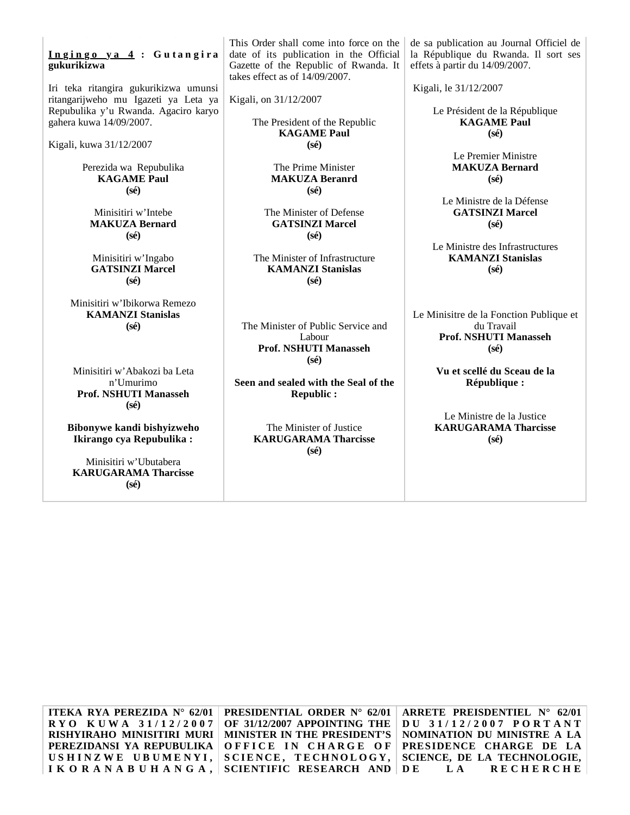#### **I n g i n g o y a 4 : G u t a n g i r a gukurikizwa**

Iri teka ritangira gukurikizwa umunsi ritangarijweho mu Igazeti ya Leta ya Repubulika y'u Rwanda. Agaciro karyo gahera kuwa 14/09/2007.

Kigali, kuwa 31/12/2007

Perezida wa Repubulika **KAGAME Paul (sé)**

Minisitiri w'Intebe **MAKUZA Bernard (sé)**

Minisitiri w'Ingabo **GATSINZI Marcel (sé)**

Minisitiri w'Ibikorwa Remezo **KAMANZI Stanislas (sé)**

Minisitiri w'Abakozi ba Leta n'Umurimo **Prof. NSHUTI Manasseh (sé)**

**Bibonywe kandi bishyizweho Ikirango cya Repubulika :**

Minisitiri w'Ubutabera **KARUGARAMA Tharcisse (sé)**

This Order shall come into force on the date of its publication in the Official Gazette of the Republic of Rwanda. It takes effect as of 14/09/2007.

Kigali, on 31/12/2007

The President of the Republic **KAGAME Paul (sé)**

> The Prime Minister **MAKUZA Beranrd (sé)**

The Minister of Defense **GATSINZI Marcel (sé)**

The Minister of Infrastructure **KAMANZI Stanislas (sé)**

The Minister of Public Service and Labour **Prof. NSHUTI Manasseh (sé)**

**Seen and sealed with the Seal of the Republic :**

> The Minister of Justice **KARUGARAMA Tharcisse (sé)**

de sa publication au Journal Officiel de la République du Rwanda. Il sort ses effets à partir du 14/09/2007.

Kigali, le 31/12/2007

Le Président de la République **KAGAME Paul (sé)**

> Le Premier Ministre **MAKUZA Bernard (sé)**

Le Ministre de la Défense **GATSINZI Marcel (sé)**

Le Ministre des Infrastructures **KAMANZI Stanislas (sé)**

Le Minisitre de la Fonction Publique et du Travail **Prof. NSHUTI Manasseh (sé)**

> **Vu et scellé du Sceau de la République :**

Le Ministre de la Justice **KARUGARAMA Tharcisse (sé)**

**ITEKA RYA PEREZIDA N° 62/01 R Y O K U W A 3 1 / 1 2 / 2 0 0 7 RISHYIRAHO MINISITIRI MURI PEREZIDANSI YA REPUBULIKA**  USHINZWE UBUMENYI, **IKORANABUHANGA, PRESIDENTIAL ORDER N° 62/01 OF 31/12/2007 APPOINTING THE MINISTER IN THE PRESIDENT'S OFFICE IN CHARGE OF** SCIENCE, TECHNOLOGY, **SCIENTIFIC RESEARCH AND ARRETE PREISDENTIEL N° 62/01 D U 3 1 / 1 2 / 2 0 0 7 P O R T A N T NOMINATION DU MINISTRE A LA PRESIDENCE CHARGE DE LA SCIENCE, DE LA TECHNOLOGIE, D E L A RECHERCHE**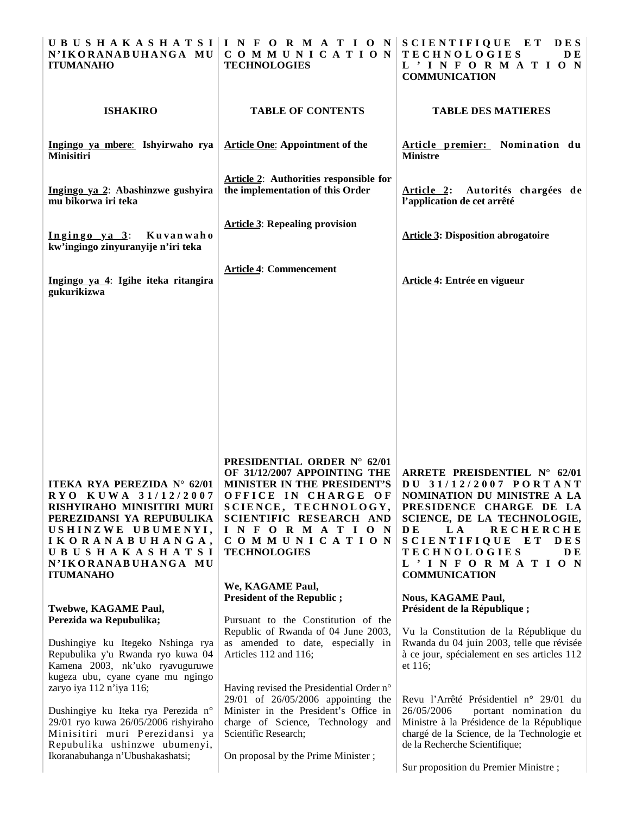| N'IKORANABUHANGA MU<br><b>ITUMANAHO</b>                                                                                                                                                                                    | UBUSHAKASHATSI INFORMATION SCIENTIFIQUE ET<br>COMMUNICATION<br><b>TECHNOLOGIES</b>                                                                                                                                                              | <b>DES</b><br><b>TECHNOLOGIES</b><br><b>DE</b><br>L'INFORMATION<br><b>COMMUNICATION</b>                                                                                                                                                                                                                 |
|----------------------------------------------------------------------------------------------------------------------------------------------------------------------------------------------------------------------------|-------------------------------------------------------------------------------------------------------------------------------------------------------------------------------------------------------------------------------------------------|---------------------------------------------------------------------------------------------------------------------------------------------------------------------------------------------------------------------------------------------------------------------------------------------------------|
| <b>ISHAKIRO</b>                                                                                                                                                                                                            | <b>TABLE OF CONTENTS</b>                                                                                                                                                                                                                        | <b>TABLE DES MATIERES</b>                                                                                                                                                                                                                                                                               |
| Ingingo ya mbere: Ishyirwaho rya<br>Minisitiri                                                                                                                                                                             | <b>Article One: Appointment of the</b>                                                                                                                                                                                                          | Article premier: Nomination du<br><b>Ministre</b>                                                                                                                                                                                                                                                       |
| Ingingo ya 2: Abashinzwe gushyira<br>mu bikorwa iri teka                                                                                                                                                                   | Article 2: Authorities responsible for<br>the implementation of this Order                                                                                                                                                                      | Article 2: Autorités chargées de<br>l'application de cet arrêté                                                                                                                                                                                                                                         |
| $Ingingo$ ya $3$ :<br>Kuvanwaho<br>kw'ingingo zinyuranyije n'iri teka                                                                                                                                                      | <b>Article 3: Repealing provision</b>                                                                                                                                                                                                           | <b>Article 3: Disposition abrogatoire</b>                                                                                                                                                                                                                                                               |
| Ingingo ya 4: Igihe iteka ritangira<br>gukurikizwa                                                                                                                                                                         | <b>Article 4: Commencement</b>                                                                                                                                                                                                                  | Article 4: Entrée en vigueur                                                                                                                                                                                                                                                                            |
|                                                                                                                                                                                                                            |                                                                                                                                                                                                                                                 |                                                                                                                                                                                                                                                                                                         |
|                                                                                                                                                                                                                            |                                                                                                                                                                                                                                                 |                                                                                                                                                                                                                                                                                                         |
|                                                                                                                                                                                                                            |                                                                                                                                                                                                                                                 |                                                                                                                                                                                                                                                                                                         |
| ITEKA RYA PEREZIDA N° 62/01<br>RYO KUWA 31/12/2007<br>RISHYIRAHO MINISITIRI MURI<br>PEREZIDANSI YA REPUBULIKA<br>USHINZWE UBUMENYI,<br>IKORANABUHANGA,<br><b>UBUSHAKASHATSI</b><br>N'IKORANABUHANGA MU<br><b>ITUMANAHO</b> | PRESIDENTIAL ORDER N° 62/01<br>OF 31/12/2007 APPOINTING THE<br>MINISTER IN THE PRESIDENT'S<br>OFFICE IN CHARGE OF<br>SCIENCE, TECHNOLOGY,<br>SCIENTIFIC RESEARCH AND<br>INFORMATION<br>COMMUNICATION<br><b>TECHNOLOGIES</b><br>We, KAGAME Paul, | ARRETE PREISDENTIEL $N^{\circ}$ 62/01<br>DU 31/12/2007 PORTANT<br>NOMINATION DU MINISTRE A LA<br>PRESIDENCE CHARGE DE LA<br>SCIENCE, DE LA TECHNOLOGIE,<br><b>DE</b><br>L A<br><b>RECHERCHE</b><br>SCIENTIFIQUE ET<br><b>DES</b><br><b>TECHNOLOGIES</b><br>DE.<br>L'INFORMATION<br><b>COMMUNICATION</b> |
| Twebwe, KAGAME Paul,<br>Perezida wa Repubulika;                                                                                                                                                                            | <b>President of the Republic ;</b><br>Pursuant to the Constitution of the                                                                                                                                                                       | <b>Nous, KAGAME Paul,</b><br>Président de la République;                                                                                                                                                                                                                                                |
| Dushingiye ku Itegeko Nshinga rya<br>Repubulika y'u Rwanda ryo kuwa 04<br>Kamena 2003, nk'uko ryavuguruwe                                                                                                                  | Republic of Rwanda of 04 June 2003,<br>as amended to date, especially in<br>Articles 112 and 116;                                                                                                                                               | Vu la Constitution de la République du<br>Rwanda du 04 juin 2003, telle que révisée<br>à ce jour, spécialement en ses articles 112<br>et $116$ ;                                                                                                                                                        |
| kugeza ubu, cyane cyane mu ngingo<br>zaryo iya 112 n'iya 116;<br>Dushingiye ku Iteka rya Perezida n°<br>29/01 ryo kuwa 26/05/2006 rishyiraho<br>Minisitiri muri Perezidansi ya<br>Repubulika ushinzwe ubumenyi,            | Having revised the Presidential Order n°<br>29/01 of 26/05/2006 appointing the<br>Minister in the President's Office in<br>charge of Science, Technology and<br>Scientific Research;                                                            | Revu l'Arrêté Présidentiel n° 29/01 du<br>26/05/2006<br>portant nomination du<br>Ministre à la Présidence de la République<br>chargé de la Science, de la Technologie et<br>de la Recherche Scientifique;                                                                                               |
| Ikoranabuhanga n'Ubushakashatsi;                                                                                                                                                                                           | On proposal by the Prime Minister;                                                                                                                                                                                                              | Sur proposition du Premier Ministre;                                                                                                                                                                                                                                                                    |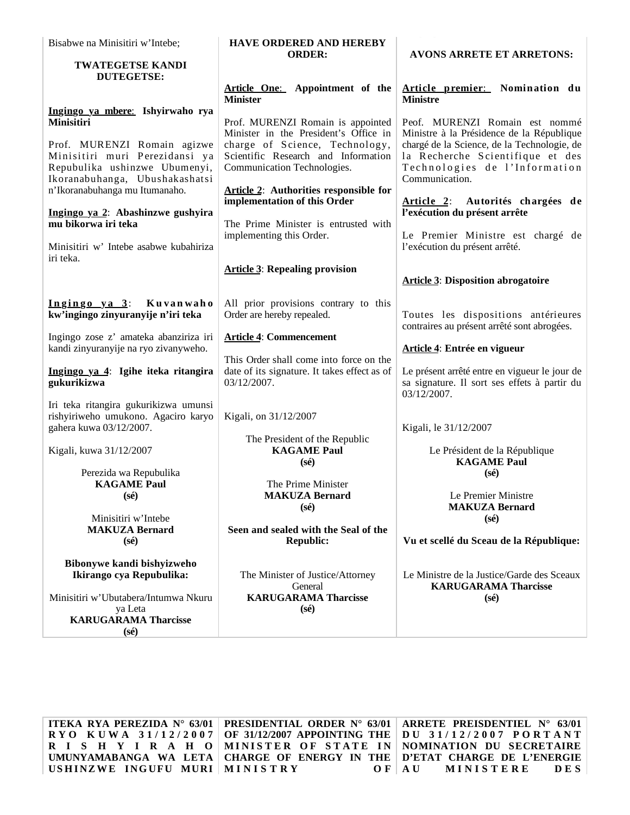| Bisabwe na Minisitiri w'Intebe;                                                                         | <b>HAVE ORDERED AND HEREBY</b>                                                                         |                                                                                                                  |
|---------------------------------------------------------------------------------------------------------|--------------------------------------------------------------------------------------------------------|------------------------------------------------------------------------------------------------------------------|
| <b>TWATEGETSE KANDI</b><br><b>DUTEGETSE:</b>                                                            | <b>ORDER:</b>                                                                                          | <b>AVONS ARRETE ET ARRETONS:</b>                                                                                 |
|                                                                                                         | Article One: Appointment of the<br><b>Minister</b>                                                     | Article premier: Nomination du<br><b>Ministre</b>                                                                |
| Ingingo ya mbere: Ishyirwaho rya<br>Minisitiri                                                          | Prof. MURENZI Romain is appointed<br>Minister in the President's Office in                             | Peof. MURENZI Romain est nommé<br>Ministre à la Présidence de la République                                      |
| Prof. MURENZI Romain agizwe<br>Minisitiri muri Perezidansi ya<br>Repubulika ushinzwe Ubumenyi,          | charge of Science, Technology,<br>Scientific Research and Information<br>Communication Technologies.   | chargé de la Science, de la Technologie, de<br>la Recherche Scientifique et des<br>Technologies de l'Information |
| Ikoranabuhanga, Ubushakashatsi<br>n'Ikoranabuhanga mu Itumanaho.                                        | <b>Article 2:</b> Authorities responsible for                                                          | Communication.                                                                                                   |
| Ingingo ya 2: Abashinzwe gushyira<br>mu bikorwa iri teka                                                | implementation of this Order<br>The Prime Minister is entrusted with                                   | <u>Article 2:</u><br>Autorités chargées de<br>l'exécution du présent arrête                                      |
| Minisitiri w' Intebe asabwe kubahiriza<br>iri teka.                                                     | implementing this Order.                                                                               | Le Premier Ministre est chargé de<br>l'exécution du présent arrêté.                                              |
|                                                                                                         | <b>Article 3: Repealing provision</b>                                                                  | <b>Article 3: Disposition abrogatoire</b>                                                                        |
| $Ingingo$ ya $3$ :<br>Kuvanwaho<br>kw'ingingo zinyuranyije n'iri teka                                   | All prior provisions contrary to this<br>Order are hereby repealed.                                    | Toutes les dispositions antérieures<br>contraires au présent arrêté sont abrogées.                               |
| Ingingo zose z' amateka abanziriza iri<br>kandi zinyuranyije na ryo zivanyweho.                         | <b>Article 4: Commencement</b>                                                                         | Article 4: Entrée en vigueur                                                                                     |
| Ingingo ya 4: Igihe iteka ritangira<br>gukurikizwa                                                      | This Order shall come into force on the<br>date of its signature. It takes effect as of<br>03/12/2007. | Le présent arrêté entre en vigueur le jour de<br>sa signature. Il sort ses effets à partir du<br>03/12/2007.     |
| Iri teka ritangira gukurikizwa umunsi<br>rishyiriweho umukono. Agaciro karyo<br>gahera kuwa 03/12/2007. | Kigali, on 31/12/2007                                                                                  | Kigali, le 31/12/2007                                                                                            |
| Kigali, kuwa 31/12/2007                                                                                 | The President of the Republic<br><b>KAGAME Paul</b><br>$(s\acute{e})$                                  | Le Président de la République<br><b>KAGAME Paul</b>                                                              |
| Perezida wa Repubulika<br><b>KAGAME Paul</b><br>$(s\acute{e})$                                          | The Prime Minister<br><b>MAKUZA Bernard</b><br>$(s\acute{e})$                                          | $(s\acute{e})$<br>Le Premier Ministre<br><b>MAKUZA Bernard</b>                                                   |
| Minisitiri w'Intebe<br><b>MAKUZA Bernard</b><br>$(s\acute{e})$                                          | Seen and sealed with the Seal of the<br><b>Republic:</b>                                               | $(s\acute{e})$<br>Vu et scellé du Sceau de la République:                                                        |
| Bibonywe kandi bishyizweho<br>Ikirango cya Repubulika:                                                  | The Minister of Justice/Attorney<br>General                                                            | Le Ministre de la Justice/Garde des Sceaux<br><b>KARUGARAMA Tharcisse</b>                                        |
| Minisitiri w'Ubutabera/Intumwa Nkuru<br>ya Leta<br><b>KARUGARAMA Tharcisse</b><br>$(s\acute{e})$        | <b>KARUGARAMA Tharcisse</b><br>$(s\acute{e})$                                                          | $(s\acute{e})$                                                                                                   |

**ITEKA RYA PEREZIDA N° 63/01 R Y O K U W A 3 1 / 1 2 / 2 0 0 7 R I S H Y I R A H O UMUNYAMABANGA WA LETA USHINZWE INGUFU MURI MINISTRY O F**

**PRESIDENTIAL ORDER N° 63/01 OF 31/12/2007 APPOINTING THE MINISTER OF STATE IN CHARGE OF ENERGY IN THE** 

**ARRETE PREISDENTIEL N° 63/01 D U 3 1 / 1 2 / 2 0 0 7 P O R T A N T NOMINATION DU SECRETAIRE D'ETAT CHARGE DE L'ENERGIE A U MINISTERE DES**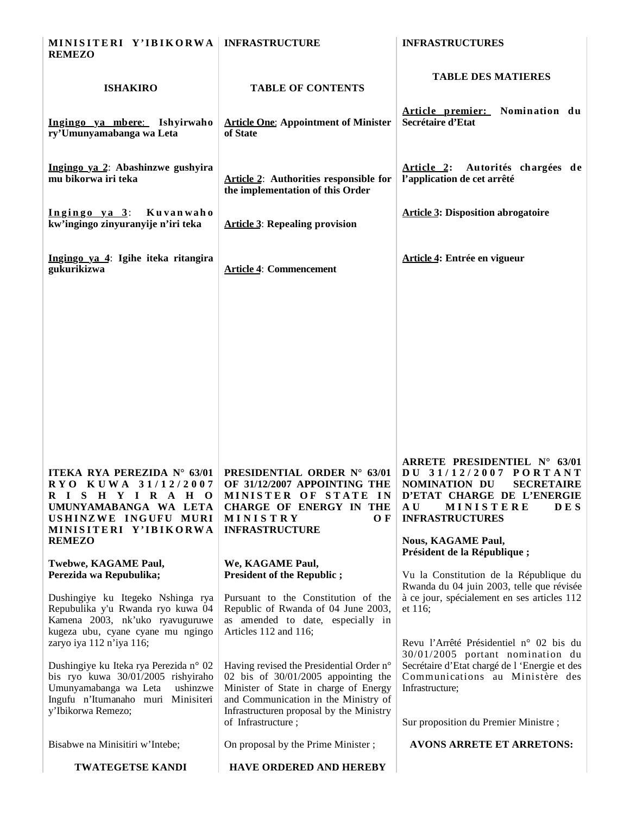| MINISITERI Y'IBIKORWA   INFRASTRUCTURE<br><b>REMEZO</b>                                                                                                                       |                                                                                                                                                                                                                | <b>INFRASTRUCTURES</b>                                                                                                                                                                |
|-------------------------------------------------------------------------------------------------------------------------------------------------------------------------------|----------------------------------------------------------------------------------------------------------------------------------------------------------------------------------------------------------------|---------------------------------------------------------------------------------------------------------------------------------------------------------------------------------------|
|                                                                                                                                                                               |                                                                                                                                                                                                                | <b>TABLE DES MATIERES</b>                                                                                                                                                             |
| <b>ISHAKIRO</b>                                                                                                                                                               | <b>TABLE OF CONTENTS</b>                                                                                                                                                                                       |                                                                                                                                                                                       |
| Ingingo ya mbere: Ishyirwaho<br>ry'Umunyamabanga wa Leta                                                                                                                      | <b>Article One: Appointment of Minister</b><br>of State                                                                                                                                                        | Article premier: Nomination du<br>Secrétaire d'Etat                                                                                                                                   |
| Ingingo ya 2: Abashinzwe gushyira<br>mu bikorwa iri teka                                                                                                                      | <b>Article 2:</b> Authorities responsible for<br>the implementation of this Order                                                                                                                              | Article 2: Autorités chargées de<br>l'application de cet arrêté                                                                                                                       |
| Ingingo ya 3: Kuvanwaho<br>kw'ingingo zinyuranyije n'iri teka                                                                                                                 | <b>Article 3: Repealing provision</b>                                                                                                                                                                          | <b>Article 3: Disposition abrogatoire</b>                                                                                                                                             |
| Ingingo ya 4: Igihe iteka ritangira<br>gukurikizwa                                                                                                                            | <b>Article 4: Commencement</b>                                                                                                                                                                                 | Article 4: Entrée en vigueur                                                                                                                                                          |
|                                                                                                                                                                               |                                                                                                                                                                                                                |                                                                                                                                                                                       |
|                                                                                                                                                                               |                                                                                                                                                                                                                |                                                                                                                                                                                       |
| ITEKA RYA PEREZIDA N° 63/01<br>RYO KUWA 31/12/2007<br>RISHYIRAHO<br>UMUNYAMABANGA WA LETA<br>USHINZWE INGUFU MURI<br>MINISITERI Y'IBIKORWA                                    | PRESIDENTIAL ORDER N° 63/01<br>OF 31/12/2007 APPOINTING THE<br>MINISTER OF STATE IN<br>CHARGE OF ENERGY IN THE<br>MINISTRY<br>O F<br><b>INFRASTRUCTURE</b>                                                     | ARRETE PRESIDENTIEL N° 63/01<br>DU 31/12/2007 PORTANT<br><b>SECRETAIRE</b><br>NOMINATION DU<br>D'ETAT CHARGE DE L'ENERGIE<br>MINISTERE<br><b>DES</b><br>A U<br><b>INFRASTRUCTURES</b> |
| <b>REMEZO</b>                                                                                                                                                                 |                                                                                                                                                                                                                | <b>Nous, KAGAME Paul,</b><br>Président de la République;                                                                                                                              |
| Twebwe, KAGAME Paul,<br>Perezida wa Repubulika;                                                                                                                               | We, KAGAME Paul,<br><b>President of the Republic;</b>                                                                                                                                                          | Vu la Constitution de la République du<br>Rwanda du 04 juin 2003, telle que révisée                                                                                                   |
| Dushingiye ku Itegeko Nshinga rya<br>Repubulika y'u Rwanda ryo kuwa 04<br>Kamena 2003, nk'uko ryavuguruwe<br>kugeza ubu, cyane cyane mu ngingo<br>zaryo iya 112 n'iya 116;    | Pursuant to the Constitution of the<br>Republic of Rwanda of 04 June 2003,<br>as amended to date, especially in<br>Articles 112 and 116;                                                                       | à ce jour, spécialement en ses articles 112<br>et 116:<br>Revu l'Arrêté Présidentiel n° 02 bis du                                                                                     |
| Dushingiye ku Iteka rya Perezida n° 02<br>bis ryo kuwa 30/01/2005 rishyiraho<br>Umunyamabanga wa Leta<br>ushinzwe<br>Ingufu n'Itumanaho muri Minisiteri<br>y'Ibikorwa Remezo; | Having revised the Presidential Order n°<br>02 bis of $30/01/2005$ appointing the<br>Minister of State in charge of Energy<br>and Communication in the Ministry of<br>Infrastructuren proposal by the Ministry | 30/01/2005 portant nomination du<br>Secrétaire d'Etat chargé de l'Energie et des<br>Communications au Ministère des<br>Infrastructure;                                                |
|                                                                                                                                                                               | of Infrastructure;                                                                                                                                                                                             | Sur proposition du Premier Ministre;                                                                                                                                                  |
| Bisabwe na Minisitiri w'Intebe;                                                                                                                                               | On proposal by the Prime Minister;                                                                                                                                                                             | <b>AVONS ARRETE ET ARRETONS:</b>                                                                                                                                                      |
| <b>TWATEGETSE KANDI</b>                                                                                                                                                       | HAVE ORDERED AND HEREBY                                                                                                                                                                                        |                                                                                                                                                                                       |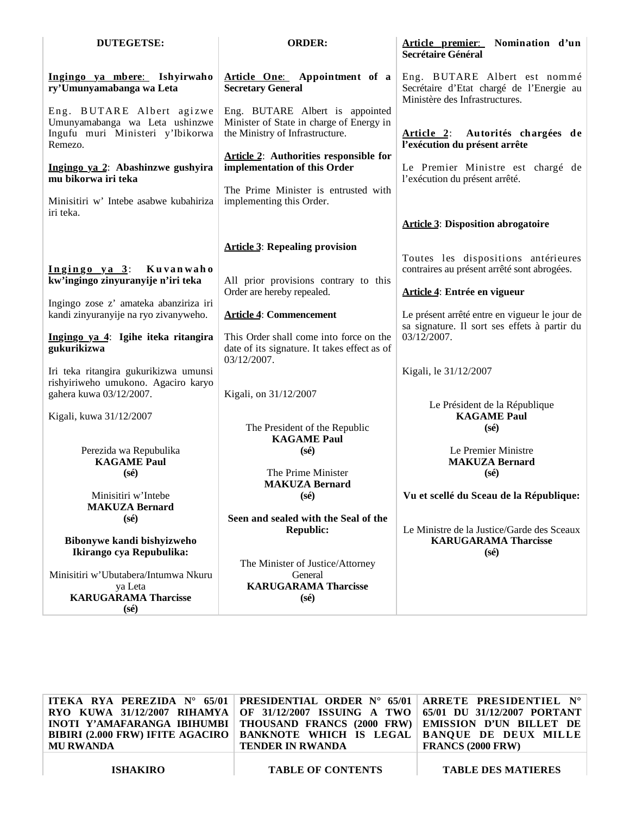| <b>DUTEGETSE:</b>                                                                                                                                                                                                | <b>ORDER:</b>                                                                                                                                                                                                                                                       | Article premier: Nomination d'un<br>Secrétaire Général                                                                                             |
|------------------------------------------------------------------------------------------------------------------------------------------------------------------------------------------------------------------|---------------------------------------------------------------------------------------------------------------------------------------------------------------------------------------------------------------------------------------------------------------------|----------------------------------------------------------------------------------------------------------------------------------------------------|
| Ingingo ya mbere: Ishyirwaho<br>ry'Umunyamabanga wa Leta                                                                                                                                                         | Article One: Appointment of a<br><b>Secretary General</b>                                                                                                                                                                                                           | Eng. BUTARE Albert est nommé<br>Secrétaire d'Etat chargé de l'Energie au<br>Ministère des Infrastructures.                                         |
| Eng. BUTARE Albert agizwe<br>Umunyamabanga wa Leta ushinzwe<br>Ingufu muri Ministeri y'Ibikorwa<br>Remezo.<br>Ingingo ya 2: Abashinzwe gushyira<br>mu bikorwa iri teka<br>Minisitiri w' Intebe asabwe kubahiriza | Eng. BUTARE Albert is appointed<br>Minister of State in charge of Energy in<br>the Ministry of Infrastructure.<br><b>Article 2:</b> Authorities responsible for<br>implementation of this Order<br>The Prime Minister is entrusted with<br>implementing this Order. | <u>Article 2:</u><br>Autorités chargées de<br>l'exécution du présent arrête<br>Le Premier Ministre est chargé de<br>l'exécution du présent arrêté. |
| iri teka.                                                                                                                                                                                                        |                                                                                                                                                                                                                                                                     | <b>Article 3: Disposition abrogatoire</b>                                                                                                          |
|                                                                                                                                                                                                                  | <b>Article 3: Repealing provision</b>                                                                                                                                                                                                                               |                                                                                                                                                    |
| $Ingingo$ ya $3$ :<br>Kuvanwaho<br>kw'ingingo zinyuranyije n'iri teka                                                                                                                                            | All prior provisions contrary to this                                                                                                                                                                                                                               | Toutes les dispositions antérieures<br>contraires au présent arrêté sont abrogées.                                                                 |
| Ingingo zose z' amateka abanziriza iri<br>kandi zinyuranyije na ryo zivanyweho.                                                                                                                                  | Order are hereby repealed.<br><b>Article 4: Commencement</b>                                                                                                                                                                                                        | Article 4: Entrée en vigueur<br>Le présent arrêté entre en vigueur le jour de                                                                      |
| Ingingo ya 4: Igihe iteka ritangira<br>gukurikizwa                                                                                                                                                               | This Order shall come into force on the<br>date of its signature. It takes effect as of<br>03/12/2007.                                                                                                                                                              | sa signature. Il sort ses effets à partir du<br>03/12/2007.                                                                                        |
| Iri teka ritangira gukurikizwa umunsi<br>rishyiriweho umukono. Agaciro karyo<br>gahera kuwa 03/12/2007.                                                                                                          | Kigali, on 31/12/2007                                                                                                                                                                                                                                               | Kigali, le 31/12/2007                                                                                                                              |
| Kigali, kuwa 31/12/2007                                                                                                                                                                                          | The President of the Republic<br><b>KAGAME Paul</b>                                                                                                                                                                                                                 | Le Président de la République<br><b>KAGAME Paul</b><br>$(s\acute{e})$                                                                              |
| Perezida wa Repubulika<br><b>KAGAME Paul</b><br>$(s\acute{e})$                                                                                                                                                   | $(s\acute{e})$<br>The Prime Minister                                                                                                                                                                                                                                | Le Premier Ministre<br><b>MAKUZA Bernard</b><br>$(s\acute{e})$                                                                                     |
| Minisitiri w'Intebe<br><b>MAKUZA Bernard</b>                                                                                                                                                                     | <b>MAKUZA Bernard</b><br>$(s\acute{\text{e}})$<br>Seen and sealed with the Seal of the                                                                                                                                                                              | Vu et scellé du Sceau de la République:                                                                                                            |
| $(s\acute{e})$<br>Bibonywe kandi bishyizweho<br>Ikirango cya Repubulika:                                                                                                                                         | <b>Republic:</b>                                                                                                                                                                                                                                                    | Le Ministre de la Justice/Garde des Sceaux<br><b>KARUGARAMA Tharcisse</b><br>$(s\acute{e})$                                                        |
| Minisitiri w'Ubutabera/Intumwa Nkuru<br>ya Leta<br><b>KARUGARAMA Tharcisse</b><br>$(s\acute{e})$                                                                                                                 | The Minister of Justice/Attorney<br>General<br><b>KARUGARAMA Tharcisse</b><br>$(s\acute{e})$                                                                                                                                                                        |                                                                                                                                                    |

| ITEKA RYA PEREZIDA N° 65/01   PRESIDENTIAL ORDER N° 65/01   ARRETE PRESIDENTIEL N°<br>RYO KUWA 31/12/2007 RIHAMYA OF 31/12/2007 ISSUING A TWO 65/01 DU 31/12/2007 PORTANT<br>INOTI Y'AMAFARANGA IBIHUMBI   THOUSAND FRANCS (2000 FRW)   EMISSION D'UN BILLET DE<br>BIBIRI (2.000 FRW) IFITE AGACIRO   BANKNOTE WHICH IS LEGAL   BANQUE DE DEUX MILLE<br><b>MU RWANDA</b> | <b>TENDER IN RWANDA</b>  | <b>FRANCS (2000 FRW)</b>  |
|--------------------------------------------------------------------------------------------------------------------------------------------------------------------------------------------------------------------------------------------------------------------------------------------------------------------------------------------------------------------------|--------------------------|---------------------------|
| <b>ISHAKIRO</b>                                                                                                                                                                                                                                                                                                                                                          | <b>TABLE OF CONTENTS</b> | <b>TABLE DES MATIERES</b> |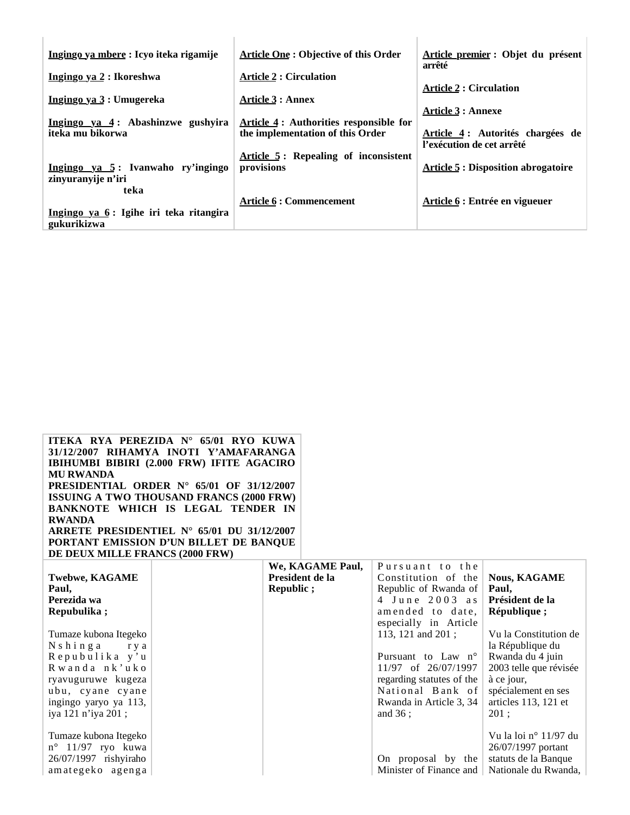| Ingingo ya mbere: Icyo iteka rigamije                 | <b>Article One: Objective of this Order</b> | Article premier : Objet du présent<br>arrêté |
|-------------------------------------------------------|---------------------------------------------|----------------------------------------------|
| Ingingo ya 2 : Ikoreshwa                              | <b>Article 2 : Circulation</b>              |                                              |
|                                                       |                                             | <b>Article 2 : Circulation</b>               |
| Ingingo ya 3: Umugereka                               | <b>Article 3: Annex</b>                     |                                              |
|                                                       |                                             | <b>Article 3 : Annexe</b>                    |
| Ingingo ya 4: Abashinzwe gushyira                     | Article 4 : Authorities responsible for     |                                              |
| iteka mu bikorwa                                      | the implementation of this Order            | Article 4: Autorités chargées de             |
|                                                       |                                             | l'exécution de cet arrêté                    |
|                                                       | Article 5: Repealing of inconsistent        |                                              |
| <u>Ingingo ya 5:</u> Ivanwaho ry'ingingo              | provisions                                  | <b>Article 5: Disposition abrogatoire</b>    |
| zinyuranyije n'iri                                    |                                             |                                              |
| teka                                                  |                                             |                                              |
|                                                       | Article 6 : Commencement                    | Article 6 : Entrée en vigueuer               |
| Ingingo ya 6: Igihe iri teka ritangira<br>gukurikizwa |                                             |                                              |

| ITEKA RYA PEREZIDA N° 65/01 RYO KUWA                               |  |
|--------------------------------------------------------------------|--|
| 31/12/2007 RIHAMYA INOTI Y'AMAFARANGA                              |  |
| IBIHUMBI BIBIRI (2.000 FRW) IFITE AGACIRO                          |  |
| <b>MU RWANDA</b>                                                   |  |
| <b>PRESIDENTIAL ORDER N° 65/01 OF 31/12/2007</b>                   |  |
| <b>ISSUING A TWO THOUSAND FRANCS (2000 FRW)</b>                    |  |
| BANKNOTE WHICH IS LEGAL TENDER IN                                  |  |
| <b>RWANDA</b>                                                      |  |
| ARRETE PRESIDENTIEL $N^{\circ}$ 65/01 DU 31/12/2007                |  |
| PORTANT EMISSION D'UN BILLET DE BANQUE                             |  |
| DE DEUX MILLE FRANCS (2000 FRW)                                    |  |
| $\mathbf{X} \mathbf{X}^T$ $\mathbf{X}^T$ $\mathbf{A}$ $\mathbf{C}$ |  |

|                            | We, KAGAME Paul, | Pursuant to the           |                         |
|----------------------------|------------------|---------------------------|-------------------------|
| <b>Twebwe, KAGAME</b>      | President de la  | Constitution of the       | <b>Nous, KAGAME</b>     |
| Paul,                      | Republic;        | Republic of Rwanda of     | Paul,                   |
| Perezida wa                |                  | 4 June 2003 as            | Président de la         |
| Repubulika;                |                  | amended to date.          | République;             |
|                            |                  | especially in Article     |                         |
| Tumaze kubona Itegeko      |                  | 113, 121 and $201$ ;      | Vu la Constitution de   |
| N s h i n g a<br>r y a     |                  |                           | la République du        |
| Repubulika y'u             |                  | Pursuant to Law n°        | Rwanda du 4 juin        |
| Rwanda nk'uko              |                  | 11/97 of 26/07/1997       | 2003 telle que révisée  |
| ryavuguruwe kugeza         |                  | regarding statutes of the | à ce jour,              |
| ubu, cyane cyane           |                  | National Bank of          | spécialement en ses     |
| ingingo yaryo ya 113,      |                  | Rwanda in Article 3, 34   | articles 113, 121 et    |
| iya 121 n'iya 201;         |                  | and $36:$                 | 201:                    |
|                            |                  |                           |                         |
| Tumaze kubona Itegeko      |                  |                           | Vu la loi n° $11/97$ du |
| $n^{\circ}$ 11/97 ryo kuwa |                  |                           | 26/07/1997 portant      |
| 26/07/1997 rishyiraho      |                  | On proposal by the        | statuts de la Banque    |
| amategeko agenga           |                  | Minister of Finance and   | Nationale du Rwanda,    |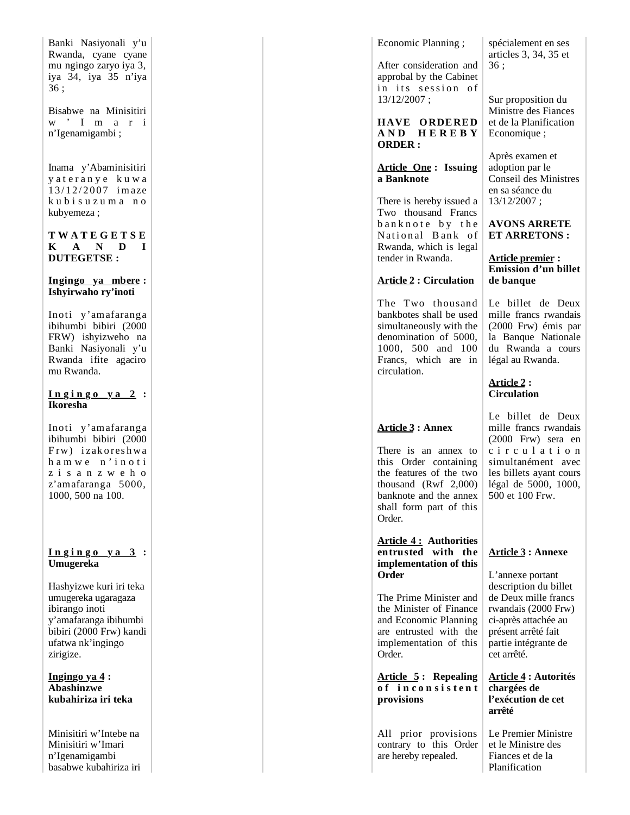| Banki Nasiyonali y'u<br>Rwanda, cyane cyane<br>mu ngingo zaryo iya 3,<br>iya 34, iya 35 n'iya<br>36:                                                   |  |
|--------------------------------------------------------------------------------------------------------------------------------------------------------|--|
| Bisabwe na Minisitiri<br>$\ensuremath{\mathbf{w}}$ ' I m a<br>$\mathbf{i}$<br>$\mathbf{r}$<br>n'Igenamigambi;                                          |  |
| Inama y'Abaminisitiri<br>yateranye kuwa<br>13/12/2007 imaze<br>kubisuzuma no<br>kubyemeza;                                                             |  |
| TWATEGETSE<br>K A N D<br>I<br><b>DUTEGETSE:</b>                                                                                                        |  |
| Ingingo ya mbere:<br>Ishyirwaho ry'inoti                                                                                                               |  |
| Inoti y'amafaranga<br>ibihumbi bibiri (2000<br>FRW) ishyizweho na<br>Banki Nasiyonali y'u<br>Rwanda ifite agaciro<br>mu Rwanda.                        |  |
| <u>Ingingo ya 2</u> :<br>Ikoresha                                                                                                                      |  |
| Inoti y'amafaranga<br>ibihumbi bibiri (2000<br>Frw) izakoreshwa<br>hamwe n'inoti<br>zisanzweho<br>z'amafaranga 5000,<br>1000, 500 na 100.              |  |
|                                                                                                                                                        |  |
| <u>Ingingo ya 3</u> :<br>Umugereka                                                                                                                     |  |
| Hashyizwe kuri iri teka<br>umugereka ugaragaza<br>ibirango inoti<br>y'amafaranga ibihumbi<br>bibiri (2000 Frw) kandi<br>ufatwa nk'ingingo<br>zirigize. |  |
| Ingingo ya 4:<br><b>Abashinzwe</b><br>kubahiriza iri teka                                                                                              |  |
| Minisitiri w'Intebe na<br>Minisitiri w'Imari<br>n'Igenamigambi                                                                                         |  |

basabwe kubahiriza iri

Economic Planning ;

After consideration and approbal by the Cabinet in its session of 13/12/2007 ;

**HAVE ORDERED A N D H E R E B Y ORDER :**

## **Article One : Issuing a Banknote**

There is hereby issued a Two thousand Francs banknote by the National Bank of Rwanda, which is legal tender in Rwanda.

# **Article 2 : Circulation**

The Two thousand bankbotes shall be used simultaneously with the denomination of 5000, 1000, 500 and 100 Francs, which are in circulation.

# **Article 3 : Annex**

There is an annex to this Order containing the features of the two thousand (Rwf 2,000) banknote and the annex shall form part of this Order.

**Article 4 : Authorities entrusted with the implementation of this Order**

The Prime Minister and the Minister of Finance and Economic Planning are entrusted with the implementation of this Order.

**Article 5 : Repealing o f i n c o n s i s t e n t provisions**

All prior provisions contrary to this Order are hereby repealed.

spécialement en ses articles 3, 34, 35 et 36 ;

Sur proposition du Ministre des Fiances et de la Planification Economique ;

Après examen et adoption par le Conseil des Ministres en sa séance du 13/12/2007 ;

**AVONS ARRETE ET ARRETONS :**

#### **Article premier : Emission d'un billet de banque**

Le billet de Deux mille francs rwandais (2000 Frw) émis par la Banque Nationale du Rwanda a cours légal au Rwanda.

## **Article 2 : Circulation**

Le billet de Deux mille francs rwandais (2000 Frw) sera en c i r c u l a t i o n simultanément avec les billets ayant cours légal de 5000, 1000, 500 et 100 Frw.

# **Article 3 : Annexe**

L'annexe portant description du billet de Deux mille francs rwandais (2000 Frw) ci-après attachée au présent arrêté fait partie intégrante de cet arrêté.

**Article 4 : Autorités chargées de l'exécution de cet arrêté**

Le Premier Ministre et le Ministre des Fiances et de la Planification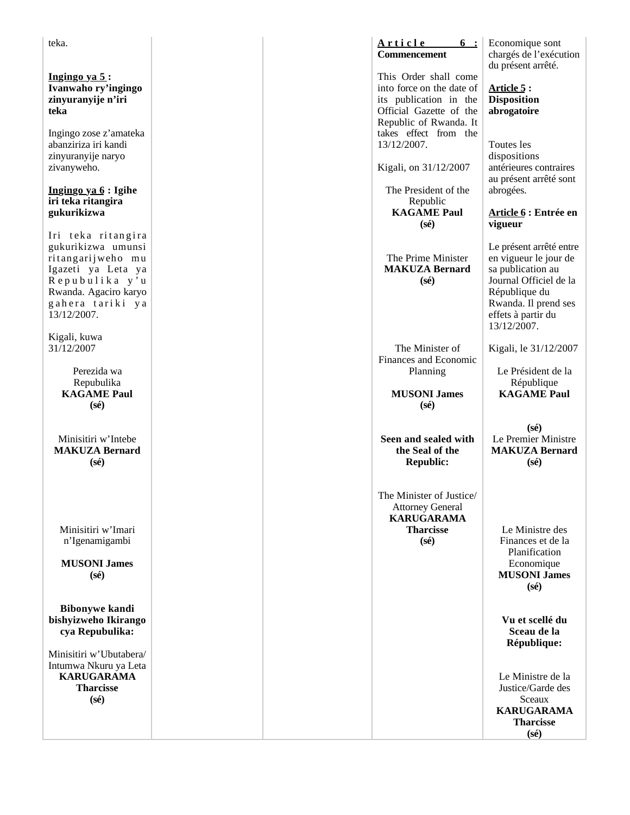| teka.                                                                                                                                                             |  | <u>Article</u><br>$6\phantom{0}$ :<br><b>Commencement</b>                                                                                                  | Economique sont<br>chargés de l'exécution<br>du présent arrêté.                                                                                                               |
|-------------------------------------------------------------------------------------------------------------------------------------------------------------------|--|------------------------------------------------------------------------------------------------------------------------------------------------------------|-------------------------------------------------------------------------------------------------------------------------------------------------------------------------------|
| Ingingo ya $5$ :<br>Ivanwaho ry'ingingo<br>zinyuranyije n'iri<br>teka<br>Ingingo zose z'amateka                                                                   |  | This Order shall come<br>into force on the date of<br>its publication in the<br>Official Gazette of the<br>Republic of Rwanda. It<br>takes effect from the | Article 5 :<br><b>Disposition</b><br>abrogatoire                                                                                                                              |
| abanziriza iri kandi<br>zinyuranyije naryo<br>zivanyweho.                                                                                                         |  | 13/12/2007.<br>Kigali, on 31/12/2007                                                                                                                       | Toutes les<br>dispositions<br>antérieures contraires                                                                                                                          |
| Ingingo ya 6 : Igihe<br>iri teka ritangira<br>gukurikizwa                                                                                                         |  | The President of the<br>Republic<br><b>KAGAME Paul</b><br>$(s\acute{e})$                                                                                   | au présent arrêté sont<br>abrogées.<br>Article 6 : Entrée en<br>vigueur                                                                                                       |
| Iri teka ritangira<br>gukurikizwa umunsi<br>ritangarijweho mu<br>Igazeti ya Leta ya<br>Repubulika y'u<br>Rwanda. Agaciro karyo<br>gahera tariki ya<br>13/12/2007. |  | The Prime Minister<br><b>MAKUZA Bernard</b><br>$(s\acute{e})$                                                                                              | Le présent arrêté entre<br>en vigueur le jour de<br>sa publication au<br>Journal Officiel de la<br>République du<br>Rwanda. Il prend ses<br>effets à partir du<br>13/12/2007. |
| Kigali, kuwa<br>31/12/2007                                                                                                                                        |  | The Minister of<br>Finances and Economic                                                                                                                   | Kigali, le 31/12/2007                                                                                                                                                         |
| Perezida wa<br>Repubulika<br><b>KAGAME Paul</b><br>$(s\acute{e})$                                                                                                 |  | Planning<br><b>MUSONI James</b><br>$(s\acute{e})$                                                                                                          | Le Président de la<br>République<br><b>KAGAME Paul</b>                                                                                                                        |
| Minisitiri w'Intebe<br><b>MAKUZA Bernard</b><br>$(s\acute{e})$                                                                                                    |  | Seen and sealed with<br>the Seal of the<br><b>Republic:</b>                                                                                                | $(s\acute{e})$<br>Le Premier Ministre<br><b>MAKUZA Bernard</b><br>$(s\acute{e})$                                                                                              |
| Minisitiri w'Imari<br>n'Igenamigambi<br><b>MUSONI James</b><br>$(s\acute{e})$                                                                                     |  | The Minister of Justice/<br><b>Attorney General</b><br><b>KARUGARAMA</b><br><b>Tharcisse</b><br>$(s\acute{e})$                                             | Le Ministre des<br>Finances et de la<br>Planification<br>Economique<br><b>MUSONI James</b><br>$(s\acute{e})$                                                                  |
| <b>Bibonywe kandi</b><br>bishyizweho Ikirango<br>cya Repubulika:<br>Minisitiri w'Ubutabera/                                                                       |  |                                                                                                                                                            | Vu et scellé du<br>Sceau de la<br>République:                                                                                                                                 |
| Intumwa Nkuru ya Leta<br><b>KARUGARAMA</b><br><b>Tharcisse</b><br>$(s\acute{e})$                                                                                  |  |                                                                                                                                                            | Le Ministre de la<br>Justice/Garde des<br>Sceaux<br><b>KARUGARAMA</b><br><b>Tharcisse</b><br>$(s\acute{e})$                                                                   |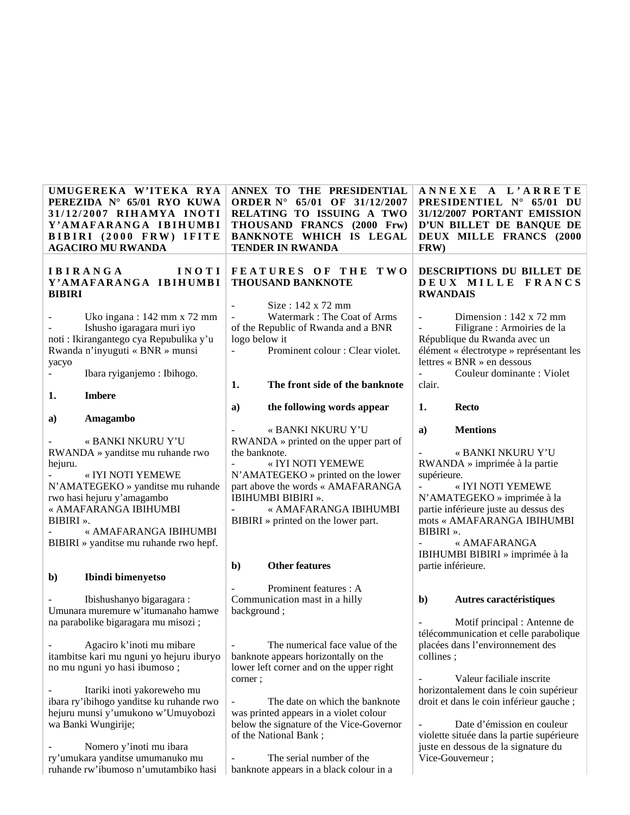| UMUGEREKA W'ITEKA RYA<br>PEREZIDA Nº 65/01 RYO KUWA<br>31/12/2007 RIHAMYA INOTI<br>Y'AMAFARANGA IBIHUMBI<br>BIBIRI (2000 FRW) IFITE<br><b>AGACIRO MU RWANDA</b>                                                                                                                    |                                           | ANNEX TO THE PRESIDENTIAL<br>ORDER N° 65/01 OF 31/12/2007<br>RELATING TO ISSUING A TWO<br>THOUSAND FRANCS (2000 Frw)<br>BANKNOTE WHICH IS LEGAL<br><b>TENDER IN RWANDA</b>                                                                                                    | ANNEXE<br>FRW)                   | A L'ARRETE<br><b>PRESIDENTIEL N° 65/01</b><br>DU<br>31/12/2007 PORTANT EMISSION<br>D'UN BILLET DE BANQUE DE<br>DEUX MILLE FRANCS (2000                                                                                                              |
|------------------------------------------------------------------------------------------------------------------------------------------------------------------------------------------------------------------------------------------------------------------------------------|-------------------------------------------|-------------------------------------------------------------------------------------------------------------------------------------------------------------------------------------------------------------------------------------------------------------------------------|----------------------------------|-----------------------------------------------------------------------------------------------------------------------------------------------------------------------------------------------------------------------------------------------------|
| <b>IBIRANGA</b><br>Y'AMAFARANGA IBIHUMBI<br><b>BIBIRI</b>                                                                                                                                                                                                                          | INOTI                                     | <b>FEATURES OF THE</b><br>T W O<br><b>THOUSAND BANKNOTE</b>                                                                                                                                                                                                                   | <b>RWANDAIS</b>                  | DESCRIPTIONS DU BILLET DE<br>DEUX MILLE FRANCS                                                                                                                                                                                                      |
| Uko ingana : 142 mm x 72 mm<br>Ishusho igaragara muri iyo<br>noti : Ikirangantego cya Repubulika y'u<br>Rwanda n'inyuguti « BNR » munsi<br>yacyo<br>Ibara ryiganjemo: Ibihogo.                                                                                                     | $\overline{\phantom{0}}$<br>logo below it | Size: 142 x 72 mm<br>Watermark: The Coat of Arms<br>of the Republic of Rwanda and a BNR<br>Prominent colour : Clear violet.                                                                                                                                                   | $\blacksquare$<br>$\blacksquare$ | Dimension : $142 \times 72$ mm<br>Filigrane : Armoiries de la<br>République du Rwanda avec un<br>élément « électrotype » représentant les<br>lettres « BNR » en dessous<br>Couleur dominante : Violet                                               |
| <b>Imbere</b><br>1.                                                                                                                                                                                                                                                                | 1.                                        | The front side of the banknote                                                                                                                                                                                                                                                | clair.                           |                                                                                                                                                                                                                                                     |
|                                                                                                                                                                                                                                                                                    | a)                                        | the following words appear                                                                                                                                                                                                                                                    | 1.                               | <b>Recto</b>                                                                                                                                                                                                                                        |
| Amagambo<br>a)<br>« BANKI NKURU Y'U<br>RWANDA » yanditse mu ruhande rwo<br>hejuru.<br>« IYI NOTI YEMEWE<br>N'AMATEGEKO » yanditse mu ruhande<br>rwo hasi hejuru y'amagambo<br>« AMAFARANGA IBIHUMBI<br>BIBIRI».<br>« AMAFARANGA IBIHUMBI<br>BIBIRI » yanditse mu ruhande rwo hepf. | the banknote.<br>$\mathbf{b}$             | « BANKI NKURU Y'U<br>$RWANDA \gg printed$ on the upper part of<br>« IYI NOTI YEMEWE<br>N'AMATEGEKO » printed on the lower<br>part above the words « AMAFARANGA<br>IBIHUMBI BIBIRI ».<br>« AMAFARANGA IBIHUMBI<br>BIBIRI » printed on the lower part.<br><b>Other features</b> | a)<br>supérieure.<br>BIBIRI».    | <b>Mentions</b><br>« BANKI NKURU Y'U<br>RWANDA » imprimée à la partie<br>« IYI NOTI YEMEWE<br>N'AMATEGEKO » imprimée à la<br>partie inférieure juste au dessus des<br>mots « AMAFARANGA IBIHUMBI<br>« AMAFARANGA<br>IBIHUMBI BIBIRI » imprimée à la |
| Ibindi bimenyetso<br>$\mathbf{b}$                                                                                                                                                                                                                                                  |                                           | Prominent features : A                                                                                                                                                                                                                                                        | partie inférieure.               |                                                                                                                                                                                                                                                     |
| Ibishushanyo bigaragara:<br>Umunara muremure w'itumanaho hamwe<br>na parabolike bigaragara mu misozi;<br>Agaciro k'inoti mu mibare                                                                                                                                                 | background;                               | Communication mast in a hilly<br>The numerical face value of the                                                                                                                                                                                                              | $\mathbf{b}$                     | Autres caractéristiques<br>Motif principal : Antenne de<br>télécommunication et celle parabolique<br>placées dans l'environnement des                                                                                                               |
| itambitse kari mu nguni yo hejuru iburyo<br>no mu nguni yo hasi ibumoso;<br>Itariki inoti yakoreweho mu                                                                                                                                                                            | corner;                                   | banknote appears horizontally on the<br>lower left corner and on the upper right                                                                                                                                                                                              | collines;                        | Valeur faciliale inscrite<br>horizontalement dans le coin supérieur                                                                                                                                                                                 |
| ibara ry'ibihogo yanditse ku ruhande rwo<br>hejuru munsi y'umukono w'Umuyobozi<br>wa Banki Wungirije;                                                                                                                                                                              |                                           | The date on which the banknote<br>was printed appears in a violet colour<br>below the signature of the Vice-Governor<br>of the National Bank;                                                                                                                                 |                                  | droit et dans le coin inférieur gauche ;<br>Date d'émission en couleur<br>violette située dans la partie supérieure                                                                                                                                 |
| Nomero y'inoti mu ibara                                                                                                                                                                                                                                                            |                                           |                                                                                                                                                                                                                                                                               |                                  | juste en dessous de la signature du                                                                                                                                                                                                                 |

- Nomero y'inoti mu ibara ry'umukara yanditse umumanuko mu ruhande rw'ibumoso n'umutambiko hasi

- The serial number of the banknote appears in a black colour in a Vice-Gouverneur ;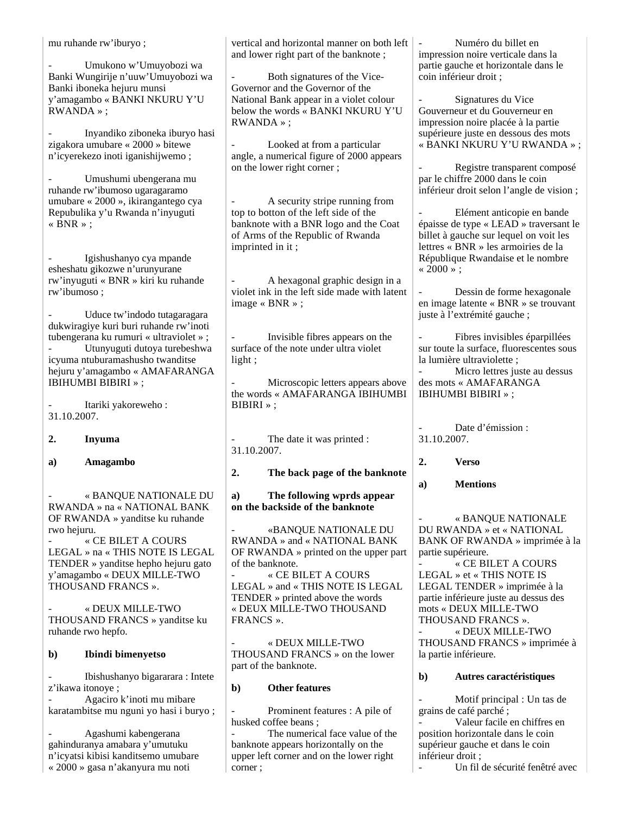mu ruhande rw'iburyo ;

- Umukono w'Umuyobozi wa Banki Wungirije n'uuw'Umuyobozi wa Banki iboneka hejuru munsi y'amagambo « BANKI NKURU Y'U RWANDA » ;

- Inyandiko ziboneka iburyo hasi zigakora umubare « 2000 » bitewe n'icyerekezo inoti iganishijwemo ;

- Umushumi ubengerana mu ruhande rw'ibumoso ugaragaramo umubare « 2000 », ikirangantego cya Repubulika y'u Rwanda n'inyuguti « BNR » ;

- Igishushanyo cya mpande esheshatu gikozwe n'urunyurane rw'inyuguti « BNR » kiri ku ruhande rw'ibumoso ;

Uduce tw'indodo tutagaragara dukwiragiye kuri buri ruhande rw'inoti tubengerana ku rumuri « ultraviolet » ; Utunyuguti dutoya turebeshwa icyuma ntuburamashusho twanditse hejuru y'amagambo « AMAFARANGA IBIHUMBI BIBIRI » ;

Itariki yakoreweho : 31.10.2007.

**2. Inyuma**

**a) Amagambo**

- « BANQUE NATIONALE DU RWANDA » na « NATIONAL BANK OF RWANDA » yanditse ku ruhande rwo hejuru.

- « CE BILET A COURS LEGAL » na « THIS NOTE IS LEGAL TENDER » yanditse hepho hejuru gato y'amagambo « DEUX MILLE-TWO THOUSAND FRANCS ».

- « DEUX MILLE-TWO THOUSAND FRANCS » yanditse ku ruhande rwo hepfo.

## **b) Ibindi bimenyetso**

- Ibishushanyo bigararara : Intete z'ikawa itonoye ;

- Agaciro k'inoti mu mibare karatambitse mu nguni yo hasi i buryo ;

- Agashumi kabengerana gahinduranya amabara y'umutuku n'icyatsi kibisi kanditsemo umubare « 2000 » gasa n'akanyura mu noti

vertical and horizontal manner on both left and lower right part of the banknote ;

Both signatures of the Vice-Governor and the Governor of the National Bank appear in a violet colour below the words « BANKI NKURU Y'U RWANDA » ;

Looked at from a particular angle, a numerical figure of 2000 appears on the lower right corner ;

A security stripe running from top to botton of the left side of the banknote with a BNR logo and the Coat of Arms of the Republic of Rwanda imprinted in it ;

- A hexagonal graphic design in a violet ink in the left side made with latent image « BNR » ;

- Invisible fibres appears on the surface of the note under ultra violet light ;

Microscopic letters appears above the words « AMAFARANGA IBIHUMBI BIBIRI » ;

The date it was printed : 31.10.2007.

**2. The back page of the banknote**

## **a) The following wprds appear on the backside of the banknote**

- «BANQUE NATIONALE DU RWANDA » and « NATIONAL BANK OF RWANDA » printed on the upper part of the banknote.

- « CE BILET A COURS LEGAL » and « THIS NOTE IS LEGAL TENDER » printed above the words « DEUX MILLE-TWO THOUSAND FRANCS ».

- « DEUX MILLE-TWO THOUSAND FRANCS » on the lower part of the banknote.

## **b) Other features**

Prominent features : A pile of husked coffee beans ;

The numerical face value of the banknote appears horizontally on the upper left corner and on the lower right corner ;

- Numéro du billet en impression noire verticale dans la partie gauche et horizontale dans le coin inférieur droit ;

Signatures du Vice Gouverneur et du Gouverneur en impression noire placée à la partie supérieure juste en dessous des mots « BANKI NKURU Y'U RWANDA » ;

Registre transparent composé par le chiffre 2000 dans le coin inférieur droit selon l'angle de vision ;

- Elément anticopie en bande épaisse de type « LEAD » traversant le billet à gauche sur lequel on voit les lettres « BNR » les armoiries de la République Rwandaise et le nombre  $* 2000$  » :

Dessin de forme hexagonale en image latente « BNR » se trouvant juste à l'extrémité gauche ;

- Fibres invisibles éparpillées sur toute la surface, fluorescentes sous la lumière ultraviolette ;

Micro lettres juste au dessus des mots « AMAFARANGA IBIHUMBI BIBIRI » ;

Date d'émission : 31.10.2007.

**2. Verso**

**a) Mentions**

- « BANQUE NATIONALE DU RWANDA » et « NATIONAL BANK OF RWANDA » imprimée à la partie supérieure.

- « CE BILET A COURS LEGAL » et « THIS NOTE IS LEGAL TENDER » imprimée à la partie inférieure juste au dessus des mots « DEUX MILLE-TWO THOUSAND FRANCS ».

- « DEUX MILLE-TWO THOUSAND FRANCS » imprimée à la partie inférieure.

## **b) Autres caractéristiques**

Motif principal : Un tas de grains de café parché ;

Valeur facile en chiffres en position horizontale dans le coin supérieur gauche et dans le coin inférieur droit ;

Un fil de sécurité fenêtré avec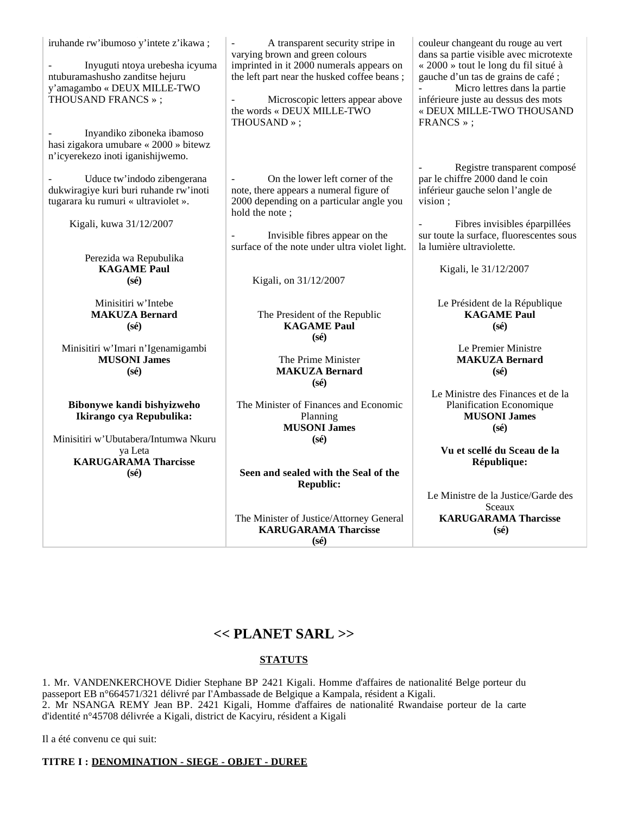| iruhande rw'ibumoso y'intete z'ikawa;<br>Inyuguti ntoya urebesha icyuma<br>ntuburamashusho zanditse hejuru<br>y'amagambo « DEUX MILLE-TWO<br>THOUSAND FRANCS »; | A transparent security stripe in<br>varying brown and green colours<br>imprinted in it 2000 numerals appears on<br>the left part near the husked coffee beans;<br>Microscopic letters appear above<br>the words « DEUX MILLE-TWO<br>THOUSAND»; | couleur changeant du rouge au vert<br>dans sa partie visible avec microtexte<br>« 2000 » tout le long du fil situé à<br>gauche d'un tas de grains de café;<br>Micro lettres dans la partie<br>inférieure juste au dessus des mots<br>« DEUX MILLE-TWO THOUSAND<br>FRANCS »; |
|-----------------------------------------------------------------------------------------------------------------------------------------------------------------|------------------------------------------------------------------------------------------------------------------------------------------------------------------------------------------------------------------------------------------------|-----------------------------------------------------------------------------------------------------------------------------------------------------------------------------------------------------------------------------------------------------------------------------|
| Inyandiko ziboneka ibamoso<br>hasi zigakora umubare « 2000 » bitewz                                                                                             |                                                                                                                                                                                                                                                |                                                                                                                                                                                                                                                                             |
| n'icyerekezo inoti iganishijwemo.                                                                                                                               |                                                                                                                                                                                                                                                |                                                                                                                                                                                                                                                                             |
| Uduce tw'indodo zibengerana<br>dukwiragiye kuri buri ruhande rw'inoti<br>tugarara ku rumuri « ultraviolet ».                                                    | On the lower left corner of the<br>note, there appears a numeral figure of<br>2000 depending on a particular angle you<br>hold the note;                                                                                                       | Registre transparent composé<br>par le chiffre 2000 dand le coin<br>inférieur gauche selon l'angle de<br>vision;                                                                                                                                                            |
| Kigali, kuwa 31/12/2007                                                                                                                                         | Invisible fibres appear on the<br>surface of the note under ultra violet light.                                                                                                                                                                | Fibres invisibles éparpillées<br>$\equiv$<br>sur toute la surface, fluorescentes sous<br>la lumière ultraviolette.                                                                                                                                                          |
| Perezida wa Repubulika                                                                                                                                          |                                                                                                                                                                                                                                                |                                                                                                                                                                                                                                                                             |
| <b>KAGAME</b> Paul<br>$(s\acute{e})$                                                                                                                            | Kigali, on 31/12/2007                                                                                                                                                                                                                          | Kigali, le 31/12/2007                                                                                                                                                                                                                                                       |
| Minisitiri w'Intebe<br><b>MAKUZA Bernard</b><br>$(s\acute{e})$                                                                                                  | The President of the Republic<br><b>KAGAME Paul</b><br>$(s\acute{e})$                                                                                                                                                                          | Le Président de la République<br><b>KAGAME</b> Paul<br>$(s\acute{e})$                                                                                                                                                                                                       |
| Minisitiri w'Imari n'Igenamigambi<br><b>MUSONI James</b><br>$(s\acute{e})$                                                                                      | The Prime Minister<br><b>MAKUZA Bernard</b><br>$(s\acute{e})$                                                                                                                                                                                  | Le Premier Ministre<br><b>MAKUZA Bernard</b><br>$(s\acute{e})$                                                                                                                                                                                                              |
|                                                                                                                                                                 |                                                                                                                                                                                                                                                | Le Ministre des Finances et de la                                                                                                                                                                                                                                           |
| Bibonywe kandi bishyizweho<br>Ikirango cya Repubulika:                                                                                                          | The Minister of Finances and Economic<br>Planning<br><b>MUSONI</b> James                                                                                                                                                                       | Planification Economique<br><b>MUSONI James</b><br>$(s\acute{e})$                                                                                                                                                                                                           |
| Minisitiri w'Ubutabera/Intumwa Nkuru<br>ya Leta                                                                                                                 | $(s\acute{e})$                                                                                                                                                                                                                                 | Vu et scellé du Sceau de la                                                                                                                                                                                                                                                 |
| <b>KARUGARAMA Tharcisse</b>                                                                                                                                     |                                                                                                                                                                                                                                                | République:                                                                                                                                                                                                                                                                 |
| $(s\acute{e})$                                                                                                                                                  | Seen and sealed with the Seal of the<br><b>Republic:</b>                                                                                                                                                                                       |                                                                                                                                                                                                                                                                             |

Le Ministre de la Justice/Garde des Sceaux **KARUGARAMA Tharcisse (sé)**

# **<< PLANET SARL >>**

The Minister of Justice/Attorney General **KARUGARAMA Tharcisse (sé)**

# **STATUTS**

1. Mr. VANDENKERCHOVE Didier Stephane BP 2421 Kigali. Homme d'affaires de nationalité Belge porteur du passeport EB n°664571/321 délivré par I'Ambassade de Belgique a Kampala, résident a Kigali. 2. Mr NSANGA REMY Jean BP. 2421 Kigali, Homme d'affaires de nationalité Rwandaise porteur de la carte d'identité n°45708 délivrée a Kigali, district de Kacyiru, résident a Kigali

Il a été convenu ce qui suit:

# **TITRE I : DENOMINATION - SIEGE - OBJET - DUREE**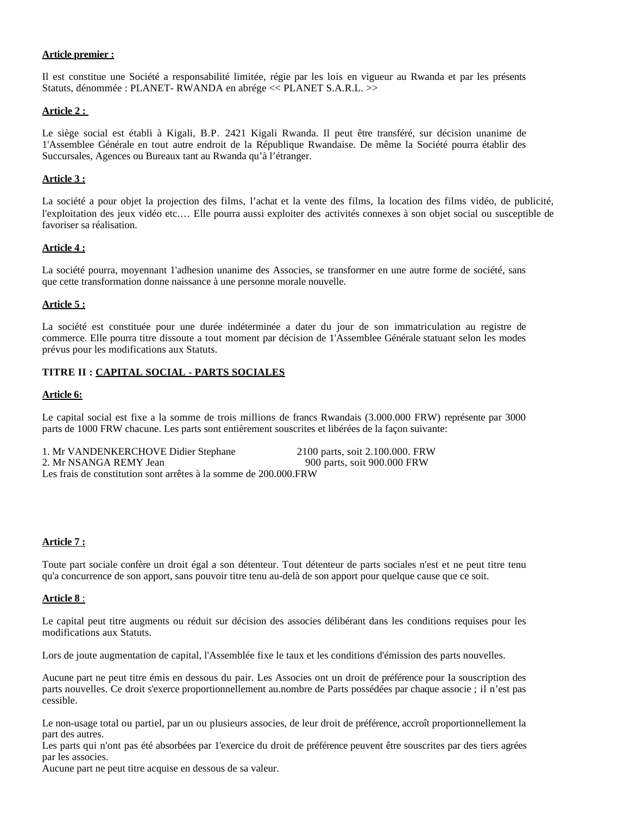#### **Article premier :**

Il est constitue une Société a responsabilité limitée, régie par les lois en vigueur au Rwanda et par les présents Statuts, dénommée : PLANET- RWANDA en abrége << PLANET S.A.R.L. >>

#### **Article 2 :**

Le siège social est établi à Kigali, B.P. 2421 Kigali Rwanda. Il peut être transféré, sur décision unanime de 1'Assemblee Générale en tout autre endroit de la République Rwandaise. De même la Société pourra établir des Succursales, Agences ou Bureaux tant au Rwanda qu'à l'étranger.

#### **Article 3 :**

La société a pour objet la projection des films, l'achat et la vente des films, la location des films vidéo, de publicité, l'exploitation des jeux vidéo etc.… Elle pourra aussi exploiter des activités connexes à son objet social ou susceptible de favoriser sa réalisation.

#### **Article 4 :**

La société pourra, moyennant 1'adhesion unanime des Associes, se transformer en une autre forme de société, sans que cette transformation donne naissance à une personne morale nouvelle.

#### **Article 5 :**

La société est constituée pour une durée indéterminée a dater du jour de son immatriculation au registre de commerce. Elle pourra titre dissoute a tout moment par décision de 1'Assemblee Générale statuant selon les modes prévus pour les modifications aux Statuts.

## **TITRE II : CAPITAL SOCIAL - PARTS SOCIALES**

#### **Article 6:**

Le capital social est fixe a la somme de trois millions de francs Rwandais (3.000.000 FRW) représente par 3000 parts de 1000 FRW chacune. Les parts sont entièrement souscrites et libérées de la façon suivante:

1. Mr VANDENKERCHOVE Didier Stephane 2100 parts, soit 2.100.000. FRW 2. Mr NSANGA REMY Jean 900 parts, soit 900.000 FRW Les frais de constitution sont arrêtes à la somme de 200.000.FRW

#### **Article 7 :**

Toute part sociale confère un droit égal a son détenteur. Tout détenteur de parts sociales n'est et ne peut titre tenu qu'a concurrence de son apport, sans pouvoir titre tenu au-delà de son apport pour quelque cause que ce soit.

#### **Article 8** :

Le capital peut titre augments ou réduit sur décision des associes délibérant dans les conditions requises pour les modifications aux Statuts.

Lors de joute augmentation de capital, l'Assemblée fixe le taux et les conditions d'émission des parts nouvelles.

Aucune part ne peut titre émis en dessous du pair. Les Associes ont un droit de préférence pour Ia souscription des parts nouvelles. Ce droit s'exerce proportionnellement au.nombre de Parts possédées par chaque associe ; il n'est pas cessible.

Le non-usage total ou partiel, par un ou plusieurs associes, de leur droit de préférence, accroît proportionnellement la part des autres.

Les parts qui n'ont pas été absorbées par 1'exercice du droit de préférence peuvent être souscrites par des tiers agrées par les associes.

Aucune part ne peut titre acquise en dessous de sa valeur.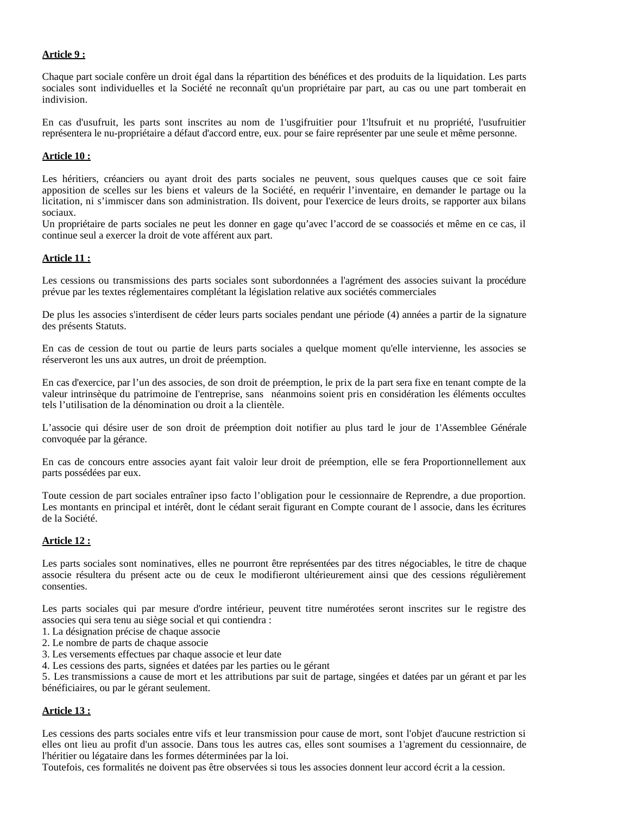## **Article 9 :**

Chaque part sociale confère un droit égal dans la répartition des bénéfices et des produits de la liquidation. Les parts sociales sont individuelles et la Société ne reconnaît qu'un propriétaire par part, au cas ou une part tomberait en indivision.

En cas d'usufruit, les parts sont inscrites au nom de 1'usgifruitier pour 1'ltsufruit et nu propriété, l'usufruitier représentera le nu-propriétaire a défaut d'accord entre, eux. pour se faire représenter par une seule et même personne.

## **Article 10 :**

Les héritiers, créanciers ou ayant droit des parts sociales ne peuvent, sous quelques causes que ce soit faire apposition de scelles sur les biens et valeurs de la Société, en requérir l'inventaire, en demander le partage ou la licitation, ni s'immiscer dans son administration. Ils doivent, pour I'exercice de leurs droits, se rapporter aux bilans sociaux.

Un propriétaire de parts sociales ne peut les donner en gage qu'avec l'accord de se coassociés et même en ce cas, il continue seul a exercer la droit de vote afférent aux part.

#### **Article 11 :**

Les cessions ou transmissions des parts sociales sont subordonnées a l'agrément des associes suivant la procédure prévue par les textes réglementaires complétant la législation relative aux sociétés commerciales

De plus les associes s'interdisent de céder leurs parts sociales pendant une période (4) années a partir de la signature des présents Statuts.

En cas de cession de tout ou partie de leurs parts sociales a quelque moment qu'elle intervienne, les associes se réserveront les uns aux autres, un droit de préemption.

En cas d'exercice, par l'un des associes, de son droit de préemption, le prix de la part sera fixe en tenant compte de la valeur intrinsèque du patrimoine de I'entreprise, sans néanmoins soient pris en considération les éléments occultes tels l'utilisation de la dénomination ou droit a la clientèle.

L'associe qui désire user de son droit de préemption doit notifier au plus tard le jour de 1'Assemblee Générale convoquée par la gérance.

En cas de concours entre associes ayant fait valoir leur droit de préemption, elle se fera Proportionnellement aux parts possédées par eux.

Toute cession de part sociales entraîner ipso facto l'obligation pour le cessionnaire de Reprendre, a due proportion. Les montants en principal et intérêt, dont le cédant serait figurant en Compte courant de lassocie, dans les écritures de la Société.

#### **Article 12 :**

Les parts sociales sont nominatives, elles ne pourront être représentées par des titres négociables, le titre de chaque associe résultera du présent acte ou de ceux le modifieront ultérieurement ainsi que des cessions régulièrement consenties.

Les parts sociales qui par mesure d'ordre intérieur, peuvent titre numérotées seront inscrites sur le registre des associes qui sera tenu au siège social et qui contiendra :

- 1. La désignation précise de chaque associe
- 2. Le nombre de parts de chaque associe
- 3. Les versements effectues par chaque associe et leur date

4. Les cessions des parts, signées et datées par les parties ou le gérant

5. Les transmissions a cause de mort et les attributions par suit de partage, singées et datées par un gérant et par les bénéficiaires, ou par le gérant seulement.

#### **Article 13 :**

Les cessions des parts sociales entre vifs et leur transmission pour cause de mort, sont l'objet d'aucune restriction si elles ont lieu au profit d'un associe. Dans tous les autres cas, elles sont soumises a 1'agrement du cessionnaire, de l'héritier ou légataire dans les formes déterminées par la loi.

Toutefois, ces formalités ne doivent pas être observées si tous les associes donnent leur accord écrit a la cession.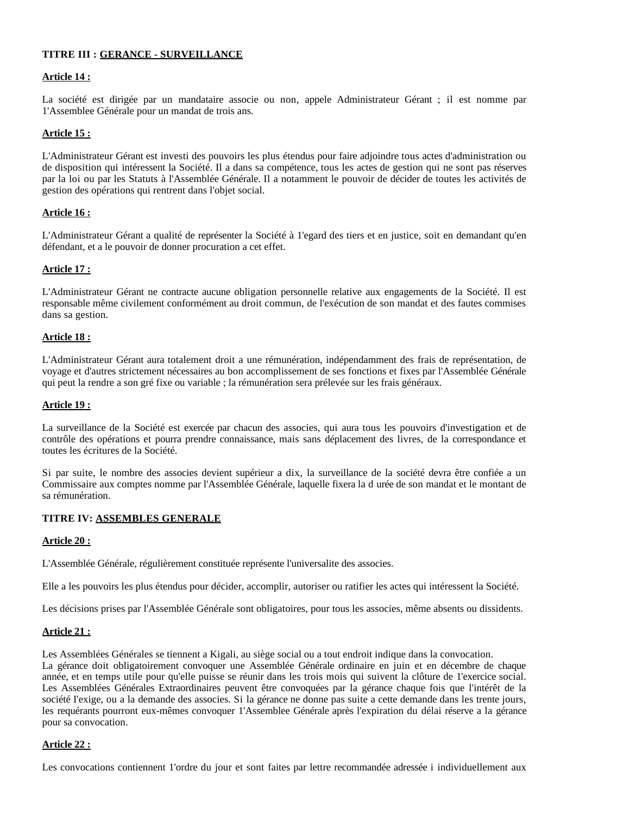## **TITRE III : GERANCE - SURVEILLANCE**

## **Article 14 :**

La société est dirigée par un mandataire associe ou non, appele Administrateur Gérant ; il est nomme par 1'Assemblee Générale pour un mandat de trois ans.

#### **Article 15 :**

L'Administrateur Gérant est investi des pouvoirs les plus étendus pour faire adjoindre tous actes d'administration ou de disposition qui intéressent la Société. Il a dans sa compétence, tous les actes de gestion qui ne sont pas réserves par la loi ou par les Statuts à l'Assemblée Générale. Il a notamment le pouvoir de décider de toutes les activités de gestion des opérations qui rentrent dans l'objet social.

#### **Article 16 :**

L'Administrateur Gérant a qualité de représenter la Société à 1'egard des tiers et en justice, soit en demandant qu'en défendant, et a le pouvoir de donner procuration a cet effet.

#### **Article 17 :**

L'Administrateur Gérant ne contracte aucune obligation personnelle relative aux engagements de la Société. Il est responsable même civilement conformément au droit commun, de l'exécution de son mandat et des fautes commises dans sa gestion.

#### **Article 18 :**

L'Administrateur Gérant aura totalement droit a une rémunération, indépendamment des frais de représentation, de voyage et d'autres strictement nécessaires au bon accomplissement de ses fonctions et fixes par l'Assemblée Générale qui peut la rendre a son gré fixe ou variable ; la rémunération sera prélevée sur les frais généraux.

#### **Article 19 :**

La surveillance de la Société est exercée par chacun des associes, qui aura tous les pouvoirs d'investigation et de contrôle des opérations et pourra prendre connaissance, mais sans déplacement des livres, de la correspondance et toutes les écritures de la Société.

Si par suite, le nombre des associes devient supérieur a dix, la surveillance de la société devra être confiée a un Commissaire aux comptes nomme par l'Assemblée Générale, laquelle fixera la d urée de son mandat et le montant de sa rémunération.

## **TITRE IV: ASSEMBLES GENERALE**

#### **Article 20 :**

L'Assemblée Générale, régulièrement constituée représente l'universalite des associes.

Elle a les pouvoirs les plus étendus pour décider, accomplir, autoriser ou ratifier les actes qui intéressent la Société.

Les décisions prises par l'Assemblée Générale sont obligatoires, pour tous les associes, même absents ou dissidents.

#### **Article 21 :**

Les Assemblées Générales se tiennent a Kigali, au siège social ou a tout endroit indique dans la convocation. La gérance doit obligatoirement convoquer une Assemblée Générale ordinaire en juin et en décembre de chaque année, et en temps utile pour qu'elle puisse se réunir dans les trois mois qui suivent la clôture de 1'exercice social. Les Assemblées Générales Extraordinaires peuvent être convoquées par la gérance chaque fois que l'intérêt de la société I'exige, ou a la demande des associes. Si la gérance ne donne pas suite a cette demande dans les trente jours, les requérants pourront eux-mêmes convoquer 1'Assemblee Générale après l'expiration du délai réserve a la gérance pour sa convocation.

#### **Article 22 :**

Les convocations contiennent 1'ordre du jour et sont faites par lettre recommandée adressée i individuellement aux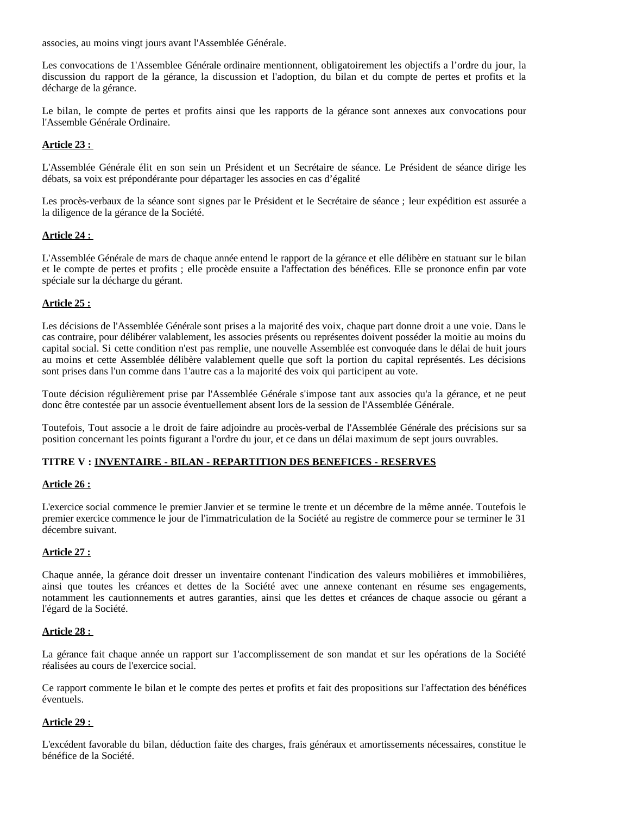associes, au moins vingt jours avant l'Assemblée Générale.

Les convocations de 1'Assemblee Générale ordinaire mentionnent, obligatoirement les objectifs a l'ordre du jour, la discussion du rapport de la gérance, la discussion et l'adoption, du bilan et du compte de pertes et profits et la décharge de la gérance.

Le bilan, le compte de pertes et profits ainsi que les rapports de la gérance sont annexes aux convocations pour l'Assemble Générale Ordinaire.

## **Article 23 :**

L'Assemblée Générale élit en son sein un Président et un Secrétaire de séance. Le Président de séance dirige les débats, sa voix est prépondérante pour départager les associes en cas d'égalité

Les procès-verbaux de la séance sont signes par le Président et le Secrétaire de séance ; leur expédition est assurée a la diligence de la gérance de la Société.

## **Article 24 :**

L'Assemblée Générale de mars de chaque année entend le rapport de la gérance et elle délibère en statuant sur le bilan et le compte de pertes et profits ; elle procède ensuite a l'affectation des bénéfices. Elle se prononce enfin par vote spéciale sur la décharge du gérant.

## **Article 25 :**

Les décisions de l'Assemblée Générale sont prises a la majorité des voix, chaque part donne droit a une voie. Dans le cas contraire, pour délibérer valablement, les associes présents ou représentes doivent posséder la moitie au moins du capital social. Si cette condition n'est pas remplie, une nouvelle Assemblée est convoquée dans le délai de huit jours au moins et cette Assemblée délibère valablement quelle que soft la portion du capital représentés. Les décisions sont prises dans l'un comme dans 1'autre cas a la majorité des voix qui participent au vote.

Toute décision régulièrement prise par l'Assemblée Générale s'impose tant aux associes qu'a la gérance, et ne peut donc être contestée par un associe éventuellement absent lors de la session de l'Assemblée Générale.

Toutefois, Tout associe a le droit de faire adjoindre au procès-verbal de l'Assemblée Générale des précisions sur sa position concernant les points figurant a l'ordre du jour, et ce dans un délai maximum de sept jours ouvrables.

## **TITRE V : INVENTAIRE - BILAN - REPARTITION DES BENEFICES - RESERVES**

## **Article 26 :**

L'exercice social commence le premier Janvier et se termine le trente et un décembre de la même année. Toutefois le premier exercice commence le jour de l'immatriculation de la Société au registre de commerce pour se terminer le 31 décembre suivant.

## **Article 27 :**

Chaque année, la gérance doit dresser un inventaire contenant l'indication des valeurs mobilières et immobilières, ainsi que toutes les créances et dettes de la Société avec une annexe contenant en résume ses engagements, notamment les cautionnements et autres garanties, ainsi que les dettes et créances de chaque associe ou gérant a l'égard de la Société.

## **Article 28 :**

La gérance fait chaque année un rapport sur 1'accomplissement de son mandat et sur les opérations de la Société réalisées au cours de l'exercice social.

Ce rapport commente le bilan et le compte des pertes et profits et fait des propositions sur l'affectation des bénéfices éventuels.

## **Article 29 :**

L'excédent favorable du bilan, déduction faite des charges, frais généraux et amortissements nécessaires, constitue le bénéfice de la Société.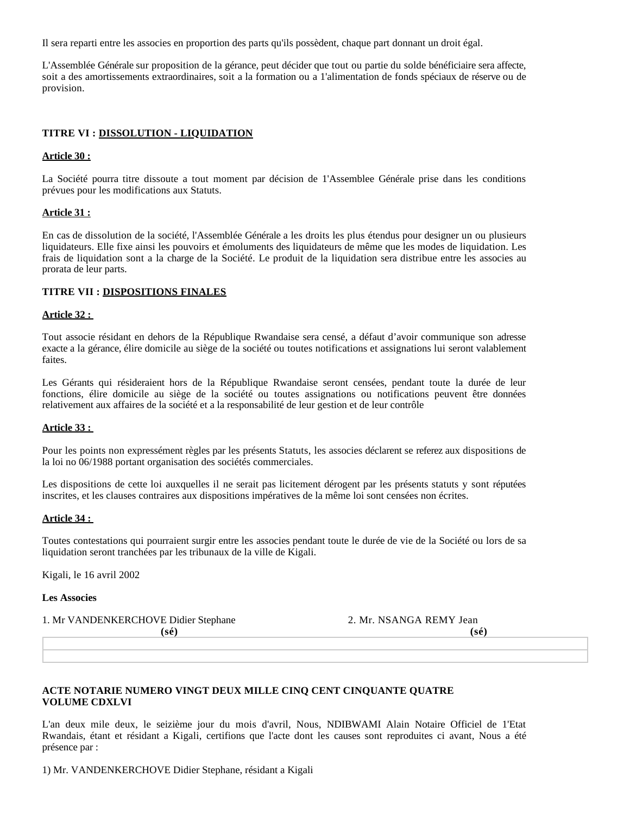Il sera reparti entre les associes en proportion des parts qu'ils possèdent, chaque part donnant un droit égal.

L'Assemblée Générale sur proposition de la gérance, peut décider que tout ou partie du solde bénéficiaire sera affecte, soit a des amortissements extraordinaires, soit a la formation ou a 1'alimentation de fonds spéciaux de réserve ou de provision.

## **TITRE VI : DISSOLUTION - LIQUIDATION**

#### **Article 30 :**

La Société pourra titre dissoute a tout moment par décision de 1'Assemblee Générale prise dans les conditions prévues pour les modifications aux Statuts.

#### **Article 31 :**

En cas de dissolution de la société, l'Assemblée Générale a les droits les plus étendus pour designer un ou plusieurs liquidateurs. Elle fixe ainsi les pouvoirs et émoluments des liquidateurs de même que les modes de liquidation. Les frais de liquidation sont a la charge de la Société. Le produit de la liquidation sera distribue entre les associes au prorata de leur parts.

## **TITRE VII : DISPOSITIONS FINALES**

#### **Article 32 :**

Tout associe résidant en dehors de la République Rwandaise sera censé, a défaut d'avoir communique son adresse exacte a la gérance, élire domicile au siège de la société ou toutes notifications et assignations lui seront valablement faites.

Les Gérants qui résideraient hors de la République Rwandaise seront censées, pendant toute la durée de leur fonctions, élire domicile au siège de la société ou toutes assignations ou notifications peuvent être données relativement aux affaires de la société et a la responsabilité de leur gestion et de leur contrôle

#### **Article 33 :**

Pour les points non expressément règles par les présents Statuts, les associes déclarent se referez aux dispositions de la loi no 06/1988 portant organisation des sociétés commerciales.

Les dispositions de cette loi auxquelles il ne serait pas licitement dérogent par les présents statuts y sont réputées inscrites, et les clauses contraires aux dispositions impératives de la même loi sont censées non écrites.

#### **Article 34 :**

Toutes contestations qui pourraient surgir entre les associes pendant toute le durée de vie de la Société ou lors de sa liquidation seront tranchées par les tribunaux de la ville de Kigali.

Kigali, le 16 avril 2002

#### **Les Associes**

1. Mr VANDENKERCHOVE Didier Stephane 2. Mr. NSANGA REMY Jean

 **(sé) (sé)**

## **ACTE NOTARIE NUMERO VINGT DEUX MILLE CINQ CENT CINQUANTE QUATRE VOLUME CDXLVI**

L'an deux mile deux, le seizième jour du mois d'avril, Nous, NDIBWAMI Alain Notaire Officiel de 1'Etat Rwandais, étant et résidant a Kigali, certifions que l'acte dont les causes sont reproduites ci avant, Nous a été présence par :

1) Mr. VANDENKERCHOVE Didier Stephane, résidant a Kigali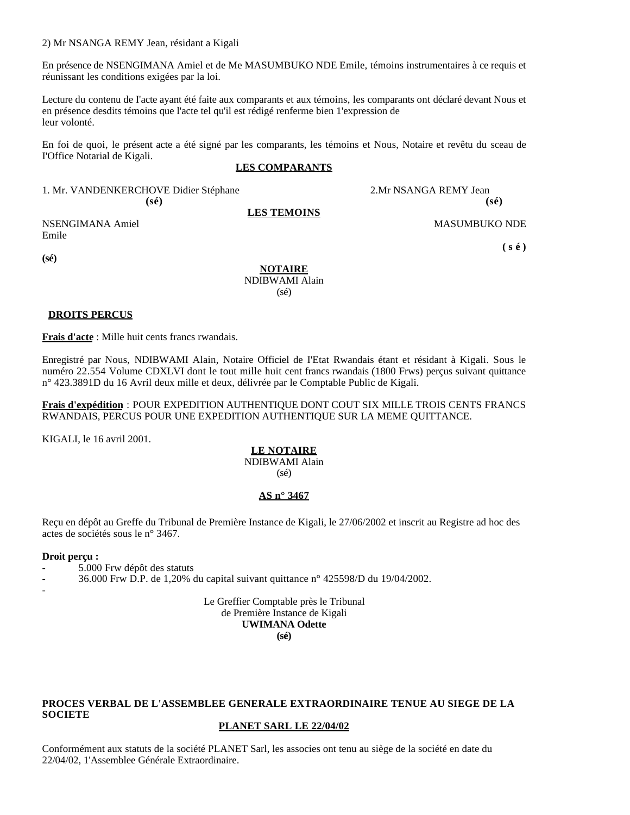#### 2) Mr NSANGA REMY Jean, résidant a Kigali

En présence de NSENGIMANA Amiel et de Me MASUMBUKO NDE Emile, témoins instrumentaires à ce requis et réunissant les conditions exigées par la loi.

Lecture du contenu de I'acte ayant été faite aux comparants et aux témoins, les comparants ont déclaré devant Nous et en présence desdits témoins que l'acte tel qu'il est rédigé renferme bien 1'expression de leur volonté.

En foi de quoi, le présent acte a été signé par les comparants, les témoins et Nous, Notaire et revêtu du sceau de I'Office Notarial de Kigali.

#### **LES COMPARANTS**

1. Mr. VANDENKERCHOVE Didier Stéphane 2.Mr NSANGA REMY Jean  $(s\acute{e})$  (se)

**LES TEMOINS**

NSENGIMANA Amiel MASUMBUKO NDE Emile

 **( s é )** 

**(sé)**

**NOTAIRE** NDIBWAMI Alain (sé)

## **DROITS PERCUS**

**Frais d'acte** : Mille huit cents francs rwandais.

Enregistré par Nous, NDIBWAMI Alain, Notaire Officiel de I'Etat Rwandais étant et résidant à Kigali. Sous le numéro 22.554 Volume CDXLVI dont le tout mille huit cent francs rwandais (1800 Frws) perçus suivant quittance n° 423.3891D du 16 Avril deux mille et deux, délivrée par le Comptable Public de Kigali.

**Frais d'expédition** : POUR EXPEDITION AUTHENTIQUE DONT COUT SIX MILLE TROIS CENTS FRANCS RWANDAIS, PERCUS POUR UNE EXPEDITION AUTHENTIQUE SUR LA MEME QUITTANCE.

KIGALI, le 16 avril 2001.

#### **LE NOTAIRE**

NDIBWAMI Alain (sé)

#### **AS n° 3467**

Reçu en dépôt au Greffe du Tribunal de Première Instance de Kigali, le 27/06/2002 et inscrit au Registre ad hoc des actes de sociétés sous le n° 3467.

#### **Droit perçu :**

- 5.000 Frw dépôt des statuts
- 36.000 Frw D.P. de 1,20% du capital suivant quittance n° 425598/D du 19/04/2002.
- -
- - Le Greffier Comptable près le Tribunal de Première Instance de Kigali **UWIMANA Odette**

**(sé)**

# **PROCES VERBAL DE L'ASSEMBLEE GENERALE EXTRAORDINAIRE TENUE AU SIEGE DE LA SOCIETE**

#### **PLANET SARL LE 22/04/02**

Conformément aux statuts de la société PLANET Sarl, les associes ont tenu au siège de la société en date du 22/04/02, 1'Assemblee Générale Extraordinaire.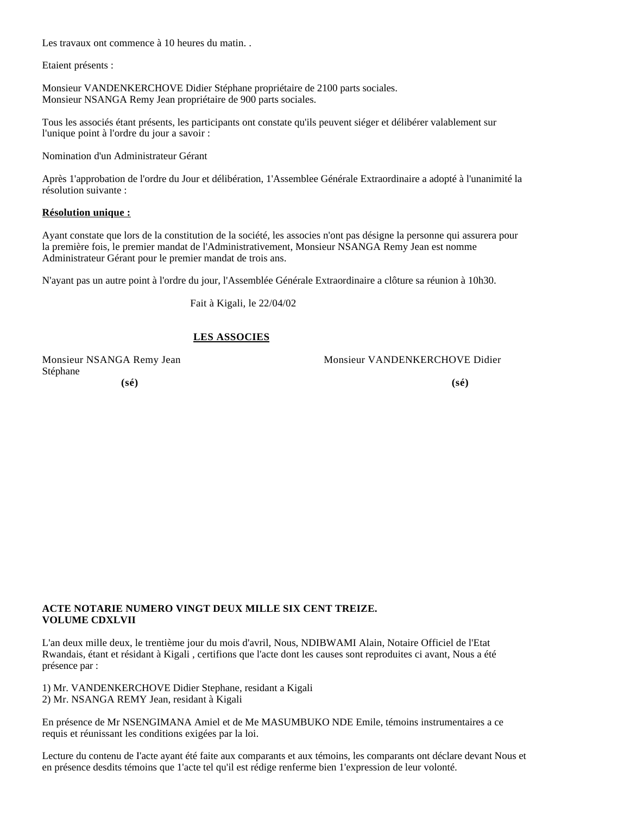Les travaux ont commence à 10 heures du matin..

Etaient présents :

Monsieur VANDENKERCHOVE Didier Stéphane propriétaire de 2100 parts sociales. Monsieur NSANGA Remy Jean propriétaire de 900 parts sociales.

Tous les associés étant présents, les participants ont constate qu'ils peuvent siéger et délibérer valablement sur l'unique point à l'ordre du jour a savoir :

Nomination d'un Administrateur Gérant

Après 1'approbation de l'ordre du Jour et délibération, 1'Assemblee Générale Extraordinaire a adopté à l'unanimité la résolution suivante :

#### **Résolution unique :**

Ayant constate que lors de la constitution de la société, les associes n'ont pas désigne la personne qui assurera pour la première fois, le premier mandat de l'Administrativement, Monsieur NSANGA Remy Jean est nomme Administrateur Gérant pour le premier mandat de trois ans.

N'ayant pas un autre point à l'ordre du jour, l'Assemblée Générale Extraordinaire a clôture sa réunion à 10h30.

Fait à Kigali, le 22/04/02

# **LES ASSOCIES**

Stéphane  **(sé) (sé)**

Monsieur NSANGA Remy Jean Monsieur VANDENKERCHOVE Didier

#### **ACTE NOTARIE NUMERO VINGT DEUX MILLE SIX CENT TREIZE. VOLUME CDXLVII**

L'an deux mille deux, le trentième jour du mois d'avril, Nous, NDIBWAMI Alain, Notaire Officiel de l'Etat Rwandais, étant et résidant à Kigali , certifions que l'acte dont les causes sont reproduites ci avant, Nous a été présence par :

1) Mr. VANDENKERCHOVE Didier Stephane, residant a Kigali 2) Mr. NSANGA REMY Jean, residant à Kigali

En présence de Mr NSENGIMANA Amiel et de Me MASUMBUKO NDE Emile, témoins instrumentaires a ce requis et réunissant les conditions exigées par la loi.

Lecture du contenu de I'acte ayant été faite aux comparants et aux témoins, les comparants ont déclare devant Nous et en présence desdits témoins que 1'acte tel qu'il est rédige renferme bien 1'expression de leur volonté.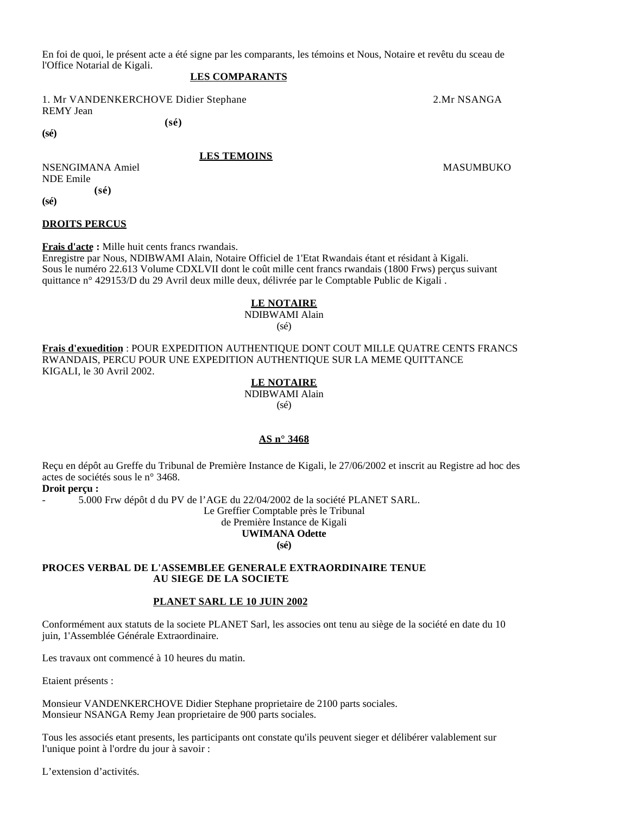En foi de quoi, le présent acte a été signe par les comparants, les témoins et Nous, Notaire et revêtu du sceau de l'Office Notarial de Kigali.

#### **LES COMPARANTS**

1. Mr VANDENKERCHOVE Didier Stephane 2.Mr NSANGA REMY Jean  **(sé)** 

**(sé)**

#### **LES TEMOINS**

NSENGIMANA Amiel MASUMBUKO NASENGIMANA Amiel MASUMBUKO MASUMBUKO MASUMBUKO MASUMBUKO MASUMBUKO MASUMBUKO MASUMBUKO MASUMBUKO MASUMBUKO MASUMBUKO MASUMBUKO MASUMBUKO MASUMBUKO MASUMBUKO MASUMBUKO MASUMBUKO MASUMBUKO MASUMBU NDE Emile  **(sé)** 

**(sé)**

#### **DROITS PERCUS**

**Frais d'acte :** Mille huit cents francs rwandais.

Enregistre par Nous, NDIBWAMI Alain, Notaire Officiel de 1'Etat Rwandais étant et résidant à Kigali. Sous le numéro 22.613 Volume CDXLVII dont le coût mille cent francs rwandais (1800 Frws) perçus suivant quittance n° 429153/D du 29 Avril deux mille deux, délivrée par le Comptable Public de Kigali .

#### **LE NOTAIRE**

# NDIBWAMI Alain

(sé)

**Frais d'exuedition** : POUR EXPEDITION AUTHENTIQUE DONT COUT MILLE QUATRE CENTS FRANCS RWANDAIS, PERCU POUR UNE EXPEDITION AUTHENTIQUE SUR LA MEME QUITTANCE KIGALI, le 30 Avril 2002.

(sé)

## **AS n° 3468**

Reçu en dépôt au Greffe du Tribunal de Première Instance de Kigali, le 27/06/2002 et inscrit au Registre ad hoc des actes de sociétés sous le n° 3468.

**Droit perçu :**

- 5.000 Frw dépôt d du PV de l'AGE du 22/04/2002 de la société PLANET SARL.

Le Greffier Comptable près le Tribunal

de Première Instance de Kigali

#### **UWIMANA Odette (sé)**

#### **PROCES VERBAL DE L'ASSEMBLEE GENERALE EXTRAORDINAIRE TENUE AU SIEGE DE LA SOCIETE**

## **PLANET SARL LE 10 JUIN 2002**

Conformément aux statuts de la societe PLANET Sarl, les associes ont tenu au siège de la société en date du 10 juin, 1'Assemblée Générale Extraordinaire.

Les travaux ont commencé à 10 heures du matin.

Etaient présents :

Monsieur VANDENKERCHOVE Didier Stephane proprietaire de 2100 parts sociales. Monsieur NSANGA Remy Jean proprietaire de 900 parts sociales.

Tous les associés etant presents, les participants ont constate qu'ils peuvent sieger et délibérer valablement sur l'unique point à l'ordre du jour à savoir :

L'extension d'activités.

**LE NOTAIRE**

NDIBWAMI Alain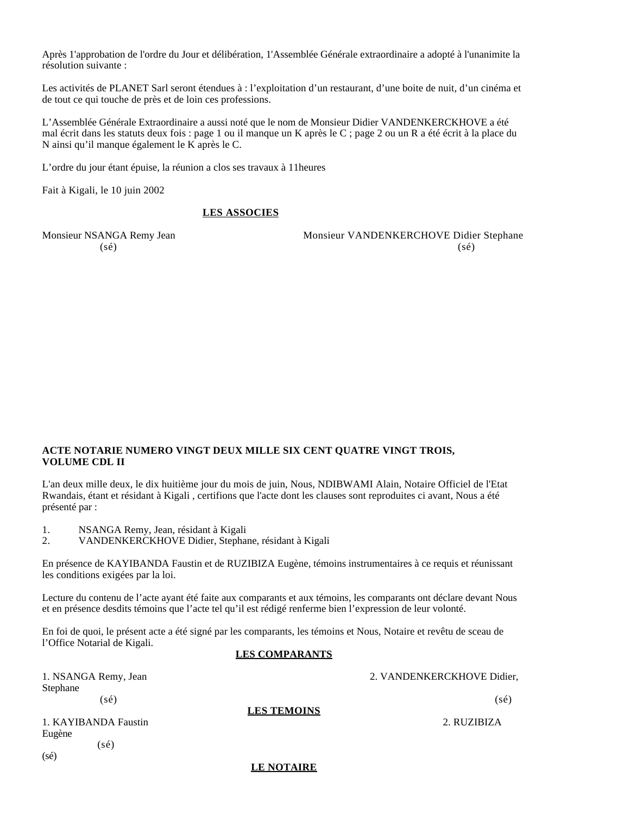Après 1'approbation de l'ordre du Jour et délibération, 1'Assemblée Générale extraordinaire a adopté à l'unanimite la résolution suivante :

Les activités de PLANET Sarl seront étendues à : l'exploitation d'un restaurant, d'une boite de nuit, d'un cinéma et de tout ce qui touche de près et de loin ces professions.

L'Assemblée Générale Extraordinaire a aussi noté que le nom de Monsieur Didier VANDENKERCKHOVE a été mal écrit dans les statuts deux fois : page 1 ou il manque un K après le C ; page 2 ou un R a été écrit à la place du N ainsi qu'il manque également le K après le C.

L'ordre du jour étant épuise, la réunion a clos ses travaux à 11heures

Fait à Kigali, le 10 juin 2002

#### **LES ASSOCIES**

Monsieur NSANGA Remy Jean Monsieur VANDENKERCHOVE Didier Stephane  $(s\acute{e})$  (se)

## **ACTE NOTARIE NUMERO VINGT DEUX MILLE SIX CENT QUATRE VINGT TROIS, VOLUME CDL II**

L'an deux mille deux, le dix huitième jour du mois de juin, Nous, NDIBWAMI Alain, Notaire Officiel de l'Etat Rwandais, étant et résidant à Kigali , certifions que l'acte dont les clauses sont reproduites ci avant, Nous a été présenté par :

1. NSANGA Remy, Jean, résidant à Kigali

2. VANDENKERCKHOVE Didier, Stephane, résidant à Kigali

En présence de KAYIBANDA Faustin et de RUZIBIZA Eugène, témoins instrumentaires à ce requis et réunissant les conditions exigées par la loi.

Lecture du contenu de l'acte ayant été faite aux comparants et aux témoins, les comparants ont déclare devant Nous et en présence desdits témoins que l'acte tel qu'il est rédigé renferme bien l'expression de leur volonté.

En foi de quoi, le présent acte a été signé par les comparants, les témoins et Nous, Notaire et revêtu de sceau de l'Office Notarial de Kigali.

#### **LES COMPARANTS**

| 1. NSANGA Remy, Jean<br>Stephane |                    | 2. VANDENKERCKHOVE Didier, |
|----------------------------------|--------------------|----------------------------|
| (sé)                             | <b>LES TEMOINS</b> | $(s\acute{e})$             |
| 1. KAYIBANDA Faustin<br>Eugène   |                    | 2. RUZIBIZA                |
| $(s\acute{e})$<br>(sé)           |                    |                            |

#### **LE NOTAIRE**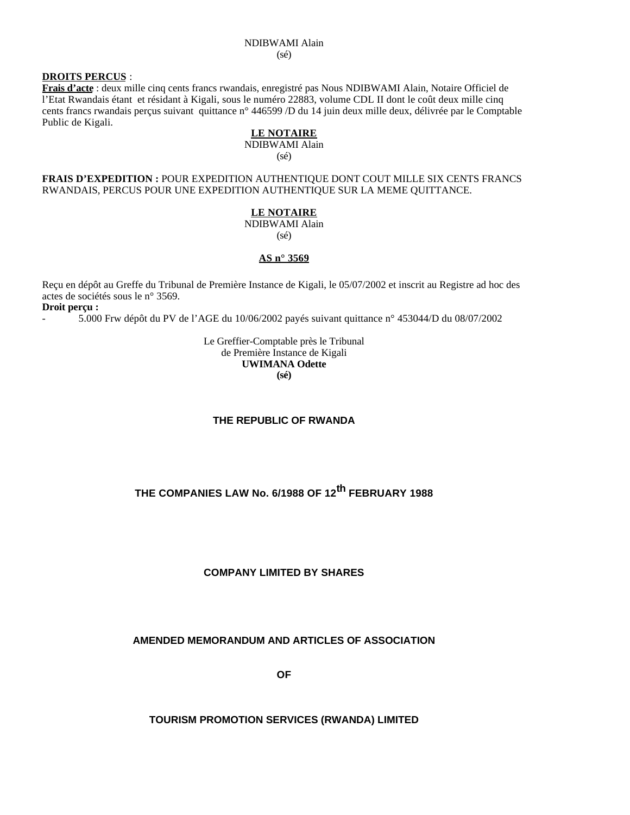## **DROITS PERCUS** :

**Frais d'acte** : deux mille cinq cents francs rwandais, enregistré pas Nous NDIBWAMI Alain, Notaire Officiel de l'Etat Rwandais étant et résidant à Kigali, sous le numéro 22883, volume CDL II dont le coût deux mille cinq cents francs rwandais perçus suivant quittance n° 446599 /D du 14 juin deux mille deux, délivrée par le Comptable Public de Kigali.

#### **LE NOTAIRE** NDIBWAMI Alain

(sé)

#### **FRAIS D'EXPEDITION :** POUR EXPEDITION AUTHENTIQUE DONT COUT MILLE SIX CENTS FRANCS RWANDAIS, PERCUS POUR UNE EXPEDITION AUTHENTIQUE SUR LA MEME QUITTANCE.

#### **LE NOTAIRE**

NDIBWAMI Alain (sé)

# **AS n° 3569**

Reçu en dépôt au Greffe du Tribunal de Première Instance de Kigali, le 05/07/2002 et inscrit au Registre ad hoc des actes de sociétés sous le n° 3569.

**Droit perçu :**

- 5.000 Frw dépôt du PV de l'AGE du 10/06/2002 payés suivant quittance n° 453044/D du 08/07/2002

#### Le Greffier-Comptable près le Tribunal de Première Instance de Kigali **UWIMANA Odette (sé)**

#### **THE REPUBLIC OF RWANDA**

# **THE COMPANIES LAW No. 6/1988 OF 12th FEBRUARY 1988**

## **COMPANY LIMITED BY SHARES**

## **AMENDED MEMORANDUM AND ARTICLES OF ASSOCIATION**

**OF**

**TOURISM PROMOTION SERVICES (RWANDA) LIMITED**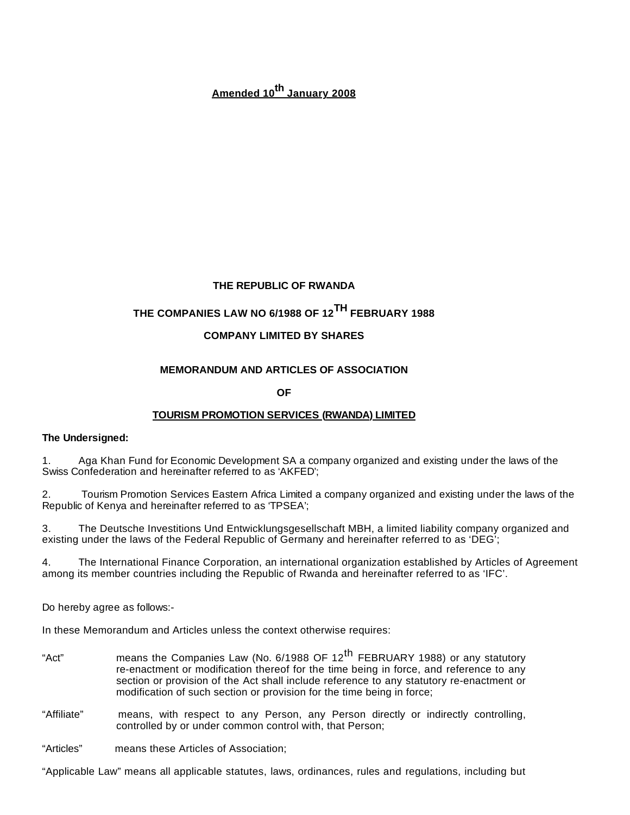# **Amended 10th January 2008**

# **THE REPUBLIC OF RWANDA**

# **THE COMPANIES LAW NO 6/1988 OF 12TH FEBRUARY 1988**

# **COMPANY LIMITED BY SHARES**

# **MEMORANDUM AND ARTICLES OF ASSOCIATION**

**OF**

# **TOURISM PROMOTION SERVICES (RWANDA) LIMITED**

## **The Undersigned:**

1. Aga Khan Fund for Economic Development SA a company organized and existing under the laws of the Swiss Confederation and hereinafter referred to as 'AKFED';

2. Tourism Promotion Services Eastern Africa Limited a company organized and existing under the laws of the Republic of Kenya and hereinafter referred to as 'TPSEA';

3. The Deutsche Investitions Und Entwicklungsgesellschaft MBH, a limited liability company organized and existing under the laws of the Federal Republic of Germany and hereinafter referred to as 'DEG';

4. The International Finance Corporation, an international organization established by Articles of Agreement among its member countries including the Republic of Rwanda and hereinafter referred to as 'IFC'.

Do hereby agree as follows:-

In these Memorandum and Articles unless the context otherwise requires:

- "Act" means the Companies Law (No. 6/1988 OF 12<sup>th</sup> FEBRUARY 1988) or any statutory re-enactment or modification thereof for the time being in force, and reference to any section or provision of the Act shall include reference to any statutory re-enactment or modification of such section or provision for the time being in force;
- "Affiliate" means, with respect to any Person, any Person directly or indirectly controlling, controlled by or under common control with, that Person;

"Articles" means these Articles of Association;

"Applicable Law" means all applicable statutes, laws, ordinances, rules and regulations, including but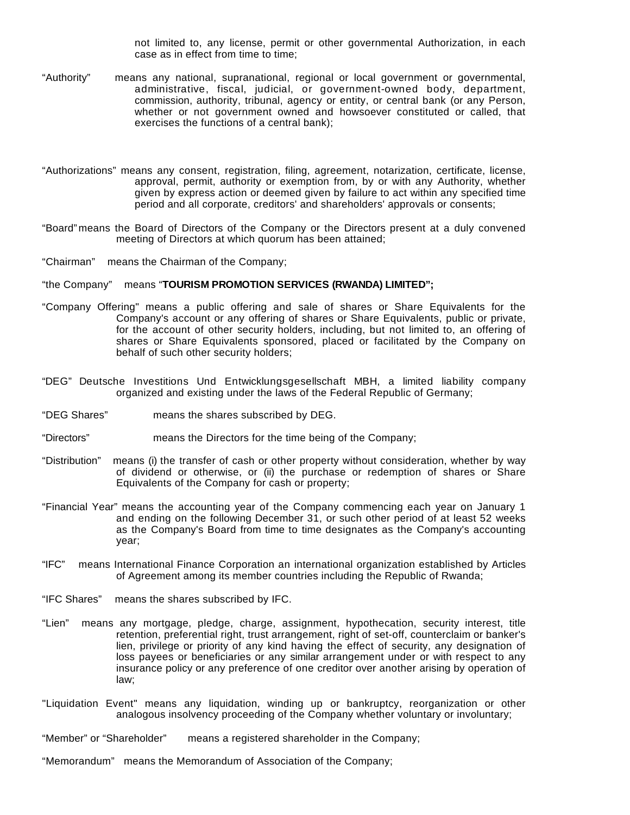not limited to, any license, permit or other governmental Authorization, in each case as in effect from time to time;

- "Authority" means any national, supranational, regional or local government or governmental, administrative, fiscal, judicial, or government-owned body, department, commission, authority, tribunal, agency or entity, or central bank (or any Person, whether or not government owned and howsoever constituted or called, that exercises the functions of a central bank);
- "Authorizations" means any consent, registration, filing, agreement, notarization, certificate, license, approval, permit, authority or exemption from, by or with any Authority, whether given by express action or deemed given by failure to act within any specified time period and all corporate, creditors' and shareholders' approvals or consents;
- "Board" means the Board of Directors of the Company or the Directors present at a duly convened meeting of Directors at which quorum has been attained;
- "Chairman" means the Chairman of the Company;

## "the Company" means "**TOURISM PROMOTION SERVICES (RWANDA) LIMITED";**

- "Company Offering" means a public offering and sale of shares or Share Equivalents for the Company's account or any offering of shares or Share Equivalents, public or private, for the account of other security holders, including, but not limited to, an offering of shares or Share Equivalents sponsored, placed or facilitated by the Company on behalf of such other security holders;
- "DEG" Deutsche Investitions Und Entwicklungsgesellschaft MBH, a limited liability company organized and existing under the laws of the Federal Republic of Germany;
- "DEG Shares" means the shares subscribed by DEG.
- "Directors" means the Directors for the time being of the Company;
- "Distribution" means (i) the transfer of cash or other property without consideration, whether by way of dividend or otherwise, or (ii) the purchase or redemption of shares or Share Equivalents of the Company for cash or property;
- "Financial Year" means the accounting year of the Company commencing each year on January 1 and ending on the following December 31, or such other period of at least 52 weeks as the Company's Board from time to time designates as the Company's accounting year;
- "IFC" means International Finance Corporation an international organization established by Articles of Agreement among its member countries including the Republic of Rwanda;
- "IFC Shares" means the shares subscribed by IFC.
- "Lien" means any mortgage, pledge, charge, assignment, hypothecation, security interest, title retention, preferential right, trust arrangement, right of set-off, counterclaim or banker's lien, privilege or priority of any kind having the effect of security, any designation of loss payees or beneficiaries or any similar arrangement under or with respect to any insurance policy or any preference of one creditor over another arising by operation of law;
- "Liquidation Event" means any liquidation, winding up or bankruptcy, reorganization or other analogous insolvency proceeding of the Company whether voluntary or involuntary;
- "Member" or "Shareholder" means a registered shareholder in the Company;
- "Memorandum" means the Memorandum of Association of the Company;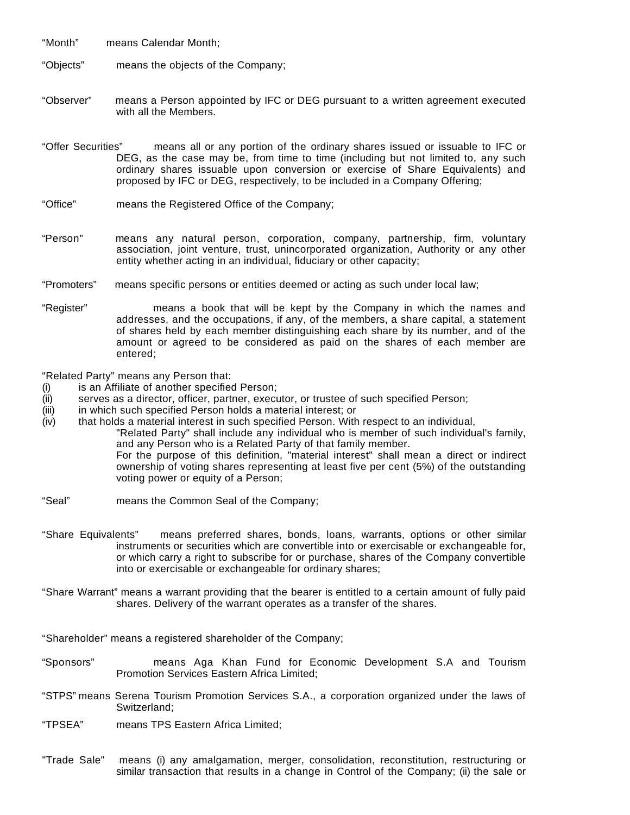"Month" means Calendar Month;

"Objects" means the objects of the Company;

- "Observer" means a Person appointed by IFC or DEG pursuant to a written agreement executed with all the Members.
- "Offer Securities" means all or any portion of the ordinary shares issued or issuable to IFC or DEG, as the case may be, from time to time (including but not limited to, any such ordinary shares issuable upon conversion or exercise of Share Equivalents) and proposed by IFC or DEG, respectively, to be included in a Company Offering;
- "Office" means the Registered Office of the Company;
- "Person" means any natural person, corporation, company, partnership, firm, voluntary association, joint venture, trust, unincorporated organization, Authority or any other entity whether acting in an individual, fiduciary or other capacity;
- "Promoters" means specific persons or entities deemed or acting as such under local law;
- "Register" means a book that will be kept by the Company in which the names and addresses, and the occupations, if any, of the members, a share capital, a statement of shares held by each member distinguishing each share by its number, and of the amount or agreed to be considered as paid on the shares of each member are entered;

"Related Party" means any Person that:

- (i) is an Affiliate of another specified Person;
- (ii) serves as a director, officer, partner, executor, or trustee of such specified Person;
- (iii) in which such specified Person holds a material interest; or
- (iv) that holds a material interest in such specified Person. With respect to an individual,

"Related Party" shall include any individual who is member of such individual's family, and any Person who is a Related Party of that family member. For the purpose of this definition, "material interest" shall mean a direct or indirect ownership of voting shares representing at least five per cent (5%) of the outstanding

voting power or equity of a Person;

- "Seal" means the Common Seal of the Company;
- "Share Equivalents" means preferred shares, bonds, loans, warrants, options or other similar instruments or securities which are convertible into or exercisable or exchangeable for, or which carry a right to subscribe for or purchase, shares of the Company convertible into or exercisable or exchangeable for ordinary shares;
- "Share Warrant" means a warrant providing that the bearer is entitled to a certain amount of fully paid shares. Delivery of the warrant operates as a transfer of the shares.

"Shareholder" means a registered shareholder of the Company;

- "Sponsors" means Aga Khan Fund for Economic Development S.A and Tourism Promotion Services Eastern Africa Limited;
- "STPS" means Serena Tourism Promotion Services S.A., a corporation organized under the laws of Switzerland;
- "TPSEA" means TPS Eastern Africa Limited;
- "Trade Sale" means (i) any amalgamation, merger, consolidation, reconstitution, restructuring or similar transaction that results in a change in Control of the Company; (ii) the sale or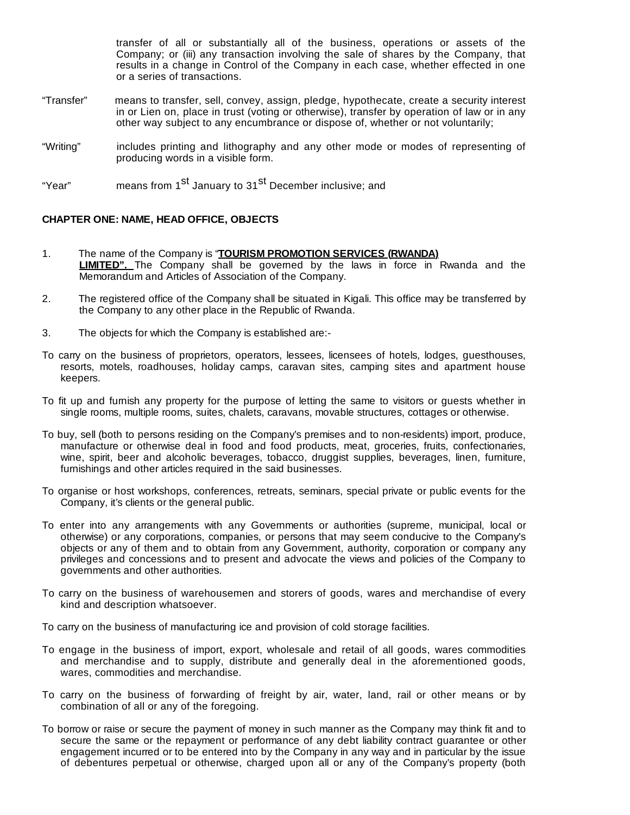transfer of all or substantially all of the business, operations or assets of the Company; or (iii) any transaction involving the sale of shares by the Company, that results in a change in Control of the Company in each case, whether effected in one or a series of transactions.

- "Transfer" means to transfer, sell, convey, assign, pledge, hypothecate, create a security interest in or Lien on, place in trust (voting or otherwise), transfer by operation of law or in any other way subject to any encumbrance or dispose of, whether or not voluntarily;
- "Writing" includes printing and lithography and any other mode or modes of representing of producing words in a visible form.

"Year" means from 1<sup>st</sup> January to 31<sup>st</sup> December inclusive; and

## **CHAPTER ONE: NAME, HEAD OFFICE, OBJECTS**

- 1. The name of the Company is "**TOURISM PROMOTION SERVICES (RWANDA) LIMITED".** The Company shall be governed by the laws in force in Rwanda and the Memorandum and Articles of Association of the Company.
- 2. The registered office of the Company shall be situated in Kigali. This office may be transferred by the Company to any other place in the Republic of Rwanda.
- 3. The objects for which the Company is established are:-
- To carry on the business of proprietors, operators, lessees, licensees of hotels, lodges, guesthouses, resorts, motels, roadhouses, holiday camps, caravan sites, camping sites and apartment house keepers.
- To fit up and furnish any property for the purpose of letting the same to visitors or guests whether in single rooms, multiple rooms, suites, chalets, caravans, movable structures, cottages or otherwise.
- To buy, sell (both to persons residing on the Company's premises and to non-residents) import, produce, manufacture or otherwise deal in food and food products, meat, groceries, fruits, confectionaries, wine, spirit, beer and alcoholic beverages, tobacco, druggist supplies, beverages, linen, furniture, furnishings and other articles required in the said businesses.
- To organise or host workshops, conferences, retreats, seminars, special private or public events for the Company, it's clients or the general public.
- To enter into any arrangements with any Governments or authorities (supreme, municipal, local or otherwise) or any corporations, companies, or persons that may seem conducive to the Company's objects or any of them and to obtain from any Government, authority, corporation or company any privileges and concessions and to present and advocate the views and policies of the Company to governments and other authorities.
- To carry on the business of warehousemen and storers of goods, wares and merchandise of every kind and description whatsoever.

To carry on the business of manufacturing ice and provision of cold storage facilities.

- To engage in the business of import, export, wholesale and retail of all goods, wares commodities and merchandise and to supply, distribute and generally deal in the aforementioned goods, wares, commodities and merchandise.
- To carry on the business of forwarding of freight by air, water, land, rail or other means or by combination of all or any of the foregoing.
- To borrow or raise or secure the payment of money in such manner as the Company may think fit and to secure the same or the repayment or performance of any debt liability contract guarantee or other engagement incurred or to be entered into by the Company in any way and in particular by the issue of debentures perpetual or otherwise, charged upon all or any of the Company's property (both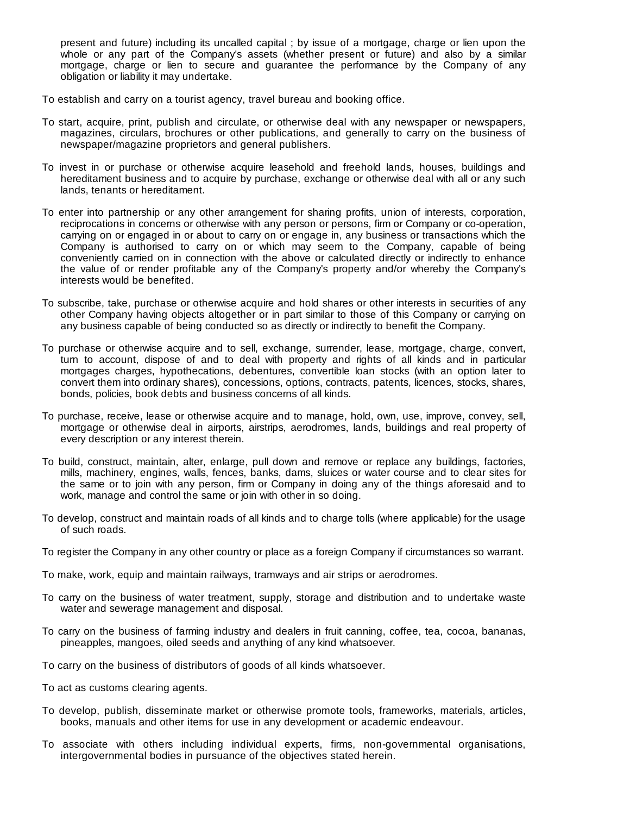present and future) including its uncalled capital ; by issue of a mortgage, charge or lien upon the whole or any part of the Company's assets (whether present or future) and also by a similar mortgage, charge or lien to secure and guarantee the performance by the Company of any obligation or liability it may undertake.

To establish and carry on a tourist agency, travel bureau and booking office.

- To start, acquire, print, publish and circulate, or otherwise deal with any newspaper or newspapers, magazines, circulars, brochures or other publications, and generally to carry on the business of newspaper/magazine proprietors and general publishers.
- To invest in or purchase or otherwise acquire leasehold and freehold lands, houses, buildings and hereditament business and to acquire by purchase, exchange or otherwise deal with all or any such lands, tenants or hereditament.
- To enter into partnership or any other arrangement for sharing profits, union of interests, corporation, reciprocations in concerns or otherwise with any person or persons, firm or Company or co-operation, carrying on or engaged in or about to carry on or engage in, any business or transactions which the Company is authorised to carry on or which may seem to the Company, capable of being conveniently carried on in connection with the above or calculated directly or indirectly to enhance the value of or render profitable any of the Company's property and/or whereby the Company's interests would be benefited.
- To subscribe, take, purchase or otherwise acquire and hold shares or other interests in securities of any other Company having objects altogether or in part similar to those of this Company or carrying on any business capable of being conducted so as directly or indirectly to benefit the Company.
- To purchase or otherwise acquire and to sell, exchange, surrender, lease, mortgage, charge, convert, turn to account, dispose of and to deal with property and rights of all kinds and in particular mortgages charges, hypothecations, debentures, convertible loan stocks (with an option later to convert them into ordinary shares), concessions, options, contracts, patents, licences, stocks, shares, bonds, policies, book debts and business concerns of all kinds.
- To purchase, receive, lease or otherwise acquire and to manage, hold, own, use, improve, convey, sell, mortgage or otherwise deal in airports, airstrips, aerodromes, lands, buildings and real property of every description or any interest therein.
- To build, construct, maintain, alter, enlarge, pull down and remove or replace any buildings, factories, mills, machinery, engines, walls, fences, banks, dams, sluices or water course and to clear sites for the same or to join with any person, firm or Company in doing any of the things aforesaid and to work, manage and control the same or join with other in so doing.
- To develop, construct and maintain roads of all kinds and to charge tolls (where applicable) for the usage of such roads.
- To register the Company in any other country or place as a foreign Company if circumstances so warrant.
- To make, work, equip and maintain railways, tramways and air strips or aerodromes.
- To carry on the business of water treatment, supply, storage and distribution and to undertake waste water and sewerage management and disposal.
- To carry on the business of farming industry and dealers in fruit canning, coffee, tea, cocoa, bananas, pineapples, mangoes, oiled seeds and anything of any kind whatsoever.
- To carry on the business of distributors of goods of all kinds whatsoever.
- To act as customs clearing agents.
- To develop, publish, disseminate market or otherwise promote tools, frameworks, materials, articles, books, manuals and other items for use in any development or academic endeavour.
- To associate with others including individual experts, firms, non-governmental organisations, intergovernmental bodies in pursuance of the objectives stated herein.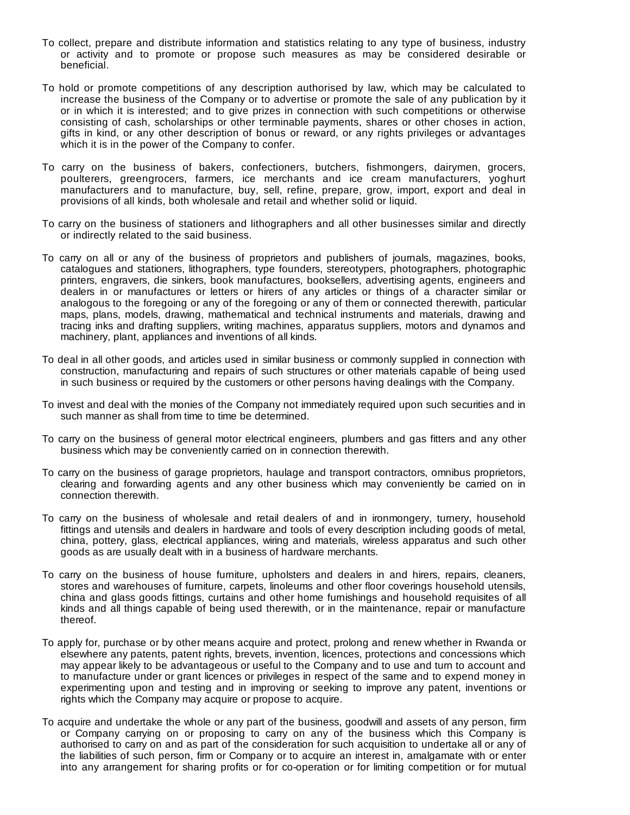- To collect, prepare and distribute information and statistics relating to any type of business, industry or activity and to promote or propose such measures as may be considered desirable or beneficial.
- To hold or promote competitions of any description authorised by law, which may be calculated to increase the business of the Company or to advertise or promote the sale of any publication by it or in which it is interested; and to give prizes in connection with such competitions or otherwise consisting of cash, scholarships or other terminable payments, shares or other choses in action, gifts in kind, or any other description of bonus or reward, or any rights privileges or advantages which it is in the power of the Company to confer.
- To carry on the business of bakers, confectioners, butchers, fishmongers, dairymen, grocers, poulterers, greengrocers, farmers, ice merchants and ice cream manufacturers, yoghurt manufacturers and to manufacture, buy, sell, refine, prepare, grow, import, export and deal in provisions of all kinds, both wholesale and retail and whether solid or liquid.
- To carry on the business of stationers and lithographers and all other businesses similar and directly or indirectly related to the said business.
- To carry on all or any of the business of proprietors and publishers of journals, magazines, books, catalogues and stationers, lithographers, type founders, stereotypers, photographers, photographic printers, engravers, die sinkers, book manufactures, booksellers, advertising agents, engineers and dealers in or manufactures or letters or hirers of any articles or things of a character similar or analogous to the foregoing or any of the foregoing or any of them or connected therewith, particular maps, plans, models, drawing, mathematical and technical instruments and materials, drawing and tracing inks and drafting suppliers, writing machines, apparatus suppliers, motors and dynamos and machinery, plant, appliances and inventions of all kinds.
- To deal in all other goods, and articles used in similar business or commonly supplied in connection with construction, manufacturing and repairs of such structures or other materials capable of being used in such business or required by the customers or other persons having dealings with the Company.
- To invest and deal with the monies of the Company not immediately required upon such securities and in such manner as shall from time to time be determined.
- To carry on the business of general motor electrical engineers, plumbers and gas fitters and any other business which may be conveniently carried on in connection therewith.
- To carry on the business of garage proprietors, haulage and transport contractors, omnibus proprietors, clearing and forwarding agents and any other business which may conveniently be carried on in connection therewith.
- To carry on the business of wholesale and retail dealers of and in ironmongery, turnery, household fittings and utensils and dealers in hardware and tools of every description including goods of metal, china, pottery, glass, electrical appliances, wiring and materials, wireless apparatus and such other goods as are usually dealt with in a business of hardware merchants.
- To carry on the business of house furniture, upholsters and dealers in and hirers, repairs, cleaners, stores and warehouses of furniture, carpets, linoleums and other floor coverings household utensils, china and glass goods fittings, curtains and other home furnishings and household requisites of all kinds and all things capable of being used therewith, or in the maintenance, repair or manufacture thereof.
- To apply for, purchase or by other means acquire and protect, prolong and renew whether in Rwanda or elsewhere any patents, patent rights, brevets, invention, licences, protections and concessions which may appear likely to be advantageous or useful to the Company and to use and turn to account and to manufacture under or grant licences or privileges in respect of the same and to expend money in experimenting upon and testing and in improving or seeking to improve any patent, inventions or rights which the Company may acquire or propose to acquire.
- To acquire and undertake the whole or any part of the business, goodwill and assets of any person, firm or Company carrying on or proposing to carry on any of the business which this Company is authorised to carry on and as part of the consideration for such acquisition to undertake all or any of the liabilities of such person, firm or Company or to acquire an interest in, amalgamate with or enter into any arrangement for sharing profits or for co-operation or for limiting competition or for mutual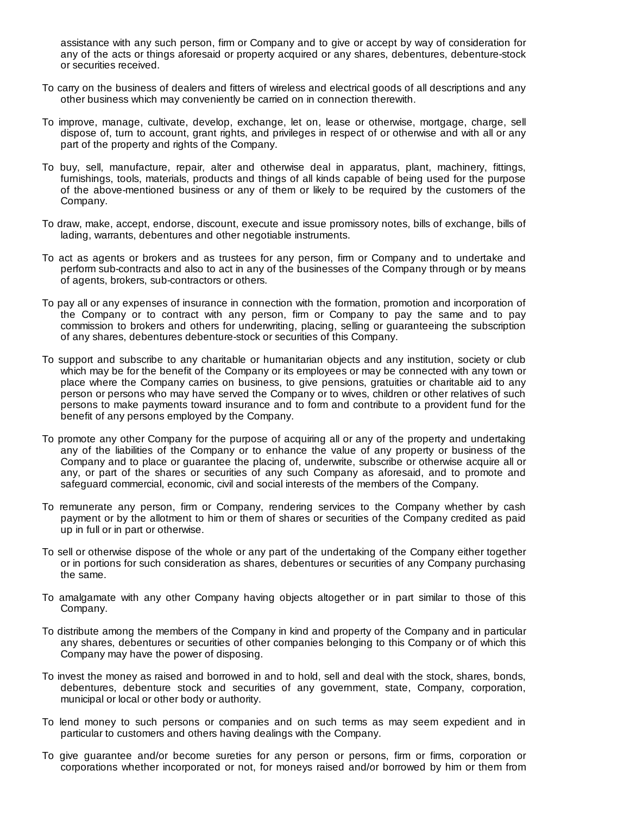assistance with any such person, firm or Company and to give or accept by way of consideration for any of the acts or things aforesaid or property acquired or any shares, debentures, debenture-stock or securities received.

- To carry on the business of dealers and fitters of wireless and electrical goods of all descriptions and any other business which may conveniently be carried on in connection therewith.
- To improve, manage, cultivate, develop, exchange, let on, lease or otherwise, mortgage, charge, sell dispose of, turn to account, grant rights, and privileges in respect of or otherwise and with all or any part of the property and rights of the Company.
- To buy, sell, manufacture, repair, alter and otherwise deal in apparatus, plant, machinery, fittings, furnishings, tools, materials, products and things of all kinds capable of being used for the purpose of the above-mentioned business or any of them or likely to be required by the customers of the Company.
- To draw, make, accept, endorse, discount, execute and issue promissory notes, bills of exchange, bills of lading, warrants, debentures and other negotiable instruments.
- To act as agents or brokers and as trustees for any person, firm or Company and to undertake and perform sub-contracts and also to act in any of the businesses of the Company through or by means of agents, brokers, sub-contractors or others.
- To pay all or any expenses of insurance in connection with the formation, promotion and incorporation of the Company or to contract with any person, firm or Company to pay the same and to pay commission to brokers and others for underwriting, placing, selling or guaranteeing the subscription of any shares, debentures debenture-stock or securities of this Company.
- To support and subscribe to any charitable or humanitarian objects and any institution, society or club which may be for the benefit of the Company or its employees or may be connected with any town or place where the Company carries on business, to give pensions, gratuities or charitable aid to any person or persons who may have served the Company or to wives, children or other relatives of such persons to make payments toward insurance and to form and contribute to a provident fund for the benefit of any persons employed by the Company.
- To promote any other Company for the purpose of acquiring all or any of the property and undertaking any of the liabilities of the Company or to enhance the value of any property or business of the Company and to place or guarantee the placing of, underwrite, subscribe or otherwise acquire all or any, or part of the shares or securities of any such Company as aforesaid, and to promote and safeguard commercial, economic, civil and social interests of the members of the Company.
- To remunerate any person, firm or Company, rendering services to the Company whether by cash payment or by the allotment to him or them of shares or securities of the Company credited as paid up in full or in part or otherwise.
- To sell or otherwise dispose of the whole or any part of the undertaking of the Company either together or in portions for such consideration as shares, debentures or securities of any Company purchasing the same.
- To amalgamate with any other Company having objects altogether or in part similar to those of this Company.
- To distribute among the members of the Company in kind and property of the Company and in particular any shares, debentures or securities of other companies belonging to this Company or of which this Company may have the power of disposing.
- To invest the money as raised and borrowed in and to hold, sell and deal with the stock, shares, bonds, debentures, debenture stock and securities of any government, state, Company, corporation, municipal or local or other body or authority.
- To lend money to such persons or companies and on such terms as may seem expedient and in particular to customers and others having dealings with the Company.
- To give guarantee and/or become sureties for any person or persons, firm or firms, corporation or corporations whether incorporated or not, for moneys raised and/or borrowed by him or them from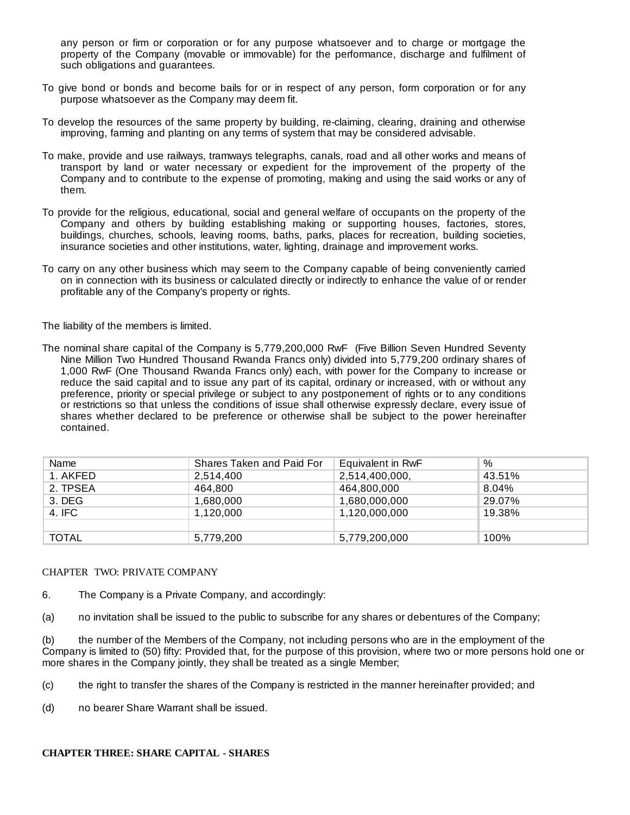any person or firm or corporation or for any purpose whatsoever and to charge or mortgage the property of the Company (movable or immovable) for the performance, discharge and fulfilment of such obligations and guarantees.

- To give bond or bonds and become bails for or in respect of any person, form corporation or for any purpose whatsoever as the Company may deem fit.
- To develop the resources of the same property by building, re-claiming, clearing, draining and otherwise improving, farming and planting on any terms of system that may be considered advisable.
- To make, provide and use railways, tramways telegraphs, canals, road and all other works and means of transport by land or water necessary or expedient for the improvement of the property of the Company and to contribute to the expense of promoting, making and using the said works or any of them.
- To provide for the religious, educational, social and general welfare of occupants on the property of the Company and others by building establishing making or supporting houses, factories, stores, buildings, churches, schools, leaving rooms, baths, parks, places for recreation, building societies, insurance societies and other institutions, water, lighting, drainage and improvement works.
- To carry on any other business which may seem to the Company capable of being conveniently carried on in connection with its business or calculated directly or indirectly to enhance the value of or render profitable any of the Company's property or rights.

The liability of the members is limited.

The nominal share capital of the Company is 5,779,200,000 RwF (Five Billion Seven Hundred Seventy Nine Million Two Hundred Thousand Rwanda Francs only) divided into 5,779,200 ordinary shares of 1,000 RwF (One Thousand Rwanda Francs only) each, with power for the Company to increase or reduce the said capital and to issue any part of its capital, ordinary or increased, with or without any preference, priority or special privilege or subject to any postponement of rights or to any conditions or restrictions so that unless the conditions of issue shall otherwise expressly declare, every issue of shares whether declared to be preference or otherwise shall be subject to the power hereinafter contained.

| Name         | Shares Taken and Paid For | Equivalent in RwF | $\%$   |
|--------------|---------------------------|-------------------|--------|
| 1. AKFED     | 2,514,400                 | 2,514,400,000,    | 43.51% |
| 2. TPSEA     | 464.800                   | 464,800,000       | 8.04%  |
| $3.$ DEG     | 1,680,000                 | 1,680,000,000     | 29.07% |
| 4. IFC       | 1.120.000                 | 1,120,000,000     | 19.38% |
|              |                           |                   |        |
| <b>TOTAL</b> | 5,779,200                 | 5,779,200,000     | 100%   |

#### CHAPTER TWO: PRIVATE COMPANY

6. The Company is a Private Company, and accordingly:

(a) no invitation shall be issued to the public to subscribe for any shares or debentures of the Company;

(b) the number of the Members of the Company, not including persons who are in the employment of the Company is limited to (50) fifty: Provided that, for the purpose of this provision, where two or more persons hold one or more shares in the Company jointly, they shall be treated as a single Member;

(c) the right to transfer the shares of the Company is restricted in the manner hereinafter provided; and

(d) no bearer Share Warrant shall be issued.

## **CHAPTER THREE: SHARE CAPITAL - SHARES**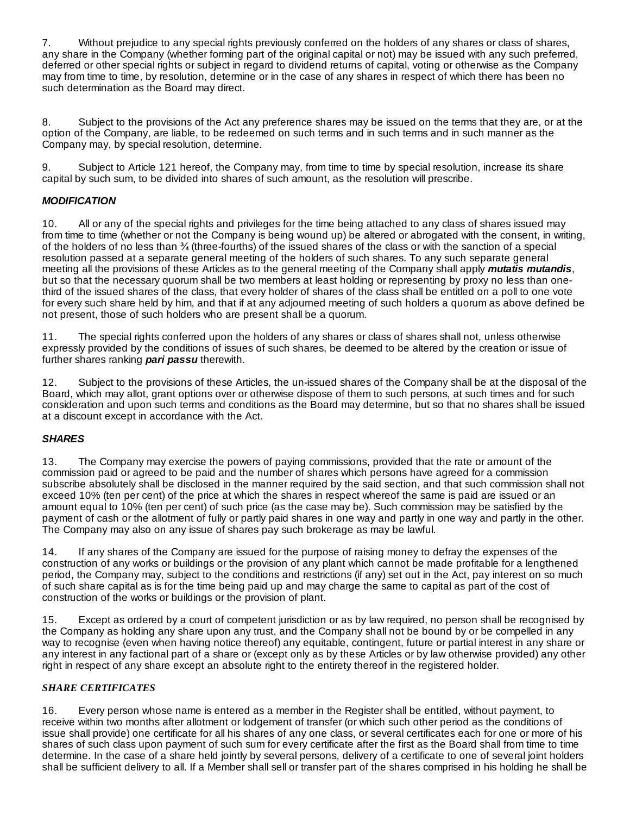7. Without prejudice to any special rights previously conferred on the holders of any shares or class of shares, any share in the Company (whether forming part of the original capital or not) may be issued with any such preferred, deferred or other special rights or subject in regard to dividend returns of capital, voting or otherwise as the Company may from time to time, by resolution, determine or in the case of any shares in respect of which there has been no such determination as the Board may direct.

8. Subject to the provisions of the Act any preference shares may be issued on the terms that they are, or at the option of the Company, are liable, to be redeemed on such terms and in such terms and in such manner as the Company may, by special resolution, determine.

9. Subject to Article 121 hereof, the Company may, from time to time by special resolution, increase its share capital by such sum, to be divided into shares of such amount, as the resolution will prescribe.

# *MODIFICATION*

10. All or any of the special rights and privileges for the time being attached to any class of shares issued may from time to time (whether or not the Company is being wound up) be altered or abrogated with the consent, in writing, of the holders of no less than (three-fourths) of the issued shares of the class or with the sanction of a special resolution passed at a separate general meeting of the holders of such shares. To any such separate general meeting all the provisions of these Articles as to the general meeting of the Company shall apply *mutatis mutandis*, but so that the necessary quorum shall be two members at least holding or representing by proxy no less than onethird of the issued shares of the class, that every holder of shares of the class shall be entitled on a poll to one vote for every such share held by him, and that if at any adjourned meeting of such holders a quorum as above defined be not present, those of such holders who are present shall be a quorum.

11. The special rights conferred upon the holders of any shares or class of shares shall not, unless otherwise expressly provided by the conditions of issues of such shares, be deemed to be altered by the creation or issue of further shares ranking *pari passu* therewith.

12. Subject to the provisions of these Articles, the un-issued shares of the Company shall be at the disposal of the Board, which may allot, grant options over or otherwise dispose of them to such persons, at such times and for such consideration and upon such terms and conditions as the Board may determine, but so that no shares shall be issued at a discount except in accordance with the Act.

# *SHARES*

13. The Company may exercise the powers of paying commissions, provided that the rate or amount of the commission paid or agreed to be paid and the number of shares which persons have agreed for a commission subscribe absolutely shall be disclosed in the manner required by the said section, and that such commission shall not exceed 10% (ten per cent) of the price at which the shares in respect whereof the same is paid are issued or an amount equal to 10% (ten per cent) of such price (as the case may be). Such commission may be satisfied by the payment of cash or the allotment of fully or partly paid shares in one way and partly in one way and partly in the other. The Company may also on any issue of shares pay such brokerage as may be lawful.

14. If any shares of the Company are issued for the purpose of raising money to defray the expenses of the construction of any works or buildings or the provision of any plant which cannot be made profitable for a lengthened period, the Company may, subject to the conditions and restrictions (if any) set out in the Act, pay interest on so much of such share capital as is for the time being paid up and may charge the same to capital as part of the cost of construction of the works or buildings or the provision of plant.

15. Except as ordered by a court of competent jurisdiction or as by law required, no person shall be recognised by the Company as holding any share upon any trust, and the Company shall not be bound by or be compelled in any way to recognise (even when having notice thereof) any equitable, contingent, future or partial interest in any share or any interest in any factional part of a share or (except only as by these Articles or by law otherwise provided) any other right in respect of any share except an absolute right to the entirety thereof in the registered holder.

# *SHARE CERTIFICATES*

16. Every person whose name is entered as a member in the Register shall be entitled, without payment, to receive within two months after allotment or lodgement of transfer (or which such other period as the conditions of issue shall provide) one certificate for all his shares of any one class, or several certificates each for one or more of his shares of such class upon payment of such sum for every certificate after the first as the Board shall from time to time determine. In the case of a share held jointly by several persons, delivery of a certificate to one of several joint holders shall be sufficient delivery to all. If a Member shall sell or transfer part of the shares comprised in his holding he shall be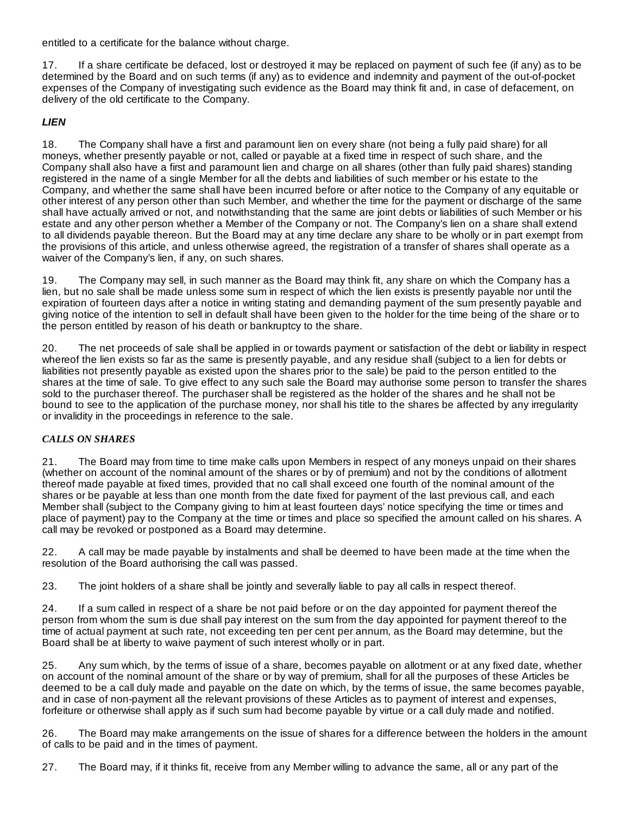entitled to a certificate for the balance without charge.

17. If a share certificate be defaced, lost or destroyed it may be replaced on payment of such fee (if any) as to be determined by the Board and on such terms (if any) as to evidence and indemnity and payment of the out-of-pocket expenses of the Company of investigating such evidence as the Board may think fit and, in case of defacement, on delivery of the old certificate to the Company.

# *LIEN*

18. The Company shall have a first and paramount lien on every share (not being a fully paid share) for all moneys, whether presently payable or not, called or payable at a fixed time in respect of such share, and the Company shall also have a first and paramount lien and charge on all shares (other than fully paid shares) standing registered in the name of a single Member for all the debts and liabilities of such member or his estate to the Company, and whether the same shall have been incurred before or after notice to the Company of any equitable or other interest of any person other than such Member, and whether the time for the payment or discharge of the same shall have actually arrived or not, and notwithstanding that the same are joint debts or liabilities of such Member or his estate and any other person whether a Member of the Company or not. The Company's lien on a share shall extend to all dividends payable thereon. But the Board may at any time declare any share to be wholly or in part exempt from the provisions of this article, and unless otherwise agreed, the registration of a transfer of shares shall operate as a waiver of the Company's lien, if any, on such shares.

19. The Company may sell, in such manner as the Board may think fit, any share on which the Company has a lien, but no sale shall be made unless some sum in respect of which the lien exists is presently payable nor until the expiration of fourteen days after a notice in writing stating and demanding payment of the sum presently payable and giving notice of the intention to sell in default shall have been given to the holder for the time being of the share or to the person entitled by reason of his death or bankruptcy to the share.

20. The net proceeds of sale shall be applied in or towards payment or satisfaction of the debt or liability in respect whereof the lien exists so far as the same is presently payable, and any residue shall (subject to a lien for debts or liabilities not presently payable as existed upon the shares prior to the sale) be paid to the person entitled to the shares at the time of sale. To give effect to any such sale the Board may authorise some person to transfer the shares sold to the purchaser thereof. The purchaser shall be registered as the holder of the shares and he shall not be bound to see to the application of the purchase money, nor shall his title to the shares be affected by any irregularity or invalidity in the proceedings in reference to the sale.

# *CALLS ON SHARES*

21. The Board may from time to time make calls upon Members in respect of any moneys unpaid on their shares (whether on account of the nominal amount of the shares or by of premium) and not by the conditions of allotment thereof made payable at fixed times, provided that no call shall exceed one fourth of the nominal amount of the shares or be payable at less than one month from the date fixed for payment of the last previous call, and each Member shall (subject to the Company giving to him at least fourteen days' notice specifying the time or times and place of payment) pay to the Company at the time or times and place so specified the amount called on his shares. A call may be revoked or postponed as a Board may determine.

22. A call may be made payable by instalments and shall be deemed to have been made at the time when the resolution of the Board authorising the call was passed.

23. The joint holders of a share shall be jointly and severally liable to pay all calls in respect thereof.

24. If a sum called in respect of a share be not paid before or on the day appointed for payment thereof the person from whom the sum is due shall pay interest on the sum from the day appointed for payment thereof to the time of actual payment at such rate, not exceeding ten per cent per annum, as the Board may determine, but the Board shall be at liberty to waive payment of such interest wholly or in part.

25. Any sum which, by the terms of issue of a share, becomes payable on allotment or at any fixed date, whether on account of the nominal amount of the share or by way of premium, shall for all the purposes of these Articles be deemed to be a call duly made and payable on the date on which, by the terms of issue, the same becomes payable, and in case of non-payment all the relevant provisions of these Articles as to payment of interest and expenses, forfeiture or otherwise shall apply as if such sum had become payable by virtue or a call duly made and notified.

26. The Board may make arrangements on the issue of shares for a difference between the holders in the amount of calls to be paid and in the times of payment.

27. The Board may, if it thinks fit, receive from any Member willing to advance the same, all or any part of the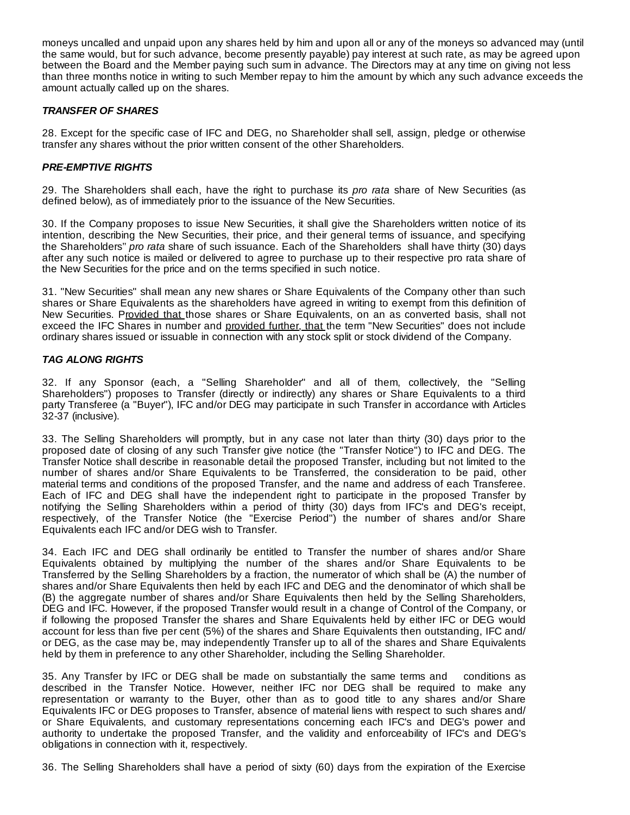moneys uncalled and unpaid upon any shares held by him and upon all or any of the moneys so advanced may (until the same would, but for such advance, become presently payable) pay interest at such rate, as may be agreed upon between the Board and the Member paying such sum in advance. The Directors may at any time on giving not less than three months notice in writing to such Member repay to him the amount by which any such advance exceeds the amount actually called up on the shares.

## *TRANSFER OF SHARES*

28. Except for the specific case of IFC and DEG, no Shareholder shall sell, assign, pledge or otherwise transfer any shares without the prior written consent of the other Shareholders.

## *PRE-EMPTIVE RIGHTS*

29. The Shareholders shall each, have the right to purchase its *pro rata* share of New Securities (as defined below), as of immediately prior to the issuance of the New Securities.

30. If the Company proposes to issue New Securities, it shall give the Shareholders written notice of its intention, describing the New Securities, their price, and their general terms of issuance, and specifying the Shareholders'' *pro rata* share of such issuance. Each of the Shareholders shall have thirty (30) days after any such notice is mailed or delivered to agree to purchase up to their respective pro rata share of the New Securities for the price and on the terms specified in such notice.

31. "New Securities" shall mean any new shares or Share Equivalents of the Company other than such shares or Share Equivalents as the shareholders have agreed in writing to exempt from this definition of New Securities. Provided that those shares or Share Equivalents, on an as converted basis, shall not exceed the IFC Shares in number and provided further, that the term "New Securities" does not include ordinary shares issued or issuable in connection with any stock split or stock dividend of the Company.

## *TAG ALONG RIGHTS*

32. If any Sponsor (each, a "Selling Shareholder" and all of them, collectively, the "Selling Shareholders") proposes to Transfer (directly or indirectly) any shares or Share Equivalents to a third party Transferee (a "Buyer"), IFC and/or DEG may participate in such Transfer in accordance with Articles 32-37 (inclusive).

33. The Selling Shareholders will promptly, but in any case not later than thirty (30) days prior to the proposed date of closing of any such Transfer give notice (the "Transfer Notice") to IFC and DEG. The Transfer Notice shall describe in reasonable detail the proposed Transfer, including but not limited to the number of shares and/or Share Equivalents to be Transferred, the consideration to be paid, other material terms and conditions of the proposed Transfer, and the name and address of each Transferee. Each of IFC and DEG shall have the independent right to participate in the proposed Transfer by notifying the Selling Shareholders within a period of thirty (30) days from IFC's and DEG's receipt, respectively, of the Transfer Notice (the "Exercise Period") the number of shares and/or Share Equivalents each IFC and/or DEG wish to Transfer.

34. Each IFC and DEG shall ordinarily be entitled to Transfer the number of shares and/or Share Equivalents obtained by multiplying the number of the shares and/or Share Equivalents to be Transferred by the Selling Shareholders by a fraction, the numerator of which shall be (A) the number of shares and/or Share Equivalents then held by each IFC and DEG and the denominator of which shall be (B) the aggregate number of shares and/or Share Equivalents then held by the Selling Shareholders, DEG and IFC. However, if the proposed Transfer would result in a change of Control of the Company, or if following the proposed Transfer the shares and Share Equivalents held by either IFC or DEG would account for less than five per cent (5%) of the shares and Share Equivalents then outstanding, IFC and/ or DEG, as the case may be, may independently Transfer up to all of the shares and Share Equivalents held by them in preference to any other Shareholder, including the Selling Shareholder.

35. Any Transfer by IFC or DEG shall be made on substantially the same terms and conditions as described in the Transfer Notice. However, neither IFC nor DEG shall be required to make any representation or warranty to the Buyer, other than as to good title to any shares and/or Share Equivalents IFC or DEG proposes to Transfer, absence of material liens with respect to such shares and/ or Share Equivalents, and customary representations concerning each IFC's and DEG's power and authority to undertake the proposed Transfer, and the validity and enforceability of IFC's and DEG's obligations in connection with it, respectively.

36. The Selling Shareholders shall have a period of sixty (60) days from the expiration of the Exercise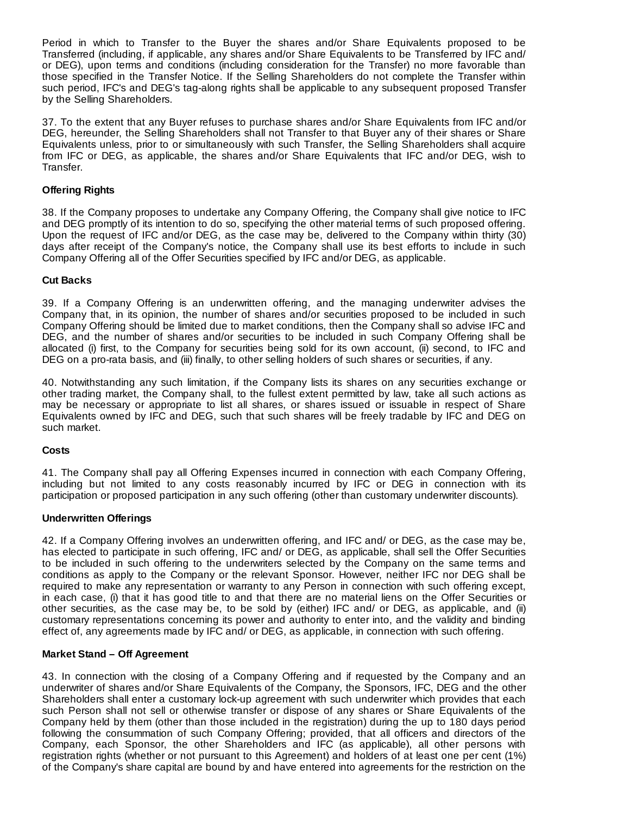Period in which to Transfer to the Buyer the shares and/or Share Equivalents proposed to be Transferred (including, if applicable, any shares and/or Share Equivalents to be Transferred by IFC and/ or DEG), upon terms and conditions (including consideration for the Transfer) no more favorable than those specified in the Transfer Notice. If the Selling Shareholders do not complete the Transfer within such period, IFC's and DEG's tag-along rights shall be applicable to any subsequent proposed Transfer by the Selling Shareholders.

37. To the extent that any Buyer refuses to purchase shares and/or Share Equivalents from IFC and/or DEG, hereunder, the Selling Shareholders shall not Transfer to that Buyer any of their shares or Share Equivalents unless, prior to or simultaneously with such Transfer, the Selling Shareholders shall acquire from IFC or DEG, as applicable, the shares and/or Share Equivalents that IFC and/or DEG, wish to Transfer.

## **Offering Rights**

38. If the Company proposes to undertake any Company Offering, the Company shall give notice to IFC and DEG promptly of its intention to do so, specifying the other material terms of such proposed offering. Upon the request of IFC and/or DEG, as the case may be, delivered to the Company within thirty (30) days after receipt of the Company's notice, the Company shall use its best efforts to include in such Company Offering all of the Offer Securities specified by IFC and/or DEG, as applicable.

## **Cut Backs**

39. If a Company Offering is an underwritten offering, and the managing underwriter advises the Company that, in its opinion, the number of shares and/or securities proposed to be included in such Company Offering should be limited due to market conditions, then the Company shall so advise IFC and DEG, and the number of shares and/or securities to be included in such Company Offering shall be allocated (i) first, to the Company for securities being sold for its own account, (ii) second, to IFC and DEG on a pro-rata basis, and (iii) finally, to other selling holders of such shares or securities, if any.

40. Notwithstanding any such limitation, if the Company lists its shares on any securities exchange or other trading market, the Company shall, to the fullest extent permitted by law, take all such actions as may be necessary or appropriate to list all shares, or shares issued or issuable in respect of Share Equivalents owned by IFC and DEG, such that such shares will be freely tradable by IFC and DEG on such market.

## **Costs**

41. The Company shall pay all Offering Expenses incurred in connection with each Company Offering, including but not limited to any costs reasonably incurred by IFC or DEG in connection with its participation or proposed participation in any such offering (other than customary underwriter discounts).

## **Underwritten Offerings**

42. If a Company Offering involves an underwritten offering, and IFC and/ or DEG, as the case may be, has elected to participate in such offering, IFC and/ or DEG, as applicable, shall sell the Offer Securities to be included in such offering to the underwriters selected by the Company on the same terms and conditions as apply to the Company or the relevant Sponsor. However, neither IFC nor DEG shall be required to make any representation or warranty to any Person in connection with such offering except, in each case, (i) that it has good title to and that there are no material liens on the Offer Securities or other securities, as the case may be, to be sold by (either) IFC and/ or DEG, as applicable, and (ii) customary representations concerning its power and authority to enter into, and the validity and binding effect of, any agreements made by IFC and/ or DEG, as applicable, in connection with such offering.

## **Market Stand – Off Agreement**

43. In connection with the closing of a Company Offering and if requested by the Company and an underwriter of shares and/or Share Equivalents of the Company, the Sponsors, IFC, DEG and the other Shareholders shall enter a customary lock-up agreement with such underwriter which provides that each such Person shall not sell or otherwise transfer or dispose of any shares or Share Equivalents of the Company held by them (other than those included in the registration) during the up to 180 days period following the consummation of such Company Offering; provided, that all officers and directors of the Company, each Sponsor, the other Shareholders and IFC (as applicable), all other persons with registration rights (whether or not pursuant to this Agreement) and holders of at least one per cent (1%) of the Company's share capital are bound by and have entered into agreements for the restriction on the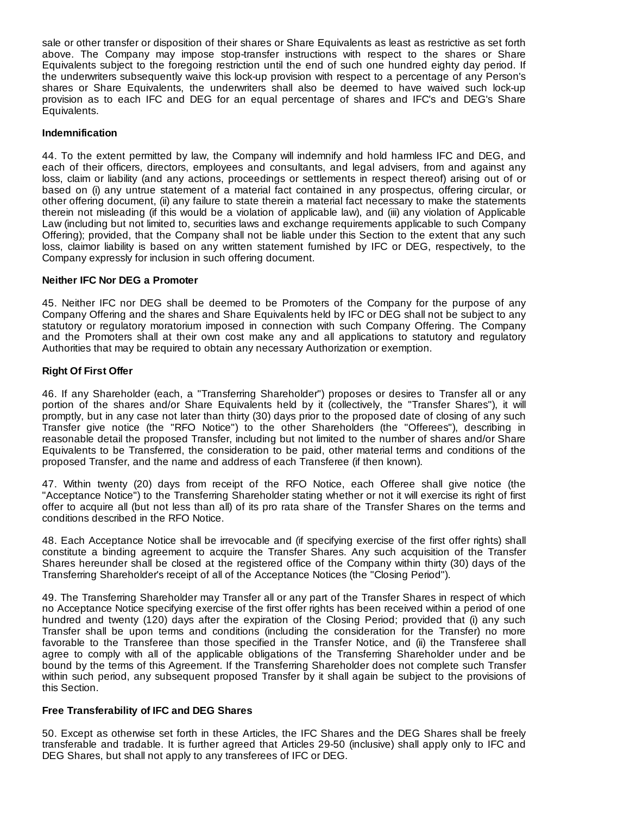sale or other transfer or disposition of their shares or Share Equivalents as least as restrictive as set forth above. The Company may impose stop-transfer instructions with respect to the shares or Share Equivalents subject to the foregoing restriction until the end of such one hundred eighty day period. If the underwriters subsequently waive this lock-up provision with respect to a percentage of any Person's shares or Share Equivalents, the underwriters shall also be deemed to have waived such lock-up provision as to each IFC and DEG for an equal percentage of shares and IFC's and DEG's Share Equivalents.

## **Indemnification**

44. To the extent permitted by law, the Company will indemnify and hold harmless IFC and DEG, and each of their officers, directors, employees and consultants, and legal advisers, from and against any loss, claim or liability (and any actions, proceedings or settlements in respect thereof) arising out of or based on (i) any untrue statement of a material fact contained in any prospectus, offering circular, or other offering document, (ii) any failure to state therein a material fact necessary to make the statements therein not misleading (if this would be a violation of applicable law), and (iii) any violation of Applicable Law (including but not limited to, securities laws and exchange requirements applicable to such Company Offering); provided, that the Company shall not be liable under this Section to the extent that any such loss, claimor liability is based on any written statement furnished by IFC or DEG, respectively, to the Company expressly for inclusion in such offering document.

#### **Neither IFC Nor DEG a Promoter**

45. Neither IFC nor DEG shall be deemed to be Promoters of the Company for the purpose of any Company Offering and the shares and Share Equivalents held by IFC or DEG shall not be subject to any statutory or regulatory moratorium imposed in connection with such Company Offering. The Company and the Promoters shall at their own cost make any and all applications to statutory and regulatory Authorities that may be required to obtain any necessary Authorization or exemption.

#### **Right Of First Offer**

46. If any Shareholder (each, a "Transferring Shareholder") proposes or desires to Transfer all or any portion of the shares and/or Share Equivalents held by it (collectively, the "Transfer Shares"), it will promptly, but in any case not later than thirty (30) days prior to the proposed date of closing of any such Transfer give notice (the "RFO Notice") to the other Shareholders (the "Offerees"), describing in reasonable detail the proposed Transfer, including but not limited to the number of shares and/or Share Equivalents to be Transferred, the consideration to be paid, other material terms and conditions of the proposed Transfer, and the name and address of each Transferee (if then known).

47. Within twenty (20) days from receipt of the RFO Notice, each Offeree shall give notice (the "Acceptance Notice") to the Transferring Shareholder stating whether or not it will exercise its right of first offer to acquire all (but not less than all) of its pro rata share of the Transfer Shares on the terms and conditions described in the RFO Notice.

48. Each Acceptance Notice shall be irrevocable and (if specifying exercise of the first offer rights) shall constitute a binding agreement to acquire the Transfer Shares. Any such acquisition of the Transfer Shares hereunder shall be closed at the registered office of the Company within thirty (30) days of the Transferring Shareholder's receipt of all of the Acceptance Notices (the "Closing Period").

49. The Transferring Shareholder may Transfer all or any part of the Transfer Shares in respect of which no Acceptance Notice specifying exercise of the first offer rights has been received within a period of one hundred and twenty (120) days after the expiration of the Closing Period; provided that (i) any such Transfer shall be upon terms and conditions (including the consideration for the Transfer) no more favorable to the Transferee than those specified in the Transfer Notice, and (ii) the Transferee shall agree to comply with all of the applicable obligations of the Transferring Shareholder under and be bound by the terms of this Agreement. If the Transferring Shareholder does not complete such Transfer within such period, any subsequent proposed Transfer by it shall again be subject to the provisions of this Section.

## **Free Transferability of IFC and DEG Shares**

50. Except as otherwise set forth in these Articles, the IFC Shares and the DEG Shares shall be freely transferable and tradable. It is further agreed that Articles 29-50 (inclusive) shall apply only to IFC and DEG Shares, but shall not apply to any transferees of IFC or DEG.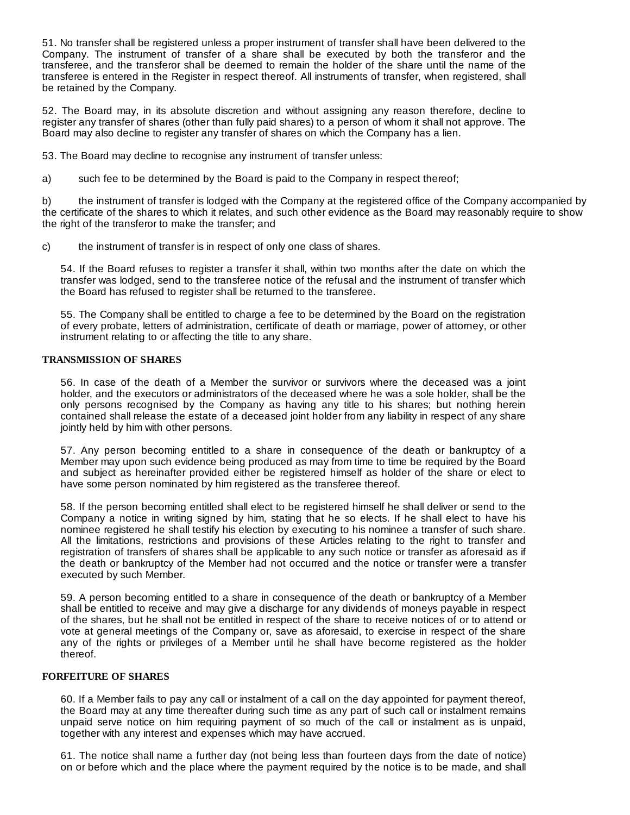51. No transfer shall be registered unless a proper instrument of transfer shall have been delivered to the Company. The instrument of transfer of a share shall be executed by both the transferor and the transferee, and the transferor shall be deemed to remain the holder of the share until the name of the transferee is entered in the Register in respect thereof. All instruments of transfer, when registered, shall be retained by the Company.

52. The Board may, in its absolute discretion and without assigning any reason therefore, decline to register any transfer of shares (other than fully paid shares) to a person of whom it shall not approve. The Board may also decline to register any transfer of shares on which the Company has a lien.

53. The Board may decline to recognise any instrument of transfer unless:

a) such fee to be determined by the Board is paid to the Company in respect thereof;

b) the instrument of transfer is lodged with the Company at the registered office of the Company accompanied by the certificate of the shares to which it relates, and such other evidence as the Board may reasonably require to show the right of the transferor to make the transfer; and

c) the instrument of transfer is in respect of only one class of shares.

54. If the Board refuses to register a transfer it shall, within two months after the date on which the transfer was lodged, send to the transferee notice of the refusal and the instrument of transfer which the Board has refused to register shall be returned to the transferee.

55. The Company shall be entitled to charge a fee to be determined by the Board on the registration of every probate, letters of administration, certificate of death or marriage, power of attorney, or other instrument relating to or affecting the title to any share.

## **TRANSMISSION OF SHARES**

56. In case of the death of a Member the survivor or survivors where the deceased was a joint holder, and the executors or administrators of the deceased where he was a sole holder, shall be the only persons recognised by the Company as having any title to his shares; but nothing herein contained shall release the estate of a deceased joint holder from any liability in respect of any share jointly held by him with other persons.

57. Any person becoming entitled to a share in consequence of the death or bankruptcy of a Member may upon such evidence being produced as may from time to time be required by the Board and subject as hereinafter provided either be registered himself as holder of the share or elect to have some person nominated by him registered as the transferee thereof.

58. If the person becoming entitled shall elect to be registered himself he shall deliver or send to the Company a notice in writing signed by him, stating that he so elects. If he shall elect to have his nominee registered he shall testify his election by executing to his nominee a transfer of such share. All the limitations, restrictions and provisions of these Articles relating to the right to transfer and registration of transfers of shares shall be applicable to any such notice or transfer as aforesaid as if the death or bankruptcy of the Member had not occurred and the notice or transfer were a transfer executed by such Member.

59. A person becoming entitled to a share in consequence of the death or bankruptcy of a Member shall be entitled to receive and may give a discharge for any dividends of moneys payable in respect of the shares, but he shall not be entitled in respect of the share to receive notices of or to attend or vote at general meetings of the Company or, save as aforesaid, to exercise in respect of the share any of the rights or privileges of a Member until he shall have become registered as the holder thereof.

## **FORFEITURE OF SHARES**

60. If a Member fails to pay any call or instalment of a call on the day appointed for payment thereof, the Board may at any time thereafter during such time as any part of such call or instalment remains unpaid serve notice on him requiring payment of so much of the call or instalment as is unpaid, together with any interest and expenses which may have accrued.

61. The notice shall name a further day (not being less than fourteen days from the date of notice) on or before which and the place where the payment required by the notice is to be made, and shall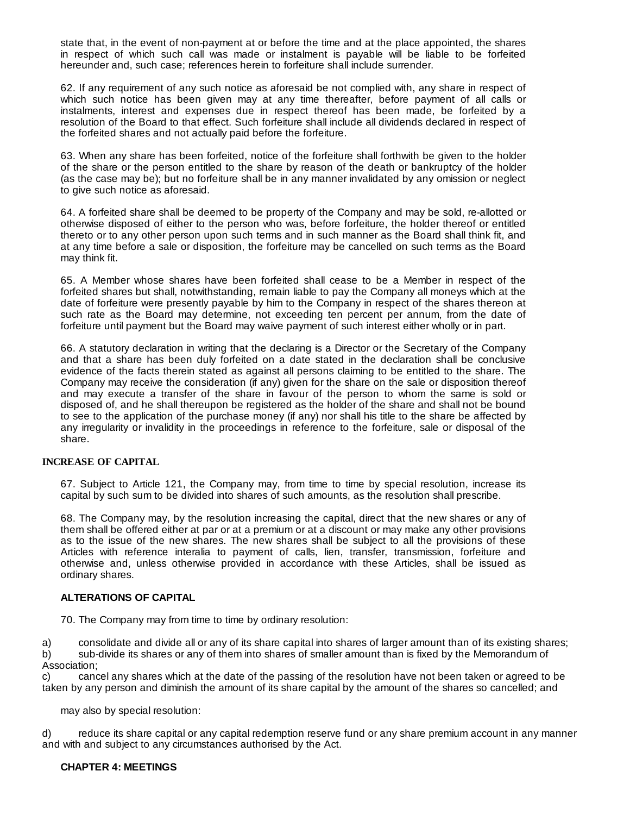state that, in the event of non-payment at or before the time and at the place appointed, the shares in respect of which such call was made or instalment is payable will be liable to be forfeited hereunder and, such case; references herein to forfeiture shall include surrender.

62. If any requirement of any such notice as aforesaid be not complied with, any share in respect of which such notice has been given may at any time thereafter, before payment of all calls or instalments, interest and expenses due in respect thereof has been made, be forfeited by a resolution of the Board to that effect. Such forfeiture shall include all dividends declared in respect of the forfeited shares and not actually paid before the forfeiture.

63. When any share has been forfeited, notice of the forfeiture shall forthwith be given to the holder of the share or the person entitled to the share by reason of the death or bankruptcy of the holder (as the case may be); but no forfeiture shall be in any manner invalidated by any omission or neglect to give such notice as aforesaid.

64. A forfeited share shall be deemed to be property of the Company and may be sold, re-allotted or otherwise disposed of either to the person who was, before forfeiture, the holder thereof or entitled thereto or to any other person upon such terms and in such manner as the Board shall think fit, and at any time before a sale or disposition, the forfeiture may be cancelled on such terms as the Board may think fit.

65. A Member whose shares have been forfeited shall cease to be a Member in respect of the forfeited shares but shall, notwithstanding, remain liable to pay the Company all moneys which at the date of forfeiture were presently payable by him to the Company in respect of the shares thereon at such rate as the Board may determine, not exceeding ten percent per annum, from the date of forfeiture until payment but the Board may waive payment of such interest either wholly or in part.

66. A statutory declaration in writing that the declaring is a Director or the Secretary of the Company and that a share has been duly forfeited on a date stated in the declaration shall be conclusive evidence of the facts therein stated as against all persons claiming to be entitled to the share. The Company may receive the consideration (if any) given for the share on the sale or disposition thereof and may execute a transfer of the share in favour of the person to whom the same is sold or disposed of, and he shall thereupon be registered as the holder of the share and shall not be bound to see to the application of the purchase money (if any) nor shall his title to the share be affected by any irregularity or invalidity in the proceedings in reference to the forfeiture, sale or disposal of the share.

## **INCREASE OF CAPITAL**

67. Subject to Article 121, the Company may, from time to time by special resolution, increase its capital by such sum to be divided into shares of such amounts, as the resolution shall prescribe.

68. The Company may, by the resolution increasing the capital, direct that the new shares or any of them shall be offered either at par or at a premium or at a discount or may make any other provisions as to the issue of the new shares. The new shares shall be subject to all the provisions of these Articles with reference interalia to payment of calls, lien, transfer, transmission, forfeiture and otherwise and, unless otherwise provided in accordance with these Articles, shall be issued as ordinary shares.

#### **ALTERATIONS OF CAPITAL**

70. The Company may from time to time by ordinary resolution:

a) consolidate and divide all or any of its share capital into shares of larger amount than of its existing shares; b) sub-divide its shares or any of them into shares of smaller amount than is fixed by the Memorandum of Association;

c) cancel any shares which at the date of the passing of the resolution have not been taken or agreed to be taken by any person and diminish the amount of its share capital by the amount of the shares so cancelled; and

may also by special resolution:

d) reduce its share capital or any capital redemption reserve fund or any share premium account in any manner and with and subject to any circumstances authorised by the Act.

## **CHAPTER 4: MEETINGS**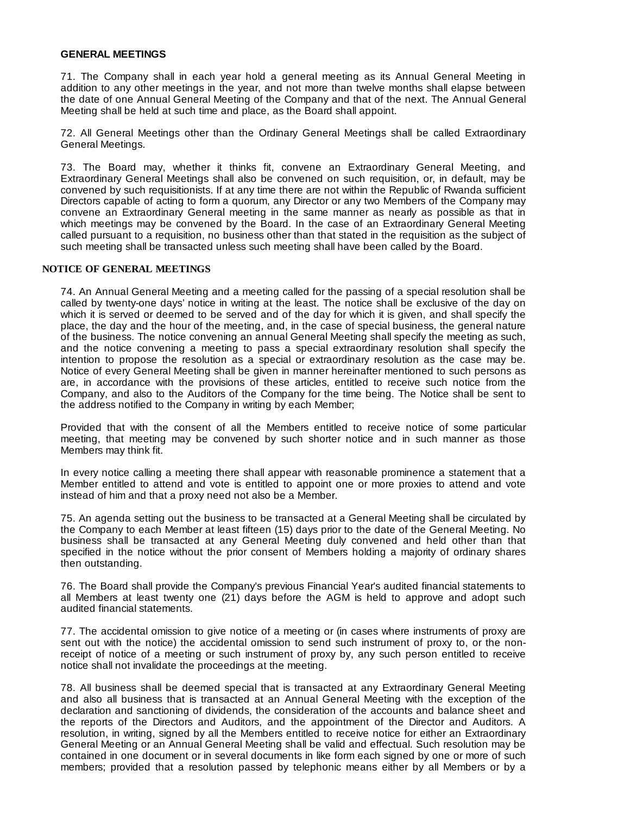#### **GENERAL MEETINGS**

71. The Company shall in each year hold a general meeting as its Annual General Meeting in addition to any other meetings in the year, and not more than twelve months shall elapse between the date of one Annual General Meeting of the Company and that of the next. The Annual General Meeting shall be held at such time and place, as the Board shall appoint.

72. All General Meetings other than the Ordinary General Meetings shall be called Extraordinary General Meetings.

73. The Board may, whether it thinks fit, convene an Extraordinary General Meeting, and Extraordinary General Meetings shall also be convened on such requisition, or, in default, may be convened by such requisitionists. If at any time there are not within the Republic of Rwanda sufficient Directors capable of acting to form a quorum, any Director or any two Members of the Company may convene an Extraordinary General meeting in the same manner as nearly as possible as that in which meetings may be convened by the Board. In the case of an Extraordinary General Meeting called pursuant to a requisition, no business other than that stated in the requisition as the subject of such meeting shall be transacted unless such meeting shall have been called by the Board.

#### **NOTICE OF GENERAL MEETINGS**

74. An Annual General Meeting and a meeting called for the passing of a special resolution shall be called by twenty-one days' notice in writing at the least. The notice shall be exclusive of the day on which it is served or deemed to be served and of the day for which it is given, and shall specify the place, the day and the hour of the meeting, and, in the case of special business, the general nature of the business. The notice convening an annual General Meeting shall specify the meeting as such, and the notice convening a meeting to pass a special extraordinary resolution shall specify the intention to propose the resolution as a special or extraordinary resolution as the case may be. Notice of every General Meeting shall be given in manner hereinafter mentioned to such persons as are, in accordance with the provisions of these articles, entitled to receive such notice from the Company, and also to the Auditors of the Company for the time being. The Notice shall be sent to the address notified to the Company in writing by each Member;

Provided that with the consent of all the Members entitled to receive notice of some particular meeting, that meeting may be convened by such shorter notice and in such manner as those Members may think fit.

In every notice calling a meeting there shall appear with reasonable prominence a statement that a Member entitled to attend and vote is entitled to appoint one or more proxies to attend and vote instead of him and that a proxy need not also be a Member.

75. An agenda setting out the business to be transacted at a General Meeting shall be circulated by the Company to each Member at least fifteen (15) days prior to the date of the General Meeting. No business shall be transacted at any General Meeting duly convened and held other than that specified in the notice without the prior consent of Members holding a majority of ordinary shares then outstanding.

76. The Board shall provide the Company's previous Financial Year's audited financial statements to all Members at least twenty one (21) days before the AGM is held to approve and adopt such audited financial statements.

77. The accidental omission to give notice of a meeting or (in cases where instruments of proxy are sent out with the notice) the accidental omission to send such instrument of proxy to, or the nonreceipt of notice of a meeting or such instrument of proxy by, any such person entitled to receive notice shall not invalidate the proceedings at the meeting.

78. All business shall be deemed special that is transacted at any Extraordinary General Meeting and also all business that is transacted at an Annual General Meeting with the exception of the declaration and sanctioning of dividends, the consideration of the accounts and balance sheet and the reports of the Directors and Auditors, and the appointment of the Director and Auditors. A resolution, in writing, signed by all the Members entitled to receive notice for either an Extraordinary General Meeting or an Annual General Meeting shall be valid and effectual. Such resolution may be contained in one document or in several documents in like form each signed by one or more of such members; provided that a resolution passed by telephonic means either by all Members or by a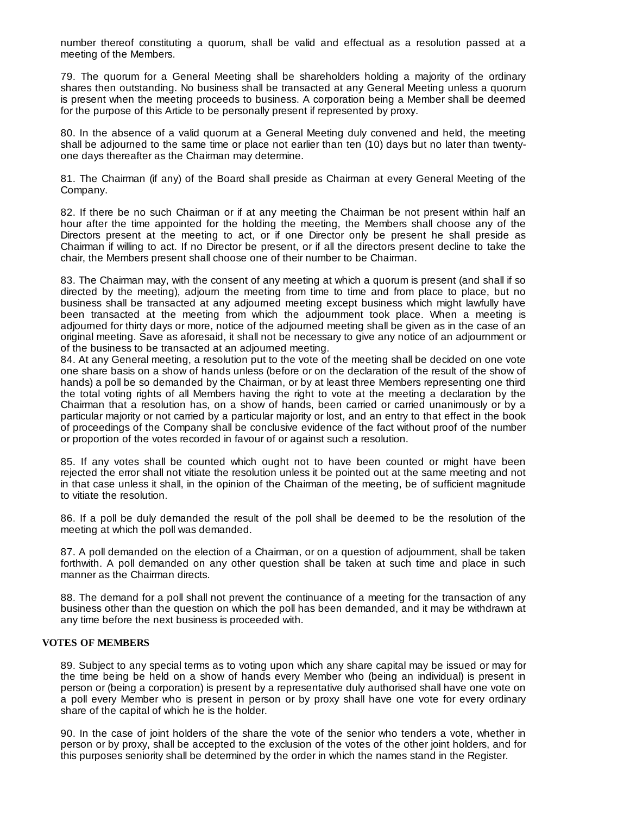number thereof constituting a quorum, shall be valid and effectual as a resolution passed at a meeting of the Members.

79. The quorum for a General Meeting shall be shareholders holding a majority of the ordinary shares then outstanding. No business shall be transacted at any General Meeting unless a quorum is present when the meeting proceeds to business. A corporation being a Member shall be deemed for the purpose of this Article to be personally present if represented by proxy.

80. In the absence of a valid quorum at a General Meeting duly convened and held, the meeting shall be adjourned to the same time or place not earlier than ten (10) days but no later than twentyone days thereafter as the Chairman may determine.

81. The Chairman (if any) of the Board shall preside as Chairman at every General Meeting of the Company.

82. If there be no such Chairman or if at any meeting the Chairman be not present within half an hour after the time appointed for the holding the meeting, the Members shall choose any of the Directors present at the meeting to act, or if one Director only be present he shall preside as Chairman if willing to act. If no Director be present, or if all the directors present decline to take the chair, the Members present shall choose one of their number to be Chairman.

83. The Chairman may, with the consent of any meeting at which a quorum is present (and shall if so directed by the meeting), adjourn the meeting from time to time and from place to place, but no business shall be transacted at any adjourned meeting except business which might lawfully have been transacted at the meeting from which the adjournment took place. When a meeting is adjourned for thirty days or more, notice of the adjourned meeting shall be given as in the case of an original meeting. Save as aforesaid, it shall not be necessary to give any notice of an adjournment or of the business to be transacted at an adjourned meeting.

84. At any General meeting, a resolution put to the vote of the meeting shall be decided on one vote one share basis on a show of hands unless (before or on the declaration of the result of the show of hands) a poll be so demanded by the Chairman, or by at least three Members representing one third the total voting rights of all Members having the right to vote at the meeting a declaration by the Chairman that a resolution has, on a show of hands, been carried or carried unanimously or by a particular majority or not carried by a particular majority or lost, and an entry to that effect in the book of proceedings of the Company shall be conclusive evidence of the fact without proof of the number or proportion of the votes recorded in favour of or against such a resolution.

85. If any votes shall be counted which ought not to have been counted or might have been rejected the error shall not vitiate the resolution unless it be pointed out at the same meeting and not in that case unless it shall, in the opinion of the Chairman of the meeting, be of sufficient magnitude to vitiate the resolution.

86. If a poll be duly demanded the result of the poll shall be deemed to be the resolution of the meeting at which the poll was demanded.

87. A poll demanded on the election of a Chairman, or on a question of adjournment, shall be taken forthwith. A poll demanded on any other question shall be taken at such time and place in such manner as the Chairman directs.

88. The demand for a poll shall not prevent the continuance of a meeting for the transaction of any business other than the question on which the poll has been demanded, and it may be withdrawn at any time before the next business is proceeded with.

#### **VOTES OF MEMBERS**

89. Subject to any special terms as to voting upon which any share capital may be issued or may for the time being be held on a show of hands every Member who (being an individual) is present in person or (being a corporation) is present by a representative duly authorised shall have one vote on a poll every Member who is present in person or by proxy shall have one vote for every ordinary share of the capital of which he is the holder.

90. In the case of joint holders of the share the vote of the senior who tenders a vote, whether in person or by proxy, shall be accepted to the exclusion of the votes of the other joint holders, and for this purposes seniority shall be determined by the order in which the names stand in the Register.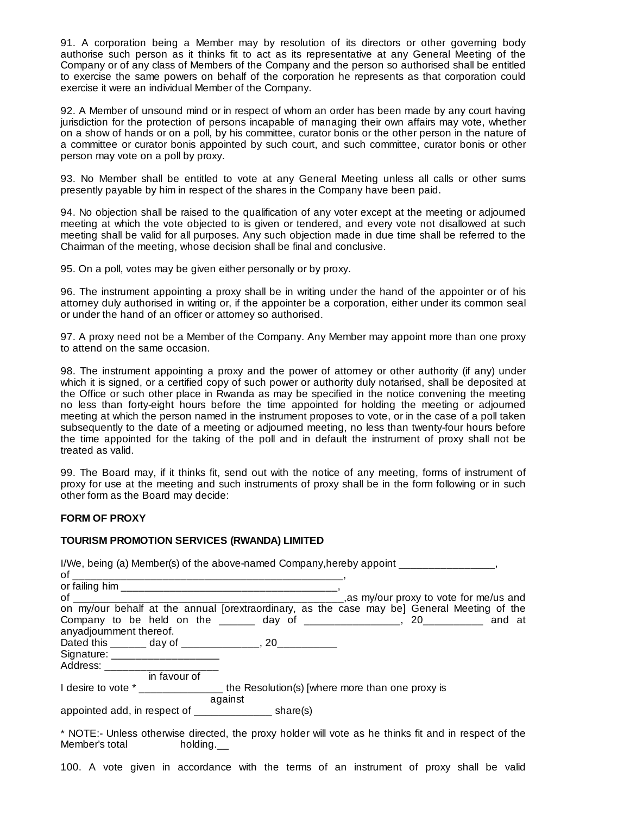91. A corporation being a Member may by resolution of its directors or other governing body authorise such person as it thinks fit to act as its representative at any General Meeting of the Company or of any class of Members of the Company and the person so authorised shall be entitled to exercise the same powers on behalf of the corporation he represents as that corporation could exercise it were an individual Member of the Company.

92. A Member of unsound mind or in respect of whom an order has been made by any court having jurisdiction for the protection of persons incapable of managing their own affairs may vote, whether on a show of hands or on a poll, by his committee, curator bonis or the other person in the nature of a committee or curator bonis appointed by such court, and such committee, curator bonis or other person may vote on a poll by proxy.

93. No Member shall be entitled to vote at any General Meeting unless all calls or other sums presently payable by him in respect of the shares in the Company have been paid.

94. No objection shall be raised to the qualification of any voter except at the meeting or adjourned meeting at which the vote objected to is given or tendered, and every vote not disallowed at such meeting shall be valid for all purposes. Any such objection made in due time shall be referred to the Chairman of the meeting, whose decision shall be final and conclusive.

95. On a poll, votes may be given either personally or by proxy.

96. The instrument appointing a proxy shall be in writing under the hand of the appointer or of his attorney duly authorised in writing or, if the appointer be a corporation, either under its common seal or under the hand of an officer or attorney so authorised.

97. A proxy need not be a Member of the Company. Any Member may appoint more than one proxy to attend on the same occasion.

98. The instrument appointing a proxy and the power of attorney or other authority (if any) under which it is signed, or a certified copy of such power or authority duly notarised, shall be deposited at the Office or such other place in Rwanda as may be specified in the notice convening the meeting no less than forty-eight hours before the time appointed for holding the meeting or adjourned meeting at which the person named in the instrument proposes to vote, or in the case of a poll taken subsequently to the date of a meeting or adjourned meeting, no less than twenty-four hours before the time appointed for the taking of the poll and in default the instrument of proxy shall not be treated as valid.

99. The Board may, if it thinks fit, send out with the notice of any meeting, forms of instrument of proxy for use at the meeting and such instruments of proxy shall be in the form following or in such other form as the Board may decide:

#### **FORM OF PROXY**

#### **TOURISM PROMOTION SERVICES (RWANDA) LIMITED**

| I/We, being (a) Member(s) of the above-named Company, hereby appoint _________________<br>of                                                                                                                                  |  |
|-------------------------------------------------------------------------------------------------------------------------------------------------------------------------------------------------------------------------------|--|
|                                                                                                                                                                                                                               |  |
|                                                                                                                                                                                                                               |  |
| on my/our behalf at the annual [orextraordinary, as the case may be] General Meeting of the                                                                                                                                   |  |
| Company to be held on the ______ day of ________________, 20__________ and at                                                                                                                                                 |  |
| anyadjournment thereof.                                                                                                                                                                                                       |  |
| Dated this _______ day of ______________, 20___________                                                                                                                                                                       |  |
| Signature: ______________________                                                                                                                                                                                             |  |
| Address: Andreas Address: Andreas Address: Andreas Address: Address: Address: Address: Address: Address: Address: Address: Address: Address: Address: Address: Address: Address: Address: Address: Address: Address: Address: |  |
| in favour of                                                                                                                                                                                                                  |  |
| I desire to vote * ____________________the Resolution(s) [where more than one proxy is                                                                                                                                        |  |
| against<br>appointed add, in respect of _______________________ share(s)                                                                                                                                                      |  |

\* NOTE:- Unless otherwise directed, the proxy holder will vote as he thinks fit and in respect of the Member's total holding.

100. A vote given in accordance with the terms of an instrument of proxy shall be valid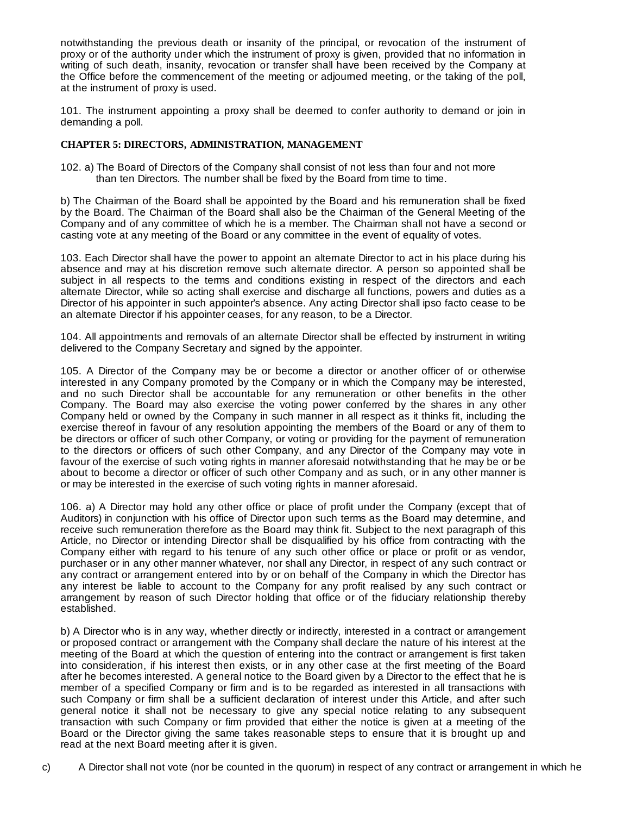notwithstanding the previous death or insanity of the principal, or revocation of the instrument of proxy or of the authority under which the instrument of proxy is given, provided that no information in writing of such death, insanity, revocation or transfer shall have been received by the Company at the Office before the commencement of the meeting or adjourned meeting, or the taking of the poll, at the instrument of proxy is used.

101. The instrument appointing a proxy shall be deemed to confer authority to demand or join in demanding a poll.

## **CHAPTER 5: DIRECTORS, ADMINISTRATION, MANAGEMENT**

102. a) The Board of Directors of the Company shall consist of not less than four and not more than ten Directors. The number shall be fixed by the Board from time to time.

b) The Chairman of the Board shall be appointed by the Board and his remuneration shall be fixed by the Board. The Chairman of the Board shall also be the Chairman of the General Meeting of the Company and of any committee of which he is a member. The Chairman shall not have a second or casting vote at any meeting of the Board or any committee in the event of equality of votes.

103. Each Director shall have the power to appoint an alternate Director to act in his place during his absence and may at his discretion remove such alternate director. A person so appointed shall be subject in all respects to the terms and conditions existing in respect of the directors and each alternate Director, while so acting shall exercise and discharge all functions, powers and duties as a Director of his appointer in such appointer's absence. Any acting Director shall ipso facto cease to be an alternate Director if his appointer ceases, for any reason, to be a Director.

104. All appointments and removals of an alternate Director shall be effected by instrument in writing delivered to the Company Secretary and signed by the appointer.

105. A Director of the Company may be or become a director or another officer of or otherwise interested in any Company promoted by the Company or in which the Company may be interested, and no such Director shall be accountable for any remuneration or other benefits in the other Company. The Board may also exercise the voting power conferred by the shares in any other Company held or owned by the Company in such manner in all respect as it thinks fit, including the exercise thereof in favour of any resolution appointing the members of the Board or any of them to be directors or officer of such other Company, or voting or providing for the payment of remuneration to the directors or officers of such other Company, and any Director of the Company may vote in favour of the exercise of such voting rights in manner aforesaid notwithstanding that he may be or be about to become a director or officer of such other Company and as such, or in any other manner is or may be interested in the exercise of such voting rights in manner aforesaid.

106. a) A Director may hold any other office or place of profit under the Company (except that of Auditors) in conjunction with his office of Director upon such terms as the Board may determine, and receive such remuneration therefore as the Board may think fit. Subject to the next paragraph of this Article, no Director or intending Director shall be disqualified by his office from contracting with the Company either with regard to his tenure of any such other office or place or profit or as vendor, purchaser or in any other manner whatever, nor shall any Director, in respect of any such contract or any contract or arrangement entered into by or on behalf of the Company in which the Director has any interest be liable to account to the Company for any profit realised by any such contract or arrangement by reason of such Director holding that office or of the fiduciary relationship thereby established.

b) A Director who is in any way, whether directly or indirectly, interested in a contract or arrangement or proposed contract or arrangement with the Company shall declare the nature of his interest at the meeting of the Board at which the question of entering into the contract or arrangement is first taken into consideration, if his interest then exists, or in any other case at the first meeting of the Board after he becomes interested. A general notice to the Board given by a Director to the effect that he is member of a specified Company or firm and is to be regarded as interested in all transactions with such Company or firm shall be a sufficient declaration of interest under this Article, and after such general notice it shall not be necessary to give any special notice relating to any subsequent transaction with such Company or firm provided that either the notice is given at a meeting of the Board or the Director giving the same takes reasonable steps to ensure that it is brought up and read at the next Board meeting after it is given.

c) A Director shall not vote (nor be counted in the quorum) in respect of any contract or arrangement in which he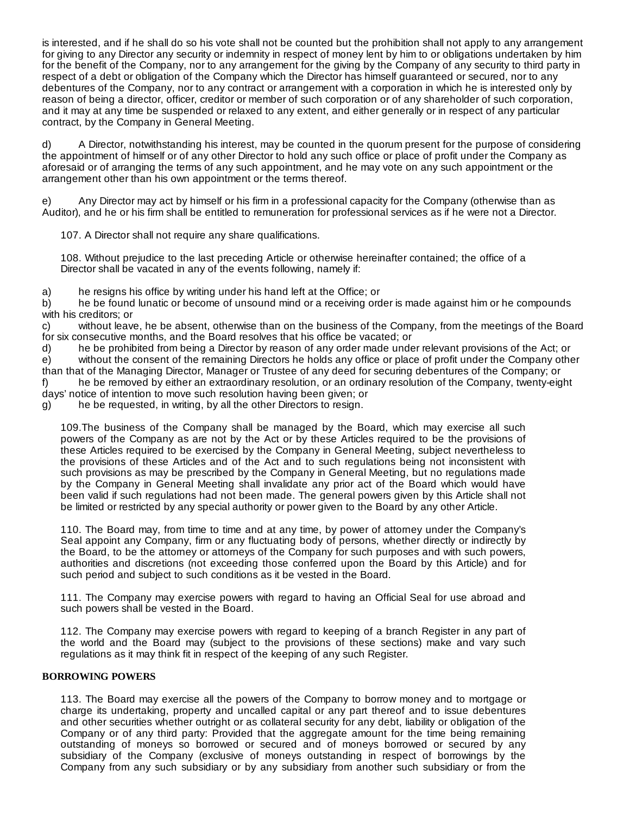is interested, and if he shall do so his vote shall not be counted but the prohibition shall not apply to any arrangement for giving to any Director any security or indemnity in respect of money lent by him to or obligations undertaken by him for the benefit of the Company, nor to any arrangement for the giving by the Company of any security to third party in respect of a debt or obligation of the Company which the Director has himself guaranteed or secured, nor to any debentures of the Company, nor to any contract or arrangement with a corporation in which he is interested only by reason of being a director, officer, creditor or member of such corporation or of any shareholder of such corporation, and it may at any time be suspended or relaxed to any extent, and either generally or in respect of any particular contract, by the Company in General Meeting.

d) A Director, notwithstanding his interest, may be counted in the quorum present for the purpose of considering the appointment of himself or of any other Director to hold any such office or place of profit under the Company as aforesaid or of arranging the terms of any such appointment, and he may vote on any such appointment or the arrangement other than his own appointment or the terms thereof.

e) Any Director may act by himself or his firm in a professional capacity for the Company (otherwise than as Auditor), and he or his firm shall be entitled to remuneration for professional services as if he were not a Director.

107. A Director shall not require any share qualifications.

108. Without prejudice to the last preceding Article or otherwise hereinafter contained; the office of a Director shall be vacated in any of the events following, namely if:

a) he resigns his office by writing under his hand left at the Office; or

b) he be found lunatic or become of unsound mind or a receiving order is made against him or he compounds with his creditors; or

c) without leave, he be absent, otherwise than on the business of the Company, from the meetings of the Board for six consecutive months, and the Board resolves that his office be vacated; or

d) he be prohibited from being a Director by reason of any order made under relevant provisions of the Act; or e) without the consent of the remaining Directors he holds any office or place of profit under the Company other than that of the Managing Director, Manager or Trustee of any deed for securing debentures of the Company; or f) he be removed by either an extraordinary resolution, or an ordinary resolution of the Company, twenty-eight days' notice of intention to move such resolution having been given; or

g) he be requested, in writing, by all the other Directors to resign.

109.The business of the Company shall be managed by the Board, which may exercise all such powers of the Company as are not by the Act or by these Articles required to be the provisions of these Articles required to be exercised by the Company in General Meeting, subject nevertheless to the provisions of these Articles and of the Act and to such regulations being not inconsistent with such provisions as may be prescribed by the Company in General Meeting, but no regulations made by the Company in General Meeting shall invalidate any prior act of the Board which would have been valid if such regulations had not been made. The general powers given by this Article shall not be limited or restricted by any special authority or power given to the Board by any other Article.

110. The Board may, from time to time and at any time, by power of attorney under the Company's Seal appoint any Company, firm or any fluctuating body of persons, whether directly or indirectly by the Board, to be the attorney or attorneys of the Company for such purposes and with such powers, authorities and discretions (not exceeding those conferred upon the Board by this Article) and for such period and subject to such conditions as it be vested in the Board.

111. The Company may exercise powers with regard to having an Official Seal for use abroad and such powers shall be vested in the Board.

112. The Company may exercise powers with regard to keeping of a branch Register in any part of the world and the Board may (subject to the provisions of these sections) make and vary such regulations as it may think fit in respect of the keeping of any such Register.

## **BORROWING POWERS**

113. The Board may exercise all the powers of the Company to borrow money and to mortgage or charge its undertaking, property and uncalled capital or any part thereof and to issue debentures and other securities whether outright or as collateral security for any debt, liability or obligation of the Company or of any third party: Provided that the aggregate amount for the time being remaining outstanding of moneys so borrowed or secured and of moneys borrowed or secured by any subsidiary of the Company (exclusive of moneys outstanding in respect of borrowings by the Company from any such subsidiary or by any subsidiary from another such subsidiary or from the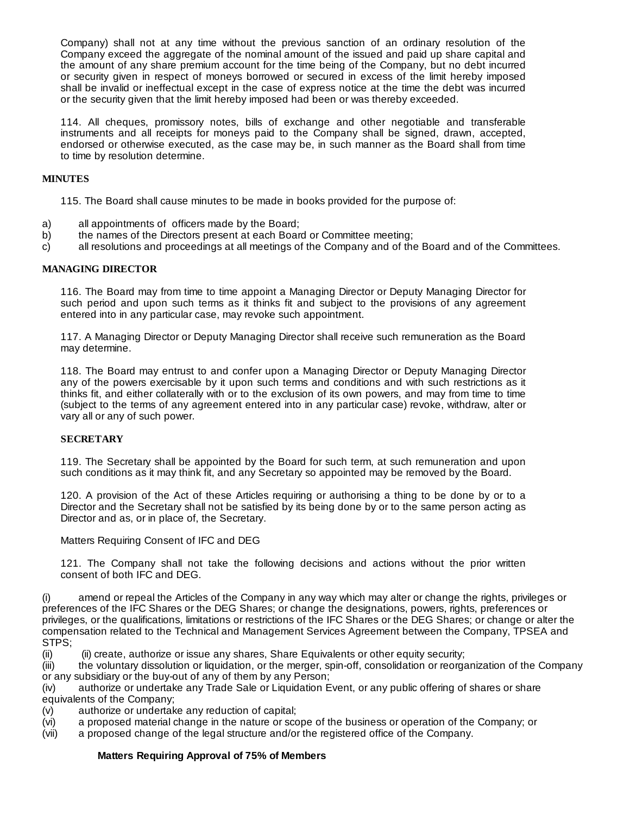Company) shall not at any time without the previous sanction of an ordinary resolution of the Company exceed the aggregate of the nominal amount of the issued and paid up share capital and the amount of any share premium account for the time being of the Company, but no debt incurred or security given in respect of moneys borrowed or secured in excess of the limit hereby imposed shall be invalid or ineffectual except in the case of express notice at the time the debt was incurred or the security given that the limit hereby imposed had been or was thereby exceeded.

114. All cheques, promissory notes, bills of exchange and other negotiable and transferable instruments and all receipts for moneys paid to the Company shall be signed, drawn, accepted, endorsed or otherwise executed, as the case may be, in such manner as the Board shall from time to time by resolution determine.

## **MINUTES**

115. The Board shall cause minutes to be made in books provided for the purpose of:

- a) all appointments of officers made by the Board;<br>b) the names of the Directors present at each Board
- the names of the Directors present at each Board or Committee meeting;
- c) all resolutions and proceedings at all meetings of the Company and of the Board and of the Committees.

## **MANAGING DIRECTOR**

116. The Board may from time to time appoint a Managing Director or Deputy Managing Director for such period and upon such terms as it thinks fit and subject to the provisions of any agreement entered into in any particular case, may revoke such appointment.

117. A Managing Director or Deputy Managing Director shall receive such remuneration as the Board may determine.

118. The Board may entrust to and confer upon a Managing Director or Deputy Managing Director any of the powers exercisable by it upon such terms and conditions and with such restrictions as it thinks fit, and either collaterally with or to the exclusion of its own powers, and may from time to time (subject to the terms of any agreement entered into in any particular case) revoke, withdraw, alter or vary all or any of such power.

## **SECRETARY**

119. The Secretary shall be appointed by the Board for such term, at such remuneration and upon such conditions as it may think fit, and any Secretary so appointed may be removed by the Board.

120. A provision of the Act of these Articles requiring or authorising a thing to be done by or to a Director and the Secretary shall not be satisfied by its being done by or to the same person acting as Director and as, or in place of, the Secretary.

Matters Requiring Consent of IFC and DEG

121. The Company shall not take the following decisions and actions without the prior written consent of both IFC and DEG.

(i) amend or repeal the Articles of the Company in any way which may alter or change the rights, privileges or preferences of the IFC Shares or the DEG Shares; or change the designations, powers, rights, preferences or privileges, or the qualifications, limitations or restrictions of the IFC Shares or the DEG Shares; or change or alter the compensation related to the Technical and Management Services Agreement between the Company, TPSEA and STPS;

(ii) (ii) create, authorize or issue any shares, Share Equivalents or other equity security;

(iii) the voluntary dissolution or liquidation, or the merger, spin-off, consolidation or reorganization of the Company or any subsidiary or the buy-out of any of them by any Person;

(iv) authorize or undertake any Trade Sale or Liquidation Event, or any public offering of shares or share equivalents of the Company;

(v) authorize or undertake any reduction of capital;

(vi) a proposed material change in the nature or scope of the business or operation of the Company; or

(vii) a proposed change of the legal structure and/or the registered office of the Company.

## **Matters Requiring Approval of 75% of Members**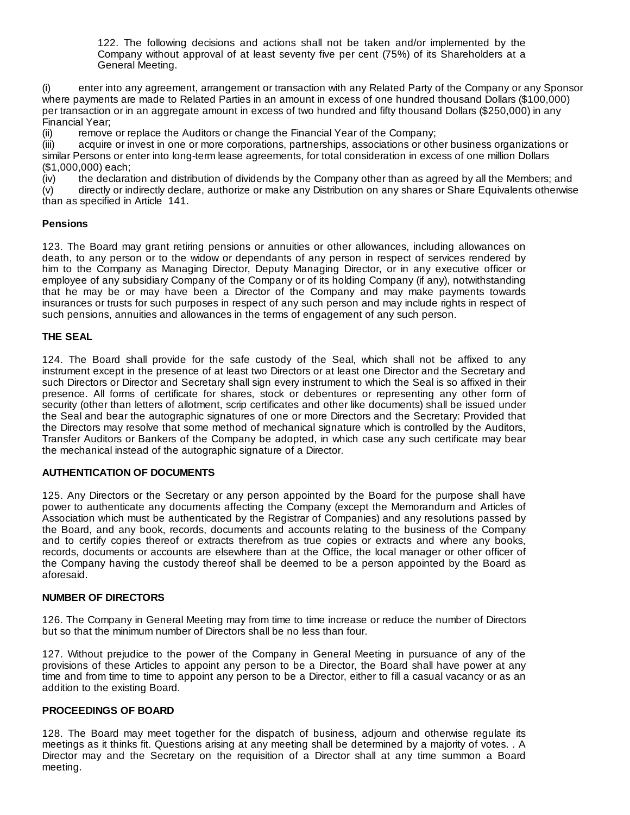122. The following decisions and actions shall not be taken and/or implemented by the Company without approval of at least seventy five per cent (75%) of its Shareholders at a General Meeting.

(i) enter into any agreement, arrangement or transaction with any Related Party of the Company or any Sponsor where payments are made to Related Parties in an amount in excess of one hundred thousand Dollars (\$100,000) per transaction or in an aggregate amount in excess of two hundred and fifty thousand Dollars (\$250,000) in any Financial Year;

(ii) remove or replace the Auditors or change the Financial Year of the Company;

(iii) acquire or invest in one or more corporations, partnerships, associations or other business organizations or similar Persons or enter into long-term lease agreements, for total consideration in excess of one million Dollars (\$1,000,000) each;

(iv) the declaration and distribution of dividends by the Company other than as agreed by all the Members; and (v) directly or indirectly declare, authorize or make any Distribution on any shares or Share Equivalents otherwise than as specified in Article 141.

# **Pensions**

123. The Board may grant retiring pensions or annuities or other allowances, including allowances on death, to any person or to the widow or dependants of any person in respect of services rendered by him to the Company as Managing Director, Deputy Managing Director, or in any executive officer or employee of any subsidiary Company of the Company or of its holding Company (if any), notwithstanding that he may be or may have been a Director of the Company and may make payments towards insurances or trusts for such purposes in respect of any such person and may include rights in respect of such pensions, annuities and allowances in the terms of engagement of any such person.

## **THE SEAL**

124. The Board shall provide for the safe custody of the Seal, which shall not be affixed to any instrument except in the presence of at least two Directors or at least one Director and the Secretary and such Directors or Director and Secretary shall sign every instrument to which the Seal is so affixed in their presence. All forms of certificate for shares, stock or debentures or representing any other form of security (other than letters of allotment, scrip certificates and other like documents) shall be issued under the Seal and bear the autographic signatures of one or more Directors and the Secretary: Provided that the Directors may resolve that some method of mechanical signature which is controlled by the Auditors, Transfer Auditors or Bankers of the Company be adopted, in which case any such certificate may bear the mechanical instead of the autographic signature of a Director.

## **AUTHENTICATION OF DOCUMENTS**

125. Any Directors or the Secretary or any person appointed by the Board for the purpose shall have power to authenticate any documents affecting the Company (except the Memorandum and Articles of Association which must be authenticated by the Registrar of Companies) and any resolutions passed by the Board, and any book, records, documents and accounts relating to the business of the Company and to certify copies thereof or extracts therefrom as true copies or extracts and where any books, records, documents or accounts are elsewhere than at the Office, the local manager or other officer of the Company having the custody thereof shall be deemed to be a person appointed by the Board as aforesaid.

## **NUMBER OF DIRECTORS**

126. The Company in General Meeting may from time to time increase or reduce the number of Directors but so that the minimum number of Directors shall be no less than four.

127. Without prejudice to the power of the Company in General Meeting in pursuance of any of the provisions of these Articles to appoint any person to be a Director, the Board shall have power at any time and from time to time to appoint any person to be a Director, either to fill a casual vacancy or as an addition to the existing Board.

## **PROCEEDINGS OF BOARD**

128. The Board may meet together for the dispatch of business, adjourn and otherwise regulate its meetings as it thinks fit. Questions arising at any meeting shall be determined by a majority of votes. . A Director may and the Secretary on the requisition of a Director shall at any time summon a Board meeting.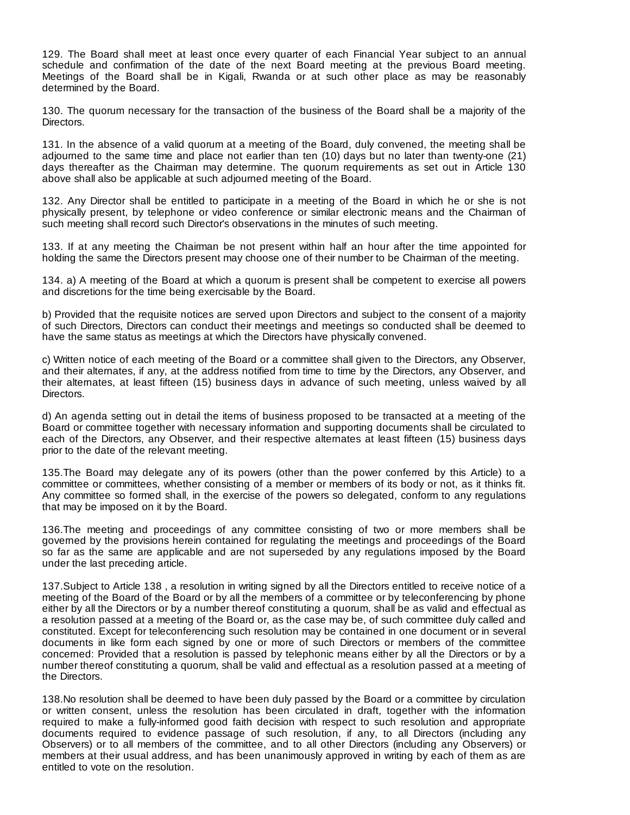129. The Board shall meet at least once every quarter of each Financial Year subject to an annual schedule and confirmation of the date of the next Board meeting at the previous Board meeting. Meetings of the Board shall be in Kigali, Rwanda or at such other place as may be reasonably determined by the Board.

130. The quorum necessary for the transaction of the business of the Board shall be a majority of the Directors.

131. In the absence of a valid quorum at a meeting of the Board, duly convened, the meeting shall be adjourned to the same time and place not earlier than ten (10) days but no later than twenty-one (21) days thereafter as the Chairman may determine. The quorum requirements as set out in Article 130 above shall also be applicable at such adjourned meeting of the Board.

132. Any Director shall be entitled to participate in a meeting of the Board in which he or she is not physically present, by telephone or video conference or similar electronic means and the Chairman of such meeting shall record such Director's observations in the minutes of such meeting.

133. If at any meeting the Chairman be not present within half an hour after the time appointed for holding the same the Directors present may choose one of their number to be Chairman of the meeting.

134. a) A meeting of the Board at which a quorum is present shall be competent to exercise all powers and discretions for the time being exercisable by the Board.

b) Provided that the requisite notices are served upon Directors and subject to the consent of a majority of such Directors, Directors can conduct their meetings and meetings so conducted shall be deemed to have the same status as meetings at which the Directors have physically convened.

c) Written notice of each meeting of the Board or a committee shall given to the Directors, any Observer, and their alternates, if any, at the address notified from time to time by the Directors, any Observer, and their alternates, at least fifteen (15) business days in advance of such meeting, unless waived by all Directors.

d) An agenda setting out in detail the items of business proposed to be transacted at a meeting of the Board or committee together with necessary information and supporting documents shall be circulated to each of the Directors, any Observer, and their respective alternates at least fifteen (15) business days prior to the date of the relevant meeting.

135.The Board may delegate any of its powers (other than the power conferred by this Article) to a committee or committees, whether consisting of a member or members of its body or not, as it thinks fit. Any committee so formed shall, in the exercise of the powers so delegated, conform to any regulations that may be imposed on it by the Board.

136.The meeting and proceedings of any committee consisting of two or more members shall be governed by the provisions herein contained for regulating the meetings and proceedings of the Board so far as the same are applicable and are not superseded by any regulations imposed by the Board under the last preceding article.

137.Subject to Article 138 , a resolution in writing signed by all the Directors entitled to receive notice of a meeting of the Board of the Board or by all the members of a committee or by teleconferencing by phone either by all the Directors or by a number thereof constituting a quorum, shall be as valid and effectual as a resolution passed at a meeting of the Board or, as the case may be, of such committee duly called and constituted. Except for teleconferencing such resolution may be contained in one document or in several documents in like form each signed by one or more of such Directors or members of the committee concerned: Provided that a resolution is passed by telephonic means either by all the Directors or by a number thereof constituting a quorum, shall be valid and effectual as a resolution passed at a meeting of the Directors.

138.No resolution shall be deemed to have been duly passed by the Board or a committee by circulation or written consent, unless the resolution has been circulated in draft, together with the information required to make a fully-informed good faith decision with respect to such resolution and appropriate documents required to evidence passage of such resolution, if any, to all Directors (including any Observers) or to all members of the committee, and to all other Directors (including any Observers) or members at their usual address, and has been unanimously approved in writing by each of them as are entitled to vote on the resolution.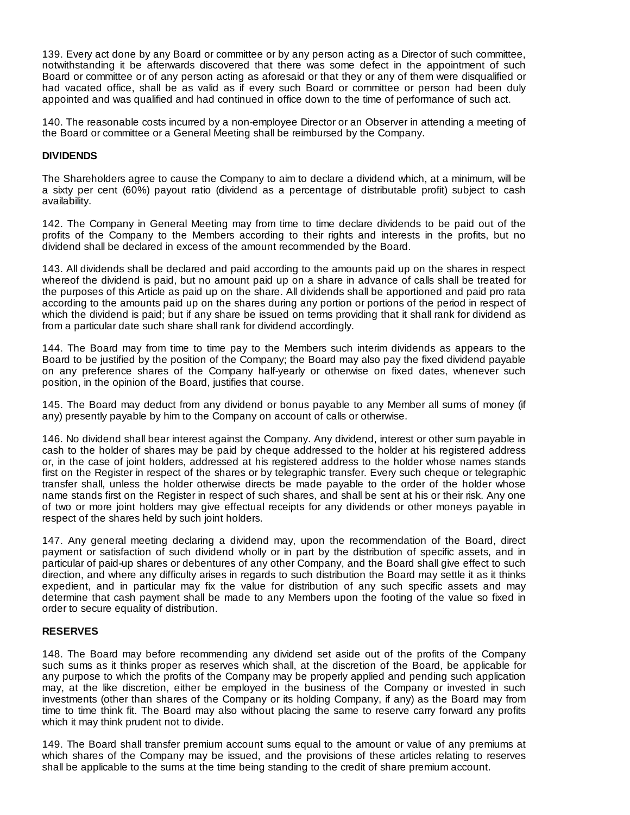139. Every act done by any Board or committee or by any person acting as a Director of such committee, notwithstanding it be afterwards discovered that there was some defect in the appointment of such Board or committee or of any person acting as aforesaid or that they or any of them were disqualified or had vacated office, shall be as valid as if every such Board or committee or person had been duly appointed and was qualified and had continued in office down to the time of performance of such act.

140. The reasonable costs incurred by a non-employee Director or an Observer in attending a meeting of the Board or committee or a General Meeting shall be reimbursed by the Company.

## **DIVIDENDS**

The Shareholders agree to cause the Company to aim to declare a dividend which, at a minimum, will be a sixty per cent (60%) payout ratio (dividend as a percentage of distributable profit) subject to cash availability.

142. The Company in General Meeting may from time to time declare dividends to be paid out of the profits of the Company to the Members according to their rights and interests in the profits, but no dividend shall be declared in excess of the amount recommended by the Board.

143. All dividends shall be declared and paid according to the amounts paid up on the shares in respect whereof the dividend is paid, but no amount paid up on a share in advance of calls shall be treated for the purposes of this Article as paid up on the share. All dividends shall be apportioned and paid pro rata according to the amounts paid up on the shares during any portion or portions of the period in respect of which the dividend is paid; but if any share be issued on terms providing that it shall rank for dividend as from a particular date such share shall rank for dividend accordingly.

144. The Board may from time to time pay to the Members such interim dividends as appears to the Board to be justified by the position of the Company; the Board may also pay the fixed dividend payable on any preference shares of the Company half-yearly or otherwise on fixed dates, whenever such position, in the opinion of the Board, justifies that course.

145. The Board may deduct from any dividend or bonus payable to any Member all sums of money (if any) presently payable by him to the Company on account of calls or otherwise.

146. No dividend shall bear interest against the Company. Any dividend, interest or other sum payable in cash to the holder of shares may be paid by cheque addressed to the holder at his registered address or, in the case of joint holders, addressed at his registered address to the holder whose names stands first on the Register in respect of the shares or by telegraphic transfer. Every such cheque or telegraphic transfer shall, unless the holder otherwise directs be made payable to the order of the holder whose name stands first on the Register in respect of such shares, and shall be sent at his or their risk. Any one of two or more joint holders may give effectual receipts for any dividends or other moneys payable in respect of the shares held by such joint holders.

147. Any general meeting declaring a dividend may, upon the recommendation of the Board, direct payment or satisfaction of such dividend wholly or in part by the distribution of specific assets, and in particular of paid-up shares or debentures of any other Company, and the Board shall give effect to such direction, and where any difficulty arises in regards to such distribution the Board may settle it as it thinks expedient, and in particular may fix the value for distribution of any such specific assets and may determine that cash payment shall be made to any Members upon the footing of the value so fixed in order to secure equality of distribution.

## **RESERVES**

148. The Board may before recommending any dividend set aside out of the profits of the Company such sums as it thinks proper as reserves which shall, at the discretion of the Board, be applicable for any purpose to which the profits of the Company may be properly applied and pending such application may, at the like discretion, either be employed in the business of the Company or invested in such investments (other than shares of the Company or its holding Company, if any) as the Board may from time to time think fit. The Board may also without placing the same to reserve carry forward any profits which it may think prudent not to divide.

149. The Board shall transfer premium account sums equal to the amount or value of any premiums at which shares of the Company may be issued, and the provisions of these articles relating to reserves shall be applicable to the sums at the time being standing to the credit of share premium account.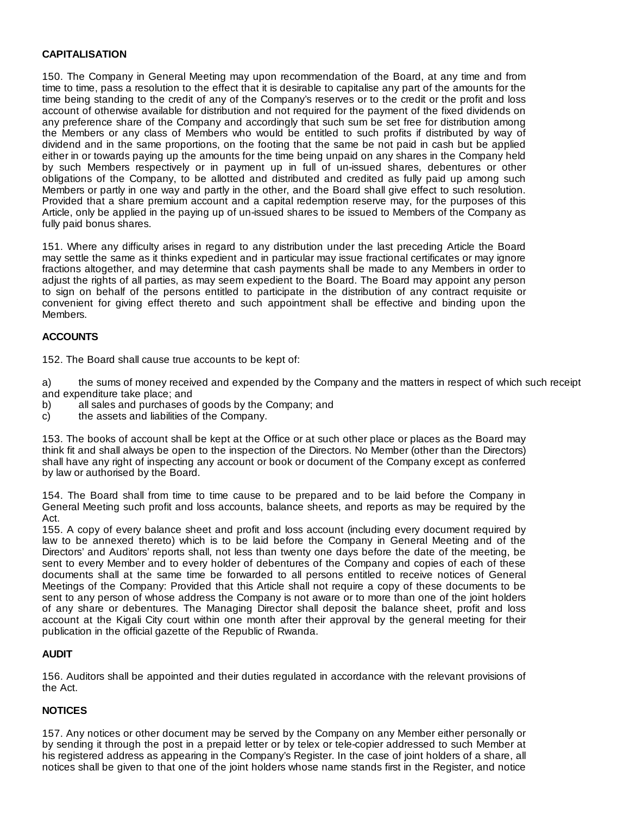## **CAPITALISATION**

150. The Company in General Meeting may upon recommendation of the Board, at any time and from time to time, pass a resolution to the effect that it is desirable to capitalise any part of the amounts for the time being standing to the credit of any of the Company's reserves or to the credit or the profit and loss account of otherwise available for distribution and not required for the payment of the fixed dividends on any preference share of the Company and accordingly that such sum be set free for distribution among the Members or any class of Members who would be entitled to such profits if distributed by way of dividend and in the same proportions, on the footing that the same be not paid in cash but be applied either in or towards paying up the amounts for the time being unpaid on any shares in the Company held by such Members respectively or in payment up in full of un-issued shares, debentures or other obligations of the Company, to be allotted and distributed and credited as fully paid up among such Members or partly in one way and partly in the other, and the Board shall give effect to such resolution. Provided that a share premium account and a capital redemption reserve may, for the purposes of this Article, only be applied in the paying up of un-issued shares to be issued to Members of the Company as fully paid bonus shares.

151. Where any difficulty arises in regard to any distribution under the last preceding Article the Board may settle the same as it thinks expedient and in particular may issue fractional certificates or may ignore fractions altogether, and may determine that cash payments shall be made to any Members in order to adjust the rights of all parties, as may seem expedient to the Board. The Board may appoint any person to sign on behalf of the persons entitled to participate in the distribution of any contract requisite or convenient for giving effect thereto and such appointment shall be effective and binding upon the Members.

# **ACCOUNTS**

152. The Board shall cause true accounts to be kept of:

a) the sums of money received and expended by the Company and the matters in respect of which such receipt and expenditure take place; and

- b) all sales and purchases of goods by the Company; and
- c) the assets and liabilities of the Company.

153. The books of account shall be kept at the Office or at such other place or places as the Board may think fit and shall always be open to the inspection of the Directors. No Member (other than the Directors) shall have any right of inspecting any account or book or document of the Company except as conferred by law or authorised by the Board.

154. The Board shall from time to time cause to be prepared and to be laid before the Company in General Meeting such profit and loss accounts, balance sheets, and reports as may be required by the Act.

155. A copy of every balance sheet and profit and loss account (including every document required by law to be annexed thereto) which is to be laid before the Company in General Meeting and of the Directors' and Auditors' reports shall, not less than twenty one days before the date of the meeting, be sent to every Member and to every holder of debentures of the Company and copies of each of these documents shall at the same time be forwarded to all persons entitled to receive notices of General Meetings of the Company: Provided that this Article shall not require a copy of these documents to be sent to any person of whose address the Company is not aware or to more than one of the joint holders of any share or debentures. The Managing Director shall deposit the balance sheet, profit and loss account at the Kigali City court within one month after their approval by the general meeting for their publication in the official gazette of the Republic of Rwanda.

# **AUDIT**

156. Auditors shall be appointed and their duties regulated in accordance with the relevant provisions of the Act.

# **NOTICES**

157. Any notices or other document may be served by the Company on any Member either personally or by sending it through the post in a prepaid letter or by telex or tele-copier addressed to such Member at his registered address as appearing in the Company's Register. In the case of joint holders of a share, all notices shall be given to that one of the joint holders whose name stands first in the Register, and notice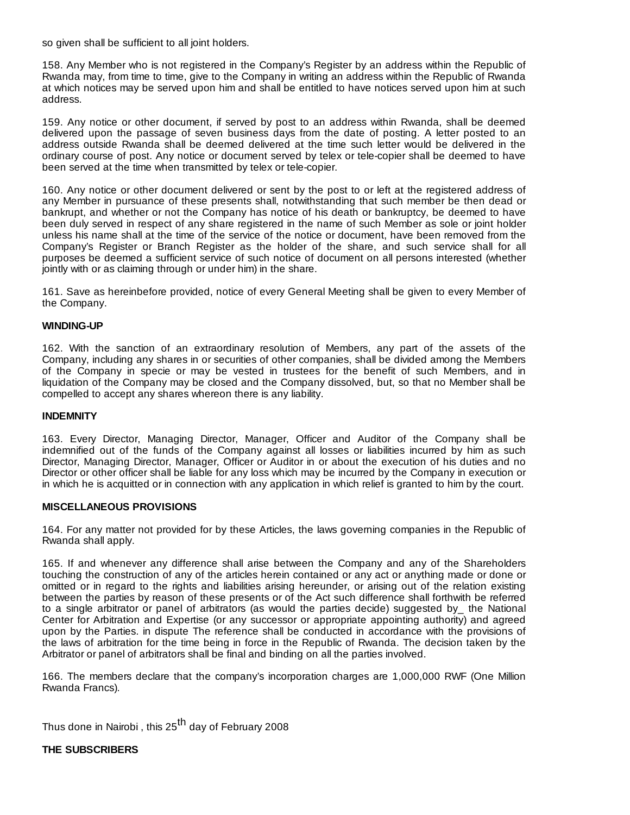so given shall be sufficient to all joint holders.

158. Any Member who is not registered in the Company's Register by an address within the Republic of Rwanda may, from time to time, give to the Company in writing an address within the Republic of Rwanda at which notices may be served upon him and shall be entitled to have notices served upon him at such address.

159. Any notice or other document, if served by post to an address within Rwanda, shall be deemed delivered upon the passage of seven business days from the date of posting. A letter posted to an address outside Rwanda shall be deemed delivered at the time such letter would be delivered in the ordinary course of post. Any notice or document served by telex or tele-copier shall be deemed to have been served at the time when transmitted by telex or tele-copier.

160. Any notice or other document delivered or sent by the post to or left at the registered address of any Member in pursuance of these presents shall, notwithstanding that such member be then dead or bankrupt, and whether or not the Company has notice of his death or bankruptcy, be deemed to have been duly served in respect of any share registered in the name of such Member as sole or joint holder unless his name shall at the time of the service of the notice or document, have been removed from the Company's Register or Branch Register as the holder of the share, and such service shall for all purposes be deemed a sufficient service of such notice of document on all persons interested (whether jointly with or as claiming through or under him) in the share.

161. Save as hereinbefore provided, notice of every General Meeting shall be given to every Member of the Company.

## **WINDING-UP**

162. With the sanction of an extraordinary resolution of Members, any part of the assets of the Company, including any shares in or securities of other companies, shall be divided among the Members of the Company in specie or may be vested in trustees for the benefit of such Members, and in liquidation of the Company may be closed and the Company dissolved, but, so that no Member shall be compelled to accept any shares whereon there is any liability.

#### **INDEMNITY**

163. Every Director, Managing Director, Manager, Officer and Auditor of the Company shall be indemnified out of the funds of the Company against all losses or liabilities incurred by him as such Director, Managing Director, Manager, Officer or Auditor in or about the execution of his duties and no Director or other officer shall be liable for any loss which may be incurred by the Company in execution or in which he is acquitted or in connection with any application in which relief is granted to him by the court.

#### **MISCELLANEOUS PROVISIONS**

164. For any matter not provided for by these Articles, the laws governing companies in the Republic of Rwanda shall apply.

165. If and whenever any difference shall arise between the Company and any of the Shareholders touching the construction of any of the articles herein contained or any act or anything made or done or omitted or in regard to the rights and liabilities arising hereunder, or arising out of the relation existing between the parties by reason of these presents or of the Act such difference shall forthwith be referred to a single arbitrator or panel of arbitrators (as would the parties decide) suggested by\_ the National Center for Arbitration and Expertise (or any successor or appropriate appointing authority) and agreed upon by the Parties. in dispute The reference shall be conducted in accordance with the provisions of the laws of arbitration for the time being in force in the Republic of Rwanda. The decision taken by the Arbitrator or panel of arbitrators shall be final and binding on all the parties involved.

166. The members declare that the company's incorporation charges are 1,000,000 RWF (One Million Rwanda Francs).

Thus done in Nairobi, this 25<sup>th</sup> day of February 2008

**THE SUBSCRIBERS**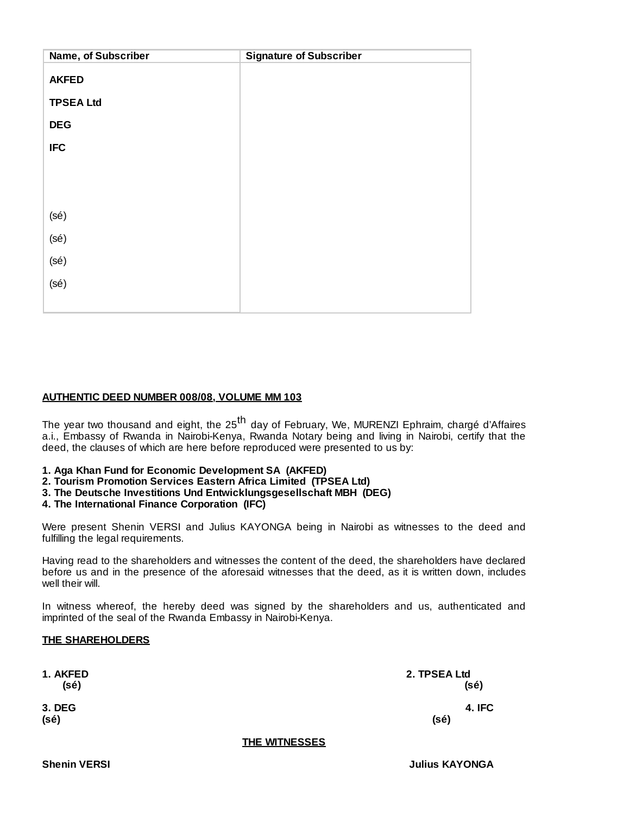| Name, of Subscriber | <b>Signature of Subscriber</b> |
|---------------------|--------------------------------|
| <b>AKFED</b>        |                                |
| <b>TPSEA Ltd</b>    |                                |
| <b>DEG</b>          |                                |
| <b>IFC</b>          |                                |
|                     |                                |
|                     |                                |
| (sé)                |                                |
| (sé)                |                                |
| (sé)                |                                |
| (sé)                |                                |
|                     |                                |

## **AUTHENTIC DEED NUMBER 008/08, VOLUME MM 103**

The year two thousand and eight, the 25<sup>th</sup> day of February, We, MURENZI Ephraim, chargé d'Affaires a.i., Embassy of Rwanda in Nairobi-Kenya, Rwanda Notary being and living in Nairobi, certify that the deed, the clauses of which are here before reproduced were presented to us by:

**1. Aga Khan Fund for Economic Development SA (AKFED)**

**2. Tourism Promotion Services Eastern Africa Limited (TPSEA Ltd)**

**3. The Deutsche Investitions Und Entwicklungsgesellschaft MBH (DEG)**

**4. The International Finance Corporation (IFC)**

Were present Shenin VERSI and Julius KAYONGA being in Nairobi as witnesses to the deed and fulfilling the legal requirements.

Having read to the shareholders and witnesses the content of the deed, the shareholders have declared before us and in the presence of the aforesaid witnesses that the deed, as it is written down, includes well their will.

In witness whereof, the hereby deed was signed by the shareholders and us, authenticated and imprinted of the seal of the Rwanda Embassy in Nairobi-Kenya.

## **THE SHAREHOLDERS**

| 1. AKFED<br>(sé) |              | 2. TPSEA Ltd<br>(sé) |
|------------------|--------------|----------------------|
| 3. DEG<br>(sé)   |              | 4.IFC<br>(sé)        |
|                  | TUE WEDFOOLO |                      |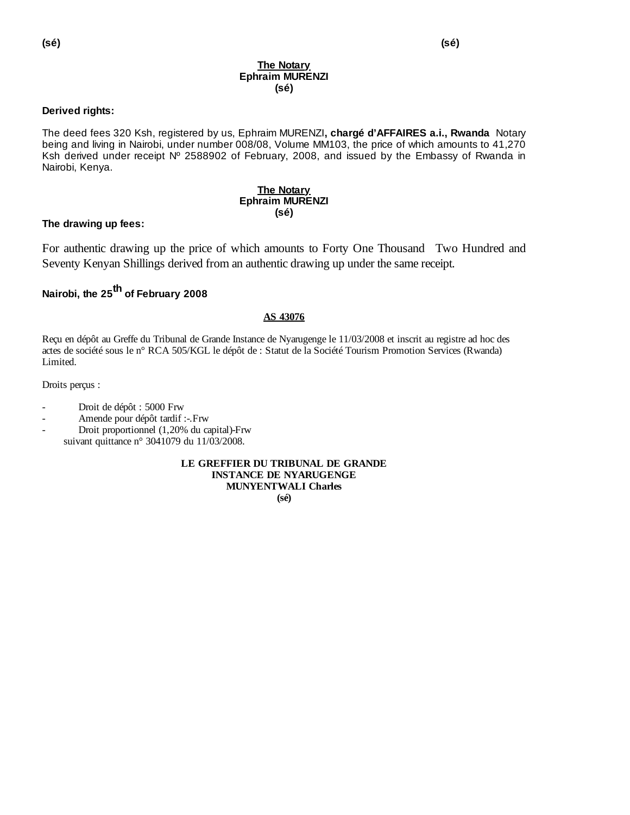#### **The Notary Ephraim MURENZI (sé)**

# **Derived rights:**

The deed fees 320 Ksh, registered by us, Ephraim MURENZI**, chargé d'AFFAIRES a.i., Rwanda** Notary being and living in Nairobi, under number 008/08, Volume MM103, the price of which amounts to 41,270 Ksh derived under receipt Nº 2588902 of February, 2008, and issued by the Embassy of Rwanda in Nairobi, Kenya.

#### **The Notary Ephraim MURENZI (sé)**

# **The drawing up fees:**

For authentic drawing up the price of which amounts to Forty One Thousand Two Hundred and Seventy Kenyan Shillings derived from an authentic drawing up under the same receipt.

# **Nairobi, the 25th of February 2008**

## **AS 43076**

Reçu en dépôt au Greffe du Tribunal de Grande Instance de Nyarugenge le 11/03/2008 et inscrit au registre ad hoc des actes de société sous le n° RCA 505/KGL le dépôt de : Statut de la Société Tourism Promotion Services (Rwanda) Limited.

Droits perçus :

- Droit de dépôt : 5000 Frw
- Amende pour dépôt tardif :-.Frw
- Droit proportionnel (1,20% du capital)-Frw suivant quittance n° 3041079 du 11/03/2008.

**LE GREFFIER DU TRIBUNAL DE GRANDE INSTANCE DE NYARUGENGE MUNYENTWALI Charles (sé)**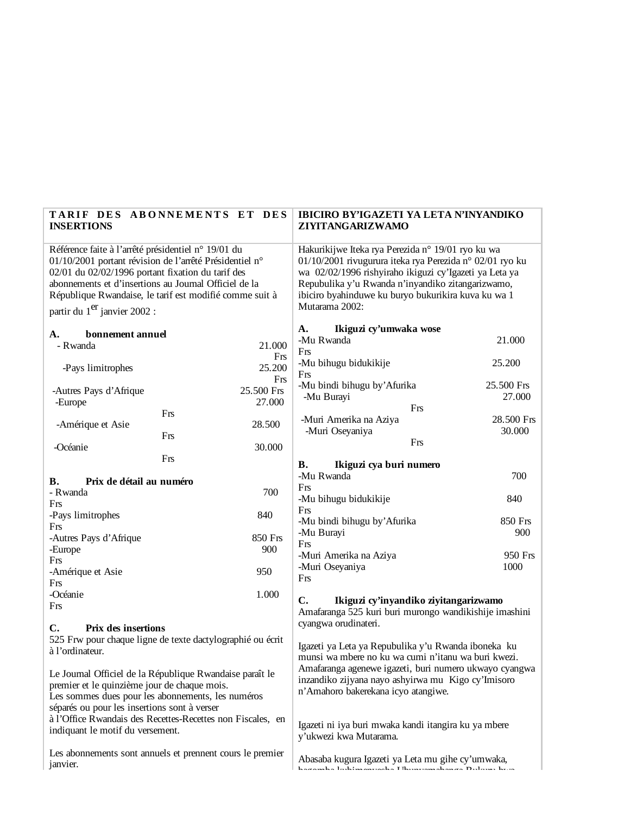|                                                                                                                                                                                                                                                                                                                                                              | <b>INSERTIONS</b>                  | TARIF DES ABONNEMENTS ET DES | IBICIRO BY'IGAZETI YA LETA N'INYANDIKO<br>ZIYITANGARIZWAMO                                                                                                                                                                                                                                            |                      |                                  |                                                                                                         |  |
|--------------------------------------------------------------------------------------------------------------------------------------------------------------------------------------------------------------------------------------------------------------------------------------------------------------------------------------------------------------|------------------------------------|------------------------------|-------------------------------------------------------------------------------------------------------------------------------------------------------------------------------------------------------------------------------------------------------------------------------------------------------|----------------------|----------------------------------|---------------------------------------------------------------------------------------------------------|--|
| Référence faite à l'arrêté présidentiel n° 19/01 du<br>01/10/2001 portant révision de l'arrêté Présidentiel n°<br>02/01 du 02/02/1996 portant fixation du tarif des<br>abonnements et d'insertions au Journal Officiel de la<br>République Rwandaise, le tarif est modifié comme suit à<br>partir du 1 <sup>er</sup> janvier 2002 :                          |                                    |                              | Hakurikijwe Iteka rya Perezida n° 19/01 ryo ku wa<br>01/10/2001 rivugurura iteka rya Perezida nº 02/01 ryo ku<br>wa 02/02/1996 rishyiraho ikiguzi cy'Igazeti ya Leta ya<br>Repubulika y'u Rwanda n'inyandiko zitangarizwamo,<br>ibiciro byahinduwe ku buryo bukurikira kuva ku wa 1<br>Mutarama 2002: |                      |                                  |                                                                                                         |  |
|                                                                                                                                                                                                                                                                                                                                                              |                                    |                              | Ikiguzi cy'umwaka wose<br>А.                                                                                                                                                                                                                                                                          |                      |                                  |                                                                                                         |  |
|                                                                                                                                                                                                                                                                                                                                                              | A.<br>bonnement annuel<br>- Rwanda | 21.000                       | -Mu Rwanda                                                                                                                                                                                                                                                                                            | 21.000               |                                  |                                                                                                         |  |
|                                                                                                                                                                                                                                                                                                                                                              | -Pays limitrophes                  | Frs<br>25.200                | Frs<br>-Mu bihugu bidukikije                                                                                                                                                                                                                                                                          | 25.200               |                                  |                                                                                                         |  |
|                                                                                                                                                                                                                                                                                                                                                              |                                    | Frs                          | Frs<br>-Mu bindi bihugu by' Afurika                                                                                                                                                                                                                                                                   | 25.500 Frs           |                                  |                                                                                                         |  |
|                                                                                                                                                                                                                                                                                                                                                              | -Autres Pays d'Afrique<br>-Europe  | 25.500 Frs<br>27.000         | -Mu Burayi                                                                                                                                                                                                                                                                                            | 27.000               |                                  |                                                                                                         |  |
|                                                                                                                                                                                                                                                                                                                                                              |                                    | Frs                          | Frs                                                                                                                                                                                                                                                                                                   |                      |                                  |                                                                                                         |  |
|                                                                                                                                                                                                                                                                                                                                                              | -Amérique et Asie                  | 28.500                       | -Muri Amerika na Aziya<br>-Muri Oseyaniya                                                                                                                                                                                                                                                             | 28.500 Frs<br>30.000 |                                  |                                                                                                         |  |
|                                                                                                                                                                                                                                                                                                                                                              |                                    | Frs                          | Frs                                                                                                                                                                                                                                                                                                   |                      |                                  |                                                                                                         |  |
|                                                                                                                                                                                                                                                                                                                                                              | -Océanie                           | 30.000<br>Frs                |                                                                                                                                                                                                                                                                                                       |                      |                                  |                                                                                                         |  |
|                                                                                                                                                                                                                                                                                                                                                              |                                    |                              | Ikiguzi cya buri numero<br>В.<br>-Mu Rwanda                                                                                                                                                                                                                                                           | 700                  |                                  |                                                                                                         |  |
|                                                                                                                                                                                                                                                                                                                                                              | В.<br>Prix de détail au numéro     |                              | Frs                                                                                                                                                                                                                                                                                                   |                      |                                  |                                                                                                         |  |
|                                                                                                                                                                                                                                                                                                                                                              | - Rwanda<br>Frs                    | 700                          | -Mu bihugu bidukikije                                                                                                                                                                                                                                                                                 | 840                  |                                  |                                                                                                         |  |
|                                                                                                                                                                                                                                                                                                                                                              | -Pays limitrophes                  | 840                          | Frs                                                                                                                                                                                                                                                                                                   | 850 Frs              |                                  |                                                                                                         |  |
|                                                                                                                                                                                                                                                                                                                                                              | Frs                                |                              | -Mu bindi bihugu by' Afurika<br>-Mu Burayi                                                                                                                                                                                                                                                            | 900                  |                                  |                                                                                                         |  |
|                                                                                                                                                                                                                                                                                                                                                              | -Autres Pays d'Afrique<br>-Europe  | 850 Frs<br>900               | Frs                                                                                                                                                                                                                                                                                                   |                      |                                  |                                                                                                         |  |
|                                                                                                                                                                                                                                                                                                                                                              | Frs                                |                              | -Muri Amerika na Aziya                                                                                                                                                                                                                                                                                | 950 Frs              |                                  |                                                                                                         |  |
|                                                                                                                                                                                                                                                                                                                                                              | -Amérique et Asie                  | 950                          | -Muri Oseyaniya<br>Frs                                                                                                                                                                                                                                                                                | 1000                 |                                  |                                                                                                         |  |
|                                                                                                                                                                                                                                                                                                                                                              | Frs                                | 1.000                        |                                                                                                                                                                                                                                                                                                       |                      |                                  |                                                                                                         |  |
|                                                                                                                                                                                                                                                                                                                                                              | -Océanie<br>Frs                    |                              | $\mathbf{C}$ .<br>Ikiguzi cy'inyandiko ziyitangarizwamo                                                                                                                                                                                                                                               |                      |                                  |                                                                                                         |  |
|                                                                                                                                                                                                                                                                                                                                                              |                                    |                              | Amafaranga 525 kuri buri murongo wandikishije imashini<br>cyangwa orudinateri.                                                                                                                                                                                                                        |                      |                                  |                                                                                                         |  |
|                                                                                                                                                                                                                                                                                                                                                              | Prix des insertions<br>C.          |                              |                                                                                                                                                                                                                                                                                                       |                      |                                  |                                                                                                         |  |
| 525 Frw pour chaque ligne de texte dactylographié ou écrit<br>à l'ordinateur.<br>Le Journal Officiel de la République Rwandaise paraît le<br>premier et le quinzième jour de chaque mois.<br>Les sommes dues pour les abonnements, les numéros<br>séparés ou pour les insertions sont à verser<br>à l'Office Rwandais des Recettes-Recettes non Fiscales, en |                                    |                              | Igazeti ya Leta ya Repubulika y'u Rwanda iboneka ku<br>munsi wa mbere no ku wa cumi n'itanu wa buri kwezi.<br>Amafaranga agenewe igazeti, buri numero ukwayo cyangwa<br>inzandiko zijyana nayo ashyirwa mu Kigo cy'Imisoro<br>n'Amahoro bakerekana icyo atangiwe.                                     |                      |                                  |                                                                                                         |  |
|                                                                                                                                                                                                                                                                                                                                                              |                                    |                              |                                                                                                                                                                                                                                                                                                       |                      |                                  |                                                                                                         |  |
|                                                                                                                                                                                                                                                                                                                                                              |                                    |                              |                                                                                                                                                                                                                                                                                                       |                      |                                  | Igazeti ni iya buri mwaka kandi itangira ku ya mbere                                                    |  |
|                                                                                                                                                                                                                                                                                                                                                              |                                    |                              |                                                                                                                                                                                                                                                                                                       |                      | indiquant le motif du versement. |                                                                                                         |  |
|                                                                                                                                                                                                                                                                                                                                                              |                                    |                              | Les abonnements sont annuels et prennent cours le premier                                                                                                                                                                                                                                             |                      |                                  |                                                                                                         |  |
|                                                                                                                                                                                                                                                                                                                                                              |                                    |                              | janvier.                                                                                                                                                                                                                                                                                              |                      |                                  | Abasaba kugura Igazeti ya Leta mu gihe cy'umwaka,<br>kaaanska Indiinsonooko TIkunoonsakanaa Duluun kuna |  |
|                                                                                                                                                                                                                                                                                                                                                              |                                    |                              |                                                                                                                                                                                                                                                                                                       |                      |                                  |                                                                                                         |  |